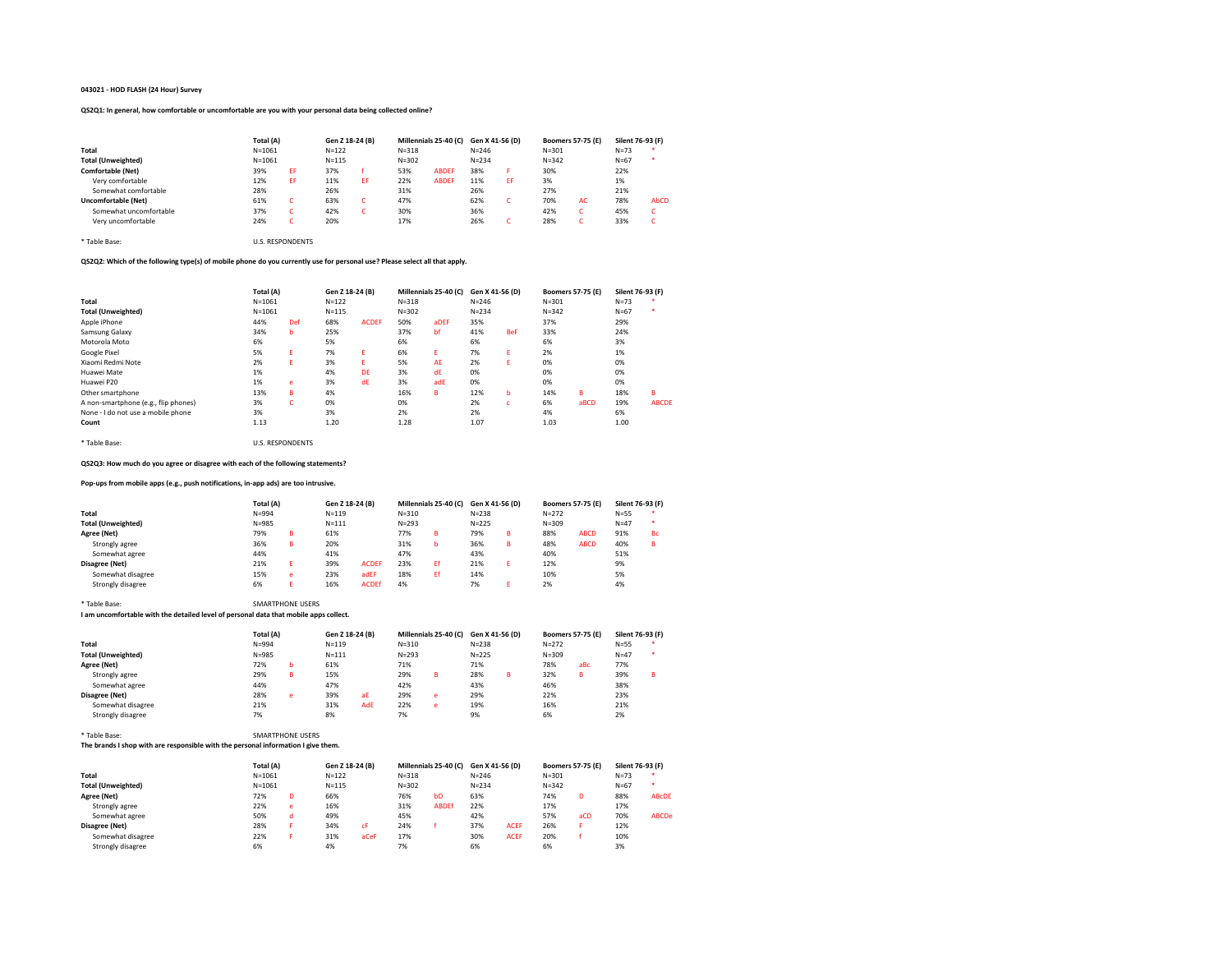# 043021 - HOD FLASH (24 Hour) Survey

# QS2Q1: In general, how comfortable or uncomfortable are you with your personal data being collected online?

|                          | Total (A)  | Gen Z 18-24 (B) |           | Millennials 25-40 (C) Gen X 41-56 (D) |           |              |           |    | <b>Boomers 57-75 (E)</b> | Silent 76-93 (F) |          |           |
|--------------------------|------------|-----------------|-----------|---------------------------------------|-----------|--------------|-----------|----|--------------------------|------------------|----------|-----------|
| Total                    | $N = 1061$ |                 | $N = 122$ |                                       | $N = 318$ |              | $N = 246$ |    | $N = 301$                |                  | $N=73$   |           |
| Total (Unweighted)       | $N = 1061$ |                 | $N = 115$ |                                       | $N = 302$ |              | $N = 234$ |    | $N = 342$                |                  | $N = 67$ | $\bullet$ |
| <b>Comfortable (Net)</b> | 39%        | EF              | 37%       |                                       | 53%       | <b>ABDEF</b> | 38%       | F  | 30%                      |                  | 22%      |           |
| Very comfortable         | 12%        | EF              | 11%       | EF                                    | 22%       | <b>ABDEF</b> | 11%       | ΕF | 3%                       |                  | 1%       |           |
| Somewhat comfortable     | 28%        |                 | 26%       |                                       | 31%       |              | 26%       |    | 27%                      |                  | 21%      |           |
| Uncomfortable (Net)      | 61%        |                 | 63%       |                                       | 47%       |              | 62%       | ι. | 70%                      | AC.              | 78%      | AbCD      |
| Somewhat uncomfortable   | 37%        |                 | 42%       |                                       | 30%       |              | 36%       |    | 42%                      |                  | 45%      | c         |
| Very uncomfortable       | 24%        |                 | 20%       |                                       | 17%       |              | 26%       | ι. | 28%                      |                  | 33%      | c         |

# QS2Q2: Which of the following type(s) of mobile phone do you currently use for personal use? Please select all that apply.

|                                      | Total (A)  | Gen Z 18-24 (B) |           | Millennials 25-40 (C) |           | Gen X 41-56 (D) |           | <b>Boomers 57-75 (E)</b> |           | Silent 76-93 (F) |          |              |
|--------------------------------------|------------|-----------------|-----------|-----------------------|-----------|-----------------|-----------|--------------------------|-----------|------------------|----------|--------------|
| Total                                | $N = 1061$ |                 | $N = 122$ |                       | $N = 318$ |                 | $N = 246$ |                          | $N = 301$ |                  | $N=73$   |              |
| <b>Total (Unweighted)</b>            | $N = 1061$ |                 | $N = 115$ |                       | $N = 302$ |                 | $N = 234$ |                          | $N = 342$ |                  | $N = 67$ | ×            |
| Apple iPhone                         | 44%        | Def             | 68%       | <b>ACDEF</b>          | 50%       | aDEF            | 35%       |                          | 37%       |                  | 29%      |              |
| Samsung Galaxy                       | 34%        | b               | 25%       |                       | 37%       | bf              | 41%       | <b>BeF</b>               | 33%       |                  | 24%      |              |
| Motorola Moto                        | 6%         |                 | 5%        |                       | 6%        |                 | 6%        |                          | 6%        |                  | 3%       |              |
| Google Pixel                         | 5%         | Ε               | 7%        | Ε.                    | 6%        | Ε.              | 7%        | E                        | 2%        |                  | 1%       |              |
| Xiaomi Redmi Note                    | 2%         | E.              | 3%        | F                     | 5%        | AE              | 2%        | E                        | 0%        |                  | 0%       |              |
| Huawei Mate                          | 1%         |                 | 4%        | DE                    | 3%        | dE              | 0%        |                          | 0%        |                  | 0%       |              |
| Huawei P20                           | 1%         | e               | 3%        | dE                    | 3%        | adE             | 0%        |                          | 0%        |                  | 0%       |              |
| Other smartphone                     | 13%        | в               | 4%        |                       | 16%       | R.              | 12%       | ь                        | 14%       | R                | 18%      | B            |
| A non-smartphone (e.g., flip phones) | 3%         | c               | 0%        |                       | 0%        |                 | 2%        | c                        | 6%        | aBCD             | 19%      | <b>ABCDE</b> |
| None - I do not use a mobile phone   | 3%         |                 | 3%        |                       | 2%        |                 | 2%        |                          | 4%        |                  | 6%       |              |
| Count                                | 1.13       |                 | 1.20      |                       | 1.28      |                 | 1.07      |                          | 1.03      |                  | 1.00     |              |

# QS2Q3: How much do you agree or disagree with each of the following statements?

# Pop-ups from mobile apps (e.g., push notifications, in-app ads) are too intrusive.

\* Table Base: U.S. RESPONDENTS

\* Table Base: U.S. RESPONDENTS

|                           | Total (A) |   | Gen Z 18-24 (B) |              | Millennials 25-40 (C) |    | Gen X 41-56 (D) |   | <b>Boomers 57-75 (E)</b> |             | Silent 76-93 (F) |           |
|---------------------------|-----------|---|-----------------|--------------|-----------------------|----|-----------------|---|--------------------------|-------------|------------------|-----------|
| Total                     | $N = 994$ |   | $N = 119$       |              | $N = 310$             |    | $N = 238$       |   | $N = 272$                |             | $N = 55$         |           |
| <b>Total (Unweighted)</b> | $N = 985$ |   | $N = 111$       |              | $N = 293$             |    | $N = 225$       |   | $N = 309$                |             | $N=47$           | ×         |
| Agree (Net)               | 79%       | в | 61%             |              | 77%                   | в  | 79%             | R | 88%                      | <b>ABCD</b> | 91%              | <b>Bc</b> |
| Strongly agree            | 36%       | в | 20%             |              | 31%                   | b  | 36%             | R | 48%                      | <b>ABCD</b> | 40%              | в         |
| Somewhat agree            | 44%       |   | 41%             |              | 47%                   |    | 43%             |   | 40%                      |             | 51%              |           |
| Disagree (Net)            | 21%       |   | 39%             | <b>ACDEF</b> | 23%                   | Ff | 21%             |   | 12%                      |             | 9%               |           |
| Somewhat disagree         | 15%       | e | 23%             | adEF         | 18%                   | Εf | 14%             |   | 10%                      |             | 5%               |           |
| Strongly disagree         | 6%        |   | 16%             | <b>ACDEf</b> | 4%                    |    | 7%              |   | 2%                       |             | 4%               |           |

# \* Table Base: SMARTPHONE USERS

# I am uncomfortable with the detailed level of personal data that mobile apps collect.

|                           | Total (A) |   | Gen Z 18-24 (B) |     | Millennials 25-40 (C) Gen X 41-56 (D) |    |           |   | <b>Boomers 57-75 (E)</b> |     | Silent 76-93 (F) |         |
|---------------------------|-----------|---|-----------------|-----|---------------------------------------|----|-----------|---|--------------------------|-----|------------------|---------|
| Total                     | $N = 994$ |   | $N = 119$       |     | $N = 310$                             |    | $N = 238$ |   | $N = 272$                |     | $N = 55$         | $\cdot$ |
| <b>Total (Unweighted)</b> | $N = 985$ |   | $N = 111$       |     | $N = 293$                             |    | $N = 225$ |   | $N = 309$                |     | $N=47$           | $\star$ |
| Agree (Net)               | 72%       | b | 61%             |     | 71%                                   |    | 71%       |   | 78%                      | aBc | 77%              |         |
| Strongly agree            | 29%       | в | 15%             |     | 29%                                   | R. | 28%       | R | 32%                      | в   | 39%              | B       |
| Somewhat agree            | 44%       |   | 47%             |     | 42%                                   |    | 43%       |   | 46%                      |     | 38%              |         |
| Disagree (Net)            | 28%       | e | 39%             | aE  | 29%                                   | e  | 29%       |   | 22%                      |     | 23%              |         |
| Somewhat disagree         | 21%       |   | 31%             | AdE | 22%                                   | e  | 19%       |   | 16%                      |     | 21%              |         |
| Strongly disagree         | 7%        |   | 8%              |     | 7%                                    |    | 9%        |   | 6%                       |     | 2%               |         |

# \* Table Base: SMARTPHONE USERS

# The brands I shop with are responsible with the personal information I give them.

|                           | Total (A)  |   | Gen Z 18-24 (B) |      | Millennials 25-40 (C) |                | Gen X 41-56 (D) |             | <b>Boomers 57-75 (E)</b> |     | Silent 76-93 (F) |              |
|---------------------------|------------|---|-----------------|------|-----------------------|----------------|-----------------|-------------|--------------------------|-----|------------------|--------------|
| Total                     | $N = 1061$ |   | $N = 122$       |      | $N = 318$             |                | $N = 246$       |             | $N = 301$                |     | $N=73$           |              |
| <b>Total (Unweighted)</b> | $N = 1061$ |   | $N = 115$       |      | $N = 302$             |                | $N = 234$       |             | $N = 342$                |     | $N = 67$         | *            |
| Agree (Net)               | 72%        | D | 66%             |      | 76%                   | b <sub>D</sub> | 63%             |             | 74%                      | D   | 88%              | <b>ABCDE</b> |
| Strongly agree            | 22%        | e | 16%             |      | 31%                   | <b>ABDEf</b>   | 22%             |             | 17%                      |     | 17%              |              |
| Somewhat agree            | 50%        | d | 49%             |      | 45%                   |                | 42%             |             | 57%                      | aCD | 70%              | <b>ABCDe</b> |
| Disagree (Net)            | 28%        |   | 34%             | cF   | 24%                   |                | 37%             | <b>ACEF</b> | 26%                      |     | 12%              |              |
| Somewhat disagree         | 22%        |   | 31%             | aCeF | 17%                   |                | 30%             | <b>ACEF</b> | 20%                      |     | 10%              |              |
| Strongly disagree         | 6%         |   | 4%              |      | 7%                    |                | 6%              |             | 6%                       |     | 3%               |              |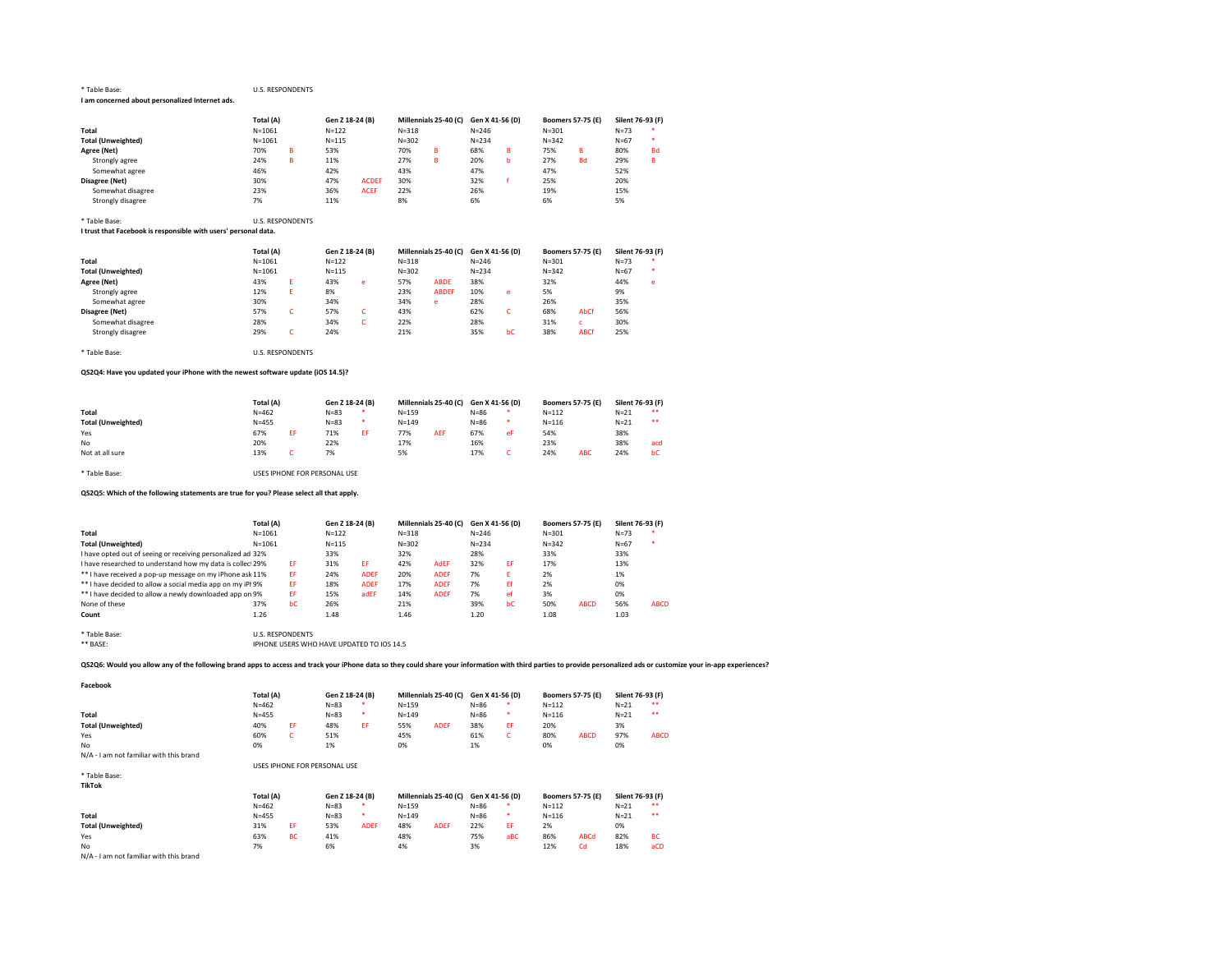#### \* Table Base: U.S. RESPONDENTS I am concerned about personalized Internet ads.

|                           | Total (A)  |   | Gen Z 18-24 (B) |              | Millennials 25-40 (C) Gen X 41-56 (D) |   |           |    | <b>Boomers 57-75 (E)</b> |           | Silent 76-93 (F) |           |
|---------------------------|------------|---|-----------------|--------------|---------------------------------------|---|-----------|----|--------------------------|-----------|------------------|-----------|
| Total                     | $N = 1061$ |   | $N = 122$       |              | $N = 318$                             |   | $N = 246$ |    | $N = 301$                |           | $N=73$           |           |
| <b>Total (Unweighted)</b> | $N = 1061$ |   | $N = 115$       |              | $N = 302$                             |   | $N = 234$ |    | $N = 342$                |           | $N = 67$         |           |
| Agree (Net)               | 70%        | в | 53%             |              | 70%                                   | в | 68%       | R. | 75%                      | в         | 80%              | <b>Bd</b> |
| Strongly agree            | 24%        | в | 11%             |              | 27%                                   | в | 20%       | h  | 27%                      | <b>Bd</b> | 29%              | в         |
| Somewhat agree            | 46%        |   | 42%             |              | 43%                                   |   | 47%       |    | 47%                      |           | 52%              |           |
| Disagree (Net)            | 30%        |   | 47%             | <b>ACDEF</b> | 30%                                   |   | 32%       |    | 25%                      |           | 20%              |           |
| Somewhat disagree         | 23%        |   | 36%             | <b>ACEF</b>  | 22%                                   |   | 26%       |    | 19%                      |           | 15%              |           |
| Strongly disagree         | 7%         |   | 11%             |              | 8%                                    |   | 6%        |    | 6%                       |           | 5%               |           |

# \* Table Base: U.S. RESPONDENTS

I trust that Facebook is responsible with users' personal data.

|                           | Total (A)  |  | Gen Z 18-24 (B) |   | Millennials 25-40 (C) Gen X 41-56 (D) |              |           |    | <b>Boomers 57-75 (E)</b> |             | Silent 76-93 (F) |   |
|---------------------------|------------|--|-----------------|---|---------------------------------------|--------------|-----------|----|--------------------------|-------------|------------------|---|
| Total                     | $N = 1061$ |  | $N = 122$       |   | $N = 318$                             |              | $N = 246$ |    | $N = 301$                |             | $N=73$           |   |
| <b>Total (Unweighted)</b> | $N = 1061$ |  | $N = 115$       |   | $N = 302$                             |              | $N = 234$ |    | $N = 342$                |             | $N = 67$         |   |
| Agree (Net)               | 43%        |  | 43%             | e | 57%                                   | <b>ABDE</b>  | 38%       |    | 32%                      |             | 44%              | e |
| Strongly agree            | 12%        |  | 8%              |   | 23%                                   | <b>ABDEF</b> | 10%       | e  | 5%                       |             | 9%               |   |
| Somewhat agree            | 30%        |  | 34%             |   | 34%                                   | e            | 28%       |    | 26%                      |             | 35%              |   |
| Disagree (Net)            | 57%        |  | 57%             |   | 43%                                   |              | 62%       |    | 68%                      | AbCf        | 56%              |   |
| Somewhat disagree         | 28%        |  | 34%             |   | 22%                                   |              | 28%       |    | 31%                      |             | 30%              |   |
| Strongly disagree         | 29%        |  | 24%             |   | 21%                                   |              | 35%       | bC | 38%                      | <b>ABCf</b> | 25%              |   |

\* Table Base: U.S. RESPONDENTS

# QS2Q4: Have you updated your iPhone with the newest software update (iOS 14.5)?

|                           | Total (A) |  | Gen Z 18-24 (B) |    | Millennials 25-40 (C) |            | Gen X 41-56 (D) |    | <b>Boomers 57-75 (E)</b> |            | Silent 76-93 (F) |     |
|---------------------------|-----------|--|-----------------|----|-----------------------|------------|-----------------|----|--------------------------|------------|------------------|-----|
| Total                     | $N = 462$ |  | $N = 83$        |    | $N = 159$             |            | $N = 86$        |    | $N = 112$                |            | $N=21$           | **  |
| <b>Total (Unweighted)</b> | $N = 455$ |  | $N = 83$        |    | $N = 149$             |            | $N = 86$        |    | $N = 116$                |            | $N=21$           | **  |
| Yes                       | 67%       |  | 71%             | FF | 77%                   | <b>AEF</b> | 67%             | eF | 54%                      |            | 38%              |     |
| No                        | 20%       |  | 22%             |    | 17%                   |            | 16%             |    | 23%                      |            | 38%              | acd |
| Not at all sure           | 13%       |  | 7%              |    | 5%                    |            | 17%             |    | 24%                      | <b>ABC</b> | 24%              | bC  |

\* Table Base: USES IPHONE FOR PERSONAL USE

# QS2Q5: Which of the following statements are true for you? Please select all that apply.

|                                                             | Total (A)                                  |    |           | Gen Z 18-24 (B) |           | Millennials 25-40 (C) |           | Gen X 41-56 (D) | <b>Boomers 57-75 (E)</b> |             | Silent 76-93 (F) |             |
|-------------------------------------------------------------|--------------------------------------------|----|-----------|-----------------|-----------|-----------------------|-----------|-----------------|--------------------------|-------------|------------------|-------------|
| Total                                                       | $N = 1061$                                 |    | $N = 122$ |                 | $N = 318$ |                       | $N = 246$ |                 | $N = 301$                |             | $N=73$           |             |
| <b>Total (Unweighted)</b>                                   | $N = 1061$                                 |    | $N = 115$ |                 | $N = 302$ |                       | $N = 234$ |                 | $N = 342$                |             | $N = 67$         | ×           |
| I have opted out of seeing or receiving personalized ad 32% |                                            |    | 33%       |                 | 32%       |                       | 28%       |                 | 33%                      |             | 33%              |             |
| I have researched to understand how my data is collec 29%   |                                            | EF | 31%       | EF              | 42%       | <b>AdEF</b>           | 32%       | EF              | 17%                      |             | 13%              |             |
| ** I have received a pop-up message on my iPhone ask 11%    |                                            | EF | 24%       | <b>ADEF</b>     | 20%       | <b>ADEF</b>           | 7%        | F               | 2%                       |             | 1%               |             |
| ** I have decided to allow a social media app on my iPI 9%  |                                            | FF | 18%       | <b>ADEF</b>     | 17%       | <b>ADEF</b>           | 7%        | Εf              | 2%                       |             | 0%               |             |
| ** I have decided to allow a newly downloaded app on 9%     |                                            | FF | 15%       | adEF            | 14%       | <b>ADEF</b>           | 7%        | ef              | 3%                       |             | 0%               |             |
| None of these                                               | 37%                                        | bC | 26%       |                 | 21%       |                       | 39%       | bC              | 50%                      | <b>ABCD</b> | 56%              | <b>ABCD</b> |
| Count                                                       | 1.26                                       |    | 1.48      |                 | 1.46      |                       | 1.20      |                 | 1.08                     |             | 1.03             |             |
| * Table Base:                                               | <b>U.S. RESPONDENTS</b>                    |    |           |                 |           |                       |           |                 |                          |             |                  |             |
| ** BASE:                                                    | IPHONE LISERS WHO HAVE UPDATED TO IOS 14.5 |    |           |                 |           |                       |           |                 |                          |             |                  |             |

| U.S. RESPONDENTS                          |
|-------------------------------------------|
| IPHONE USERS WHO HAVE UPDATED TO IOS 14.5 |

QS2Q6: Would you allow any of the following brand apps to access and track your iPhone data so they could share your information with third parties to provide personalized ads or customize your in-app experiences?

Facebook Total (A) Gen Z 18-24 (B) Millennials 25-40 (C) Gen X 41-56 (D) Boomers 57-75 (E) Silent 76-93 (F)<br>N=462 N=83 \* N=159 N=86 \* N=112 N=21 \*\* N=462 N=83 \* N=159 N=86 \* N=112 N=21 \*\* Total N=455 N=83 \* N=149 N=86 \* N=116 N=21 \*\* Total (Unweighted) 40% EF 48% EF 55% ADEF 38% EF 20% 3% Yes 60% C 51% 45% 61% C 80% ABCD 97% ABCD No 0% 1% 0% 1% 0% 0% N/A - I am not familiar with this brand USES IPHONE FOR PERSONAL USE \* Table Base: TikTok Total (A) Gen Z 18-24 (B) Millennials 25-40 (C) Gen X 41-56 (D) Boomers 57-75 (E) Silent 76-93 (F)<br> $N=462$   $N=83$  \*  $N=159$   $N=86$  \*  $N=112$   $N=21$  \*\* N=462 N=83 \* N=159 N=86 \* N=112 N=21 \*\* Total N=455 N=83 \* N=149 N=86 \* N=116 N=21 \*\* Total (Unweighted) 31% EF 53% ADEF 48% ADEF 22% EF 2% 0% Yes 63% BC 41% 48% 75% aBC 86% ABCd 82% BC No 7% 6% 4% 3% 12% Cd 18% aCD

N/A - I am not familiar with this brand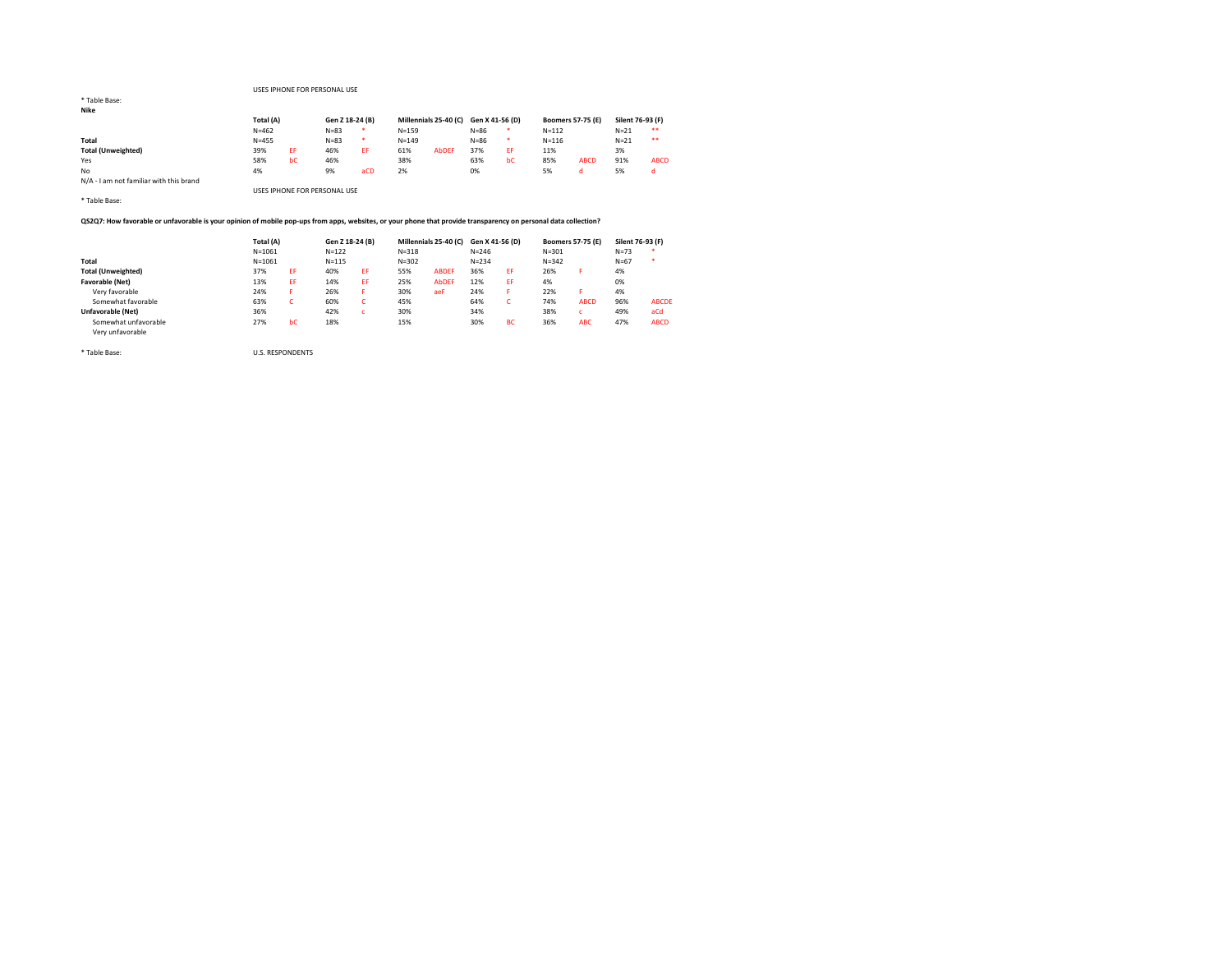# USES IPHONE FOR PERSONAL USE

| <b>INIKE</b>                            |           |           |                              |                 |           |                                       |          |     |           |                          |                  |             |
|-----------------------------------------|-----------|-----------|------------------------------|-----------------|-----------|---------------------------------------|----------|-----|-----------|--------------------------|------------------|-------------|
|                                         |           | Total (A) |                              | Gen Z 18-24 (B) |           | Millennials 25-40 (C) Gen X 41-56 (D) |          |     |           | <b>Boomers 57-75 (E)</b> | Silent 76-93 (F) |             |
|                                         | $N = 462$ |           |                              | $\star$         | $N = 159$ |                                       | $N = 86$ | *   | $N = 112$ |                          | $N=21$           | **          |
| Total                                   | $N = 455$ |           | $N = 83$                     | *               | $N = 149$ |                                       | $N = 86$ | *   | $N = 116$ |                          | $N=21$           | **          |
| <b>Total (Unweighted)</b>               | 39%       | EF        | 46%                          | EF.             | 61%       | <b>AbDEF</b>                          | 37%      | EF. | 11%       |                          | 3%               |             |
| Yes                                     | 58%       | bC        | 46%                          |                 | 38%       |                                       | 63%      | bC  | 85%       | <b>ABCD</b>              | 91%              | <b>ABCD</b> |
| No                                      | 4%        |           | 9%                           | aCD             | 2%        |                                       | 0%       |     | 5%        | d                        | 5%               | d           |
| N/A - I am not familiar with this brand |           |           |                              |                 |           |                                       |          |     |           |                          |                  |             |
|                                         |           |           | USES IPHONE FOR PERSONAL USE |                 |           |                                       |          |     |           |                          |                  |             |

\* Table Base:

# QS2Q7: How favorable or unfavorable is your opinion of mobile pop-ups from apps, websites, or your phone that provide transparency on personal data collection?

|                           |            | Total (A) |           | Gen Z 18-24 (B) |           | Millennials 25-40 (C) Gen X 41-56 (D) |           |           |           | <b>Boomers 57-75 (E)</b> | Silent 76-93 (F) |              |
|---------------------------|------------|-----------|-----------|-----------------|-----------|---------------------------------------|-----------|-----------|-----------|--------------------------|------------------|--------------|
|                           | $N = 1061$ |           | $N = 122$ |                 | $N = 318$ |                                       | $N = 246$ |           | $N = 301$ |                          | $N=73$           | $\bullet$    |
| Total                     | $N = 1061$ |           | $N = 115$ |                 | $N = 302$ |                                       | $N = 234$ |           | $N = 342$ |                          | $N = 67$         | $\bullet$    |
| <b>Total (Unweighted)</b> | 37%        | EF        | 40%       | EF              | 55%       | <b>ABDEF</b>                          | 36%       | EF.       | 26%       |                          | 4%               |              |
| Favorable (Net)           | 13%        | EF        | 14%       | EF              | 25%       | <b>AbDEF</b>                          | 12%       | EF.       | 4%        |                          | 0%               |              |
| Very favorable            | 24%        |           | 26%       |                 | 30%       | aeF                                   | 24%       | F.        | 22%       |                          | 4%               |              |
| Somewhat favorable        | 63%        |           | 60%       |                 | 45%       |                                       | 64%       | c         | 74%       | <b>ABCD</b>              | 96%              | <b>ABCDE</b> |
| Unfavorable (Net)         | 36%        |           | 42%       |                 | 30%       |                                       | 34%       |           | 38%       |                          | 49%              | aCd          |
| Somewhat unfavorable      | 27%        | bC        | 18%       |                 | 15%       |                                       | 30%       | <b>BC</b> | 36%       | <b>ABC</b>               | 47%              | <b>ABCD</b>  |
| Very unfavorable          |            |           |           |                 |           |                                       |           |           |           |                          |                  |              |

\* Table Base: U.S. RESPONDENTS

\* Table Base: Nike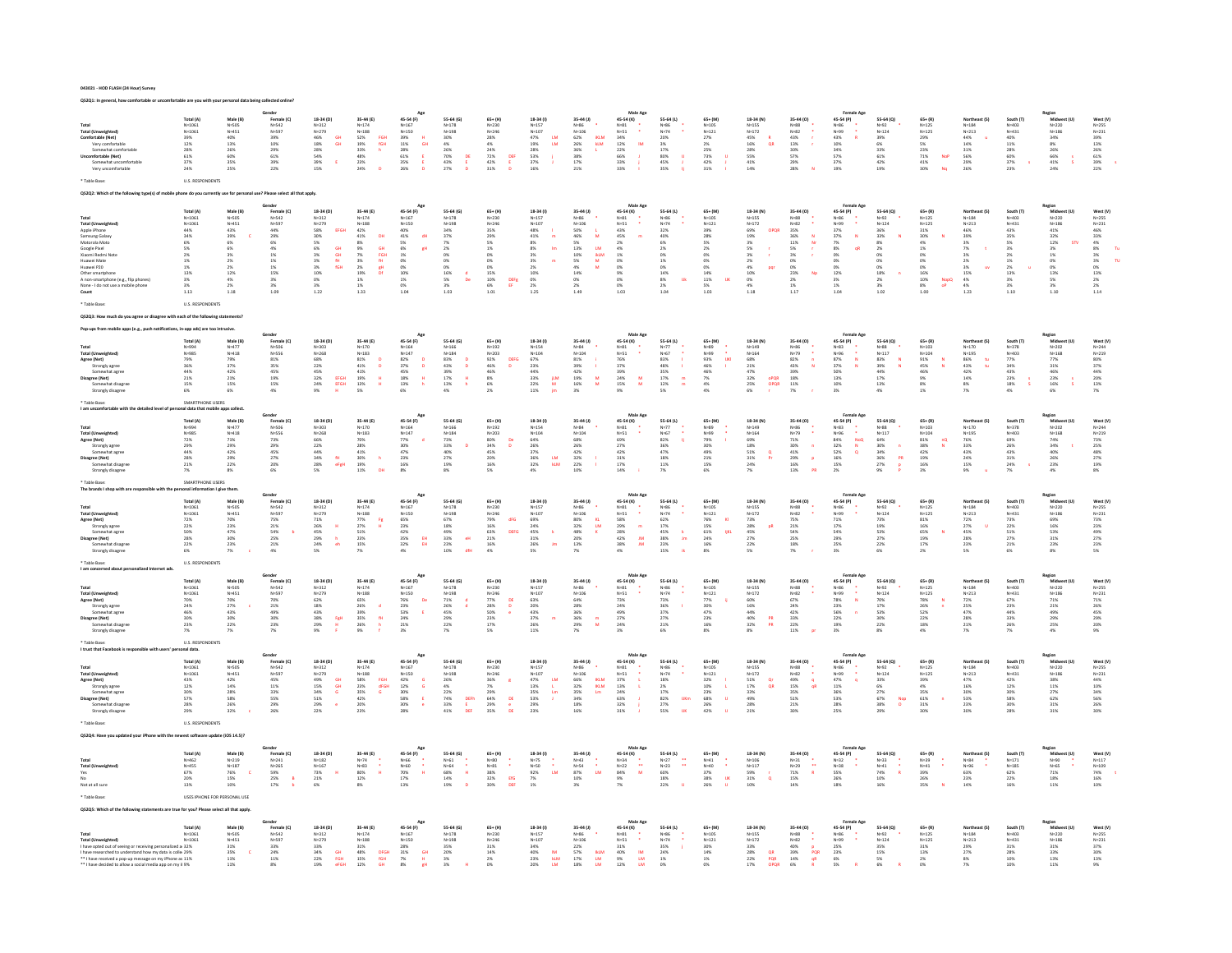|  | 043021 - HOD FLASH (24 Hour) Survey |  |  |  |
|--|-------------------------------------|--|--|--|
|  |                                     |  |  |  |

| Total (Unweighted)<br>Comfortable (Net)<br>Very comfortable<br>Somewhat comfortable<br>Uncomfortable (Net)<br>Somewhat uncomfortabl<br>Very uncomfortable                                                                                                              | Total (A)<br>$N = 1061$<br>N=1001<br>N=1061<br>39%<br>12%<br>12%<br>28%<br>37%<br>24%<br>U.S. RESPONDENT                                    | Male (B)<br>N=505<br>N=451<br>40%<br>13%<br>26%<br>60%<br>35%<br>25%                                                                                                           | Gender<br>Female (C)<br>$N = 542$<br>N=342<br>N=597<br>39%<br>10%<br>29%<br>61%<br>39%<br>22%                                                             | 18-34 (D)<br>$N=312$<br>$N=279$<br>$46\%$<br>$18\%$<br>$28\%$<br>$54\%$<br>$39\%$<br>GH<br>GH<br>i,<br>15%                                                                                   | 35-44 (E)<br>$N = 174$<br>$N = 174$<br>$N = 188$<br>$52%$<br>$33%$<br>$48%$<br>$23%$<br>FGH<br>fGH<br>h<br>24%                                                                                                                   | 45-54 (F)<br>$N = 167$<br>N=107<br>N=150<br>39%<br>11%<br>28%<br>61%<br>H<br>GH<br>$\mathsf{E}$<br>35%<br>26%<br><b>D</b>                                               | 55-64 (G)<br>$N = 178$<br>N=178<br>N=198<br>30%<br>4%<br>43%<br>70%<br>43%<br>27%<br>DE<br>$\mathbf{D}$                                                                                                                                                  | $65+ (H)$<br>N=230<br>$N = 246$<br>28%<br>4%<br>24%<br>22%<br>42%<br>42%<br>DEF<br>E<br>D                                                                                       | 18-34 (I)<br>$N = 157$<br>N=15/<br>N=107<br>47%<br>49%<br>28%<br>33%<br>37%<br>16%<br>$\frac{L M}{L M}$                                                            | 35-44 (J)<br>$N = 86$<br>$N = 106$<br>$62%$<br>$26%$<br>$36%$<br>$38%$<br>$17%$<br>iklm<br>klm<br>21%                                                                            | Male Ag<br>45-54 (K)<br>$N=81$<br>$N=51$<br>$34\%$<br>$12\%$<br>$22\%$<br>$66\%$<br>$33\%$<br><b>IM</b><br>33%           | $55 - 64$ (L)<br>N=86<br>N=74<br>20%<br>3%<br>3%<br>17%<br>80%<br>45%<br>ø<br>35%                                                               | 65+ (M)<br>$N=105$<br>$N=121$<br>27%<br>2%<br>25%<br>25%<br>$42\%$<br>31%                                                                                           | 18-34 (N)<br>$16\%$ N=155<br>N=172<br>45%<br>45%<br>28%<br>55%<br>41%<br>QR<br>14%                                                                             | 35-44 (0)<br>N=88<br>N=82<br>43%<br>43%<br>30%<br>57%<br>29%<br>28%                                                                                               | Female Ag<br>45-54 (P)<br>N=86<br>N=99<br>43%<br>10%<br>34%<br>57%<br>37%<br>19%                                                                       | 55-64 (Q)<br>$N = 92$<br>$N = 124$<br>39%<br>6%<br>33%<br>61%<br>$42\%$<br>19%                                                   | $65 + (R)$<br>$N = 125$<br>$N = 125$<br>29%<br>5%<br>23%<br>71%<br>41%<br>NoP<br>Nq<br>30%                                                                                                      | Northeast (S<br>$N = 184$<br>$N = 213$<br>44%<br>14%<br>31%<br>56%<br>29%<br>26%                                                                               | South (T)<br>$N=403$<br>$N=431$<br>$40%$<br>$11%$<br>$28%$<br>$50%$<br>$37%$<br>23%                                                                              | Region<br>Midwest (U)<br>$N = 220$<br>$\begin{array}{r} \mathsf{N}^{\mathsf{H}} \text{-} \mathsf{22U} \\ \mathsf{N} \text{-} \mathsf{186} \\ \mathsf{34\%} \\ \mathsf{8\%} \\ \mathsf{26\%} \\ \mathsf{66\%} \\ \mathsf{41\%} \\ \mathsf{187} \end{array}$<br>24% | West (V)<br>WEST N=255<br>N=231<br>39%<br>39%<br>26%<br>61%<br>39%<br>22%                                                                                                                |
|------------------------------------------------------------------------------------------------------------------------------------------------------------------------------------------------------------------------------------------------------------------------|---------------------------------------------------------------------------------------------------------------------------------------------|--------------------------------------------------------------------------------------------------------------------------------------------------------------------------------|-----------------------------------------------------------------------------------------------------------------------------------------------------------|----------------------------------------------------------------------------------------------------------------------------------------------------------------------------------------------|----------------------------------------------------------------------------------------------------------------------------------------------------------------------------------------------------------------------------------|-------------------------------------------------------------------------------------------------------------------------------------------------------------------------|----------------------------------------------------------------------------------------------------------------------------------------------------------------------------------------------------------------------------------------------------------|---------------------------------------------------------------------------------------------------------------------------------------------------------------------------------|--------------------------------------------------------------------------------------------------------------------------------------------------------------------|----------------------------------------------------------------------------------------------------------------------------------------------------------------------------------|--------------------------------------------------------------------------------------------------------------------------|-------------------------------------------------------------------------------------------------------------------------------------------------|---------------------------------------------------------------------------------------------------------------------------------------------------------------------|----------------------------------------------------------------------------------------------------------------------------------------------------------------|-------------------------------------------------------------------------------------------------------------------------------------------------------------------|--------------------------------------------------------------------------------------------------------------------------------------------------------|----------------------------------------------------------------------------------------------------------------------------------|-------------------------------------------------------------------------------------------------------------------------------------------------------------------------------------------------|----------------------------------------------------------------------------------------------------------------------------------------------------------------|------------------------------------------------------------------------------------------------------------------------------------------------------------------|-------------------------------------------------------------------------------------------------------------------------------------------------------------------------------------------------------------------------------------------------------------------|------------------------------------------------------------------------------------------------------------------------------------------------------------------------------------------|
|                                                                                                                                                                                                                                                                        |                                                                                                                                             | use for pers                                                                                                                                                                   | Please select all                                                                                                                                         | apply.                                                                                                                                                                                       |                                                                                                                                                                                                                                  |                                                                                                                                                                         |                                                                                                                                                                                                                                                          |                                                                                                                                                                                 |                                                                                                                                                                    |                                                                                                                                                                                  |                                                                                                                          |                                                                                                                                                 |                                                                                                                                                                     |                                                                                                                                                                |                                                                                                                                                                   |                                                                                                                                                        |                                                                                                                                  |                                                                                                                                                                                                 |                                                                                                                                                                |                                                                                                                                                                  |                                                                                                                                                                                                                                                                   |                                                                                                                                                                                          |
|                                                                                                                                                                                                                                                                        |                                                                                                                                             |                                                                                                                                                                                |                                                                                                                                                           |                                                                                                                                                                                              |                                                                                                                                                                                                                                  |                                                                                                                                                                         |                                                                                                                                                                                                                                                          |                                                                                                                                                                                 |                                                                                                                                                                    |                                                                                                                                                                                  |                                                                                                                          |                                                                                                                                                 |                                                                                                                                                                     |                                                                                                                                                                |                                                                                                                                                                   |                                                                                                                                                        |                                                                                                                                  |                                                                                                                                                                                                 |                                                                                                                                                                |                                                                                                                                                                  |                                                                                                                                                                                                                                                                   |                                                                                                                                                                                          |
| Total (Unweighted<br>Apple iPhone<br>Samsung Galaxy<br>Motorola Moto<br>Google Pixel<br>Xiaomi Redmi Not<br>Huawei Mate<br>Huawei P20<br>Other smartphone<br>A non-smartphone (e.g., flip phones)<br>None - I do not use a mobile phone<br>Count<br>Table Base         | Total (A)<br>$N = 1061$<br>N=1061<br>N=1061<br>44%<br>34%<br>5%<br>5%<br>5%<br>1%<br>1%<br>1%<br>1%<br>3%<br>3%<br>1.13<br>U.S. RESPONDENTS | Male (B)<br>$N = 505$<br>$N = 451$<br>$43%$<br>39%<br>6%<br>6%<br>3%<br>$\begin{array}{l} 2\% \\ 2\% \\ 12\% \end{array}$<br>$\begin{array}{l} 4\% \\ 2\% \end{array}$<br>1.18 | Gender<br>Female (C)<br>$N = 542$<br>N=597<br>44%<br>29%<br>6%<br>$4\%$<br>$1\%$<br>$\begin{array}{r} 1\% \\ 1\% \\ 15\% \end{array}$<br>3%<br>3%<br>1.09 | $18-34(D)$<br>$N = 312$<br>N=279<br>58%<br>EFGH<br>$\frac{30\%}{5\%}$<br>$\begin{array}{r} 6\% \\ 3\% \\ 3\% \\ 3\% \\ 3\% \\ 10\% \end{array}$<br>GH<br>GH<br>fH<br>fGH<br>0%<br>3%<br>1.22 | 35-44 (E)<br>$N = 174$<br>N=188<br>42%<br>$\begin{array}{r} 41\% \\ 8\% \\ 9\% \\ 7\% \\ 3\% \\ 2\% \\ 19\% \end{array}$<br><b>DH</b><br>GH<br>FGH<br>fH<br>$\frac{gH}{Dt}$<br>$\begin{array}{c} 1\% \\ 1\% \\ 1.33 \end{array}$ | 45-54 (F)<br>$N = 167$<br>$\begin{array}{r} N{=}150 \\ 40\% \\ 41\% \\ 5\% \\ 6\% \\ 6\% \\ 1\% \\ 0\% \\ 10\% \\ 10\% \\ 10\% \\ 10\% \\ 1.04 \end{array}$<br>dH<br>gH | $55-64(6)$<br>$N = 178$<br>$N=198$<br>$34\%$<br>$37\%$<br>$7\%$<br>$\begin{array}{l} 2\% \\ 0\% \end{array}$<br>0%<br>0%<br>16%<br>5%<br>3%<br>3%<br>1.03<br>d<br>De                                                                                     | $65+ (H)$<br>N=230<br>$N=246$<br>35%<br>29%<br>5%<br>$\begin{array}{l} 1\% \\ 0\% \end{array}$<br>0%<br>0%<br>0%<br>15%<br>10%<br>6%<br>1.01<br>$\frac{\text{DEFg}}{\text{EF}}$ | 18-34 (I)<br>$N = 157$<br>$N=107$<br>48%<br>$41\%$<br>$\blacksquare$<br>$8\%$<br>8%<br>3%<br>3%<br>2%<br>10%<br>0%<br>2%<br>1.25                                   | 35-44 (J)<br>$\begin{array}{l} N{=}86\\ N{=}106\\ S0\%\\ 46\%\\ 5\%\\ 13\%\\ 10\%\\ 5\%\\ 4\%\\ 14\%\\ 0\%\\ 2\%\\ \end{array}$<br>$\frac{1}{M}$<br>LM<br>IKLM<br>M<br>M<br>1.49 | Male Age<br>45-54 (K)<br>$N = 81$<br>N=51<br>43%<br>45%<br>2%<br>2%<br>4%<br>0%<br>0%<br>0%<br>0%<br>1.03                | 55-64 (L)<br>N=86<br>N=74<br>32%<br>40%<br>6%<br>2%<br>0%<br>$\begin{array}{l} 1\% \\ 0\% \\ 14\% \end{array}$<br>8%<br>2%<br><b>Uk</b><br>1.04 | 65+ (M)<br>$N = 105$<br>$N = 121$<br>39%<br>28%<br>5%<br>$\frac{2\%}{0\%}$<br>0%<br>0%<br>14%<br>$\begin{array}{l} 11\% \\ 5\% \\ 1.03 \end{array}$<br>$\mathbf{u}$ | 18-34 (N)<br>$N=155$<br>N=133<br>N=172<br>69%<br>19%<br>19%<br>OPQR<br>5%<br>3%<br>2%<br>4%<br>10%<br>pqi<br>$\begin{array}{c} 0\% \\ 4\% \end{array}$<br>1.18 | 35-44 (0)<br>N=88<br>N=82<br>35%<br>36%<br>36%<br>11%<br>$\frac{N}{Nr}$<br>5%<br>3%<br>0%<br>0%<br>23%<br>Np<br>$\begin{array}{l} 2\% \\ 1\% \end{array}$<br>1.17 | 45-54 (P)<br>N=86<br>N=99<br>37%<br>37%<br>37%<br>7%<br>8%<br>0%<br>$\boldsymbol{\mathsf{N}}$<br>of<br>0%<br>0%<br>12%<br>$3\%$<br>$1\%$<br>1.04       | $55 - 64 (Q)$<br>$N=92$<br>$N=124$<br>36%<br>33%<br>33%<br>$\bar{N}$<br>$\frac{2\%}{0\%}$<br>0%<br>0%<br>18%<br>2%<br>3%<br>1.02 | $65 + (R)$<br>$N = 125$<br>$N = 125$<br>31%<br>30%<br>4%<br>$\begin{array}{l} 1\% \\ 0\% \end{array}$<br>$\begin{array}{r} 0\% \\ 0\% \\ 16\% \\ 10\% \\ 8\% \\ 1.00 \end{array}$<br>NopQ<br>oP | Northeast (S<br>$N = 184$<br>$N = 213$<br>46%<br>39%<br>3%<br>7%<br>3%<br>2%<br>3%<br>15%<br>$\mathbf{u}$<br>$\begin{array}{l} 4\% \\ 4\% \\ 1.23 \end{array}$ | South (T)<br>$N = 403$<br>$N = 431$<br>$43%$<br>35%<br>5%<br>$\frac{3\%}{2\%}$<br>$\begin{array}{l} 1\% \\ 2\% \\ 13\% \end{array}$<br>$\frac{3\%}{3\%}$<br>1.10 | Region<br>Midwest (U<br>$N = 220$<br>$N = 186$<br>41%<br>32%<br>12%<br><b>STV</b><br>$_{1\%}^{3\%}$<br>$\begin{array}{c} 0\% \\ 0\% \\ 13\% \end{array}$<br>$\frac{5\%}{3\%}$<br>1.10                                                                             | West (V)<br>$N = 255$<br>$\begin{array}{r} \mathsf{N} = 231 \\ 46\% \\ 33\% \\ 4\% \\ 3\% \\ 3\% \\ 3\% \\ 3\% \\ 3\% \\ 2\% \\ 13\% \\ 2\% \\ 1.14 \end{array}$<br>Tu<br>$\overline{u}$ |
|                                                                                                                                                                                                                                                                        |                                                                                                                                             |                                                                                                                                                                                |                                                                                                                                                           |                                                                                                                                                                                              |                                                                                                                                                                                                                                  |                                                                                                                                                                         |                                                                                                                                                                                                                                                          |                                                                                                                                                                                 |                                                                                                                                                                    |                                                                                                                                                                                  |                                                                                                                          |                                                                                                                                                 |                                                                                                                                                                     |                                                                                                                                                                |                                                                                                                                                                   |                                                                                                                                                        |                                                                                                                                  |                                                                                                                                                                                                 |                                                                                                                                                                |                                                                                                                                                                  |                                                                                                                                                                                                                                                                   |                                                                                                                                                                                          |
|                                                                                                                                                                                                                                                                        |                                                                                                                                             |                                                                                                                                                                                |                                                                                                                                                           |                                                                                                                                                                                              |                                                                                                                                                                                                                                  |                                                                                                                                                                         |                                                                                                                                                                                                                                                          |                                                                                                                                                                                 |                                                                                                                                                                    |                                                                                                                                                                                  |                                                                                                                          |                                                                                                                                                 |                                                                                                                                                                     |                                                                                                                                                                |                                                                                                                                                                   |                                                                                                                                                        |                                                                                                                                  |                                                                                                                                                                                                 |                                                                                                                                                                |                                                                                                                                                                  |                                                                                                                                                                                                                                                                   |                                                                                                                                                                                          |
| Total<br>Total (Unweighted)<br>Agree (Net)<br>Strongly agree<br>Somewhat agree<br><b>Disagree (Net)</b><br>Somewhat disagre<br>Strongly disagree<br>* Table Rase                                                                                                       | Total (A)<br>N=994<br>N=985<br>79%<br>36%<br>44%<br>21%<br>15%<br>6%<br>SMARTPHONE LISERS                                                   | Male (B)<br>$N = 477$<br>$N = 418$<br>79%<br>37%<br>42%<br>21%<br>15%                                                                                                          | Gender<br>Female (C)<br>N=506<br>N=556<br>$\begin{array}{c} 81\% \\ 35\% \end{array}$<br>45%<br>$\frac{19\%}{15\%}$<br>4%                                 | 18-34 (D)<br>N=303<br>N=268<br>68%<br>22%<br>45%<br>32%<br>24%<br>EFGH<br>EFGH                                                                                                               | 35-44 (E)<br>$N=170$<br>$N=183$<br>$\begin{array}{l} 81\% \\ 41\% \end{array}$<br>$\overline{a}$<br>$\begin{array}{r} 41\% \\ 19\% \\ 13\% \\ 5\% \end{array}$<br>$\frac{H}{H}$                                                  | Ago<br>45-54 (F)<br>$N=164$<br>$N=147$<br>82%<br>37%<br>45%<br>18%<br>13%<br>$\overset{\mathsf{D}}{\mathsf{D}}$<br>$\frac{H}{h}$<br>6%                                  | 55-64 (G)<br>$N=166$<br>$N=184$<br>83%<br>43%<br>43%<br>39%<br>17%<br>13%<br>$\overset{\mathsf{D}}{\mathsf{D}}$<br>$\frac{H}{h}$<br>4%                                                                                                                   | $65 + (H)$<br>$N = 192$<br>$N = 203$<br>92%<br>46%<br>DEFG<br>D<br>$46%$<br>$8%$<br>$6%$<br>$2%$                                                                                | 18-34 (1)<br>$N = 154$<br>$N = 104$<br>67%<br>23%<br>44%<br>$\frac{33\%}{22\%}$<br>$_{\rm M}^{\rm BM}$<br>$11\%$                                                   | $35-44(1)$<br>$N=84$<br>$N=104$<br>$\begin{array}{r} 81\% \\ 39\% \\ 42\% \\ 19\% \\ 16\% \end{array}$<br>÷<br>$\frac{M}{M}$<br>3%                                               | Male Ag<br>45-54 (K)<br>$N = 81$<br>$N = 51$<br>76%<br>37%<br>39%<br>24%<br>24%<br>M<br>9%                               | 55-64 (L)<br>$N=77$<br>$N=67$<br>83%<br>48%<br>48%<br>35%<br>17%<br>12%<br>÷,<br>$\frac{m}{m}$                                                  | $65 + (M)$<br>$N = 89$<br>$N = 99$<br>93%<br>46%<br>$\frac{1}{4}$<br>$\begin{array}{c} 46\% \\ 7\% \\ 4\% \end{array}$<br>4%                                        | 18-34 (N)<br>N=149<br>N=164<br>68%<br>21%<br>47%<br>32%<br>25%<br>opQR<br>OpQR<br>6%                                                                           | 35-44 (O)<br>N=86<br>N=79<br>$\frac{82\%}{43\%}$<br>$\frac{n}{N}$<br>39%<br>18%<br>11%<br>7%                                                                      | Female Age<br>45-54 (P)<br>N=83<br>N=96<br>+<br>87%<br>N<br>37%<br>13%<br>10%<br>~<br>3%                                                               | 55-64 (Q)<br>$N=88$<br>$N=117$<br>83%<br>83%<br>44%<br>47%<br>17%<br>$\frac{\mathsf{N}}{\mathsf{N}}$<br>$4\%$                    | $65 + (R)$<br>$N=103$<br>$N=104$<br>91%<br>45%<br>$\begin{array}{l} 46\% \\ 9\% \\ 8\% \\ 1\% \end{array}$                                                                                      | Northeast (S)<br>$N=170$<br>$N=195$<br>$\frac{tu}{tu}$<br>7%                                                                                                   | South (T)<br>$N=378$<br>$N=403$<br>77%<br>34%<br>43%<br>23%<br>18%<br>4%                                                                                         | Region<br>Midwest (U)<br>N=202<br>N=202<br>77%<br>31%<br>46%<br>23%<br>16%<br>6%                                                                                                                                                                                  | West (V)<br>$N = 244$<br>$N = 219$<br>80%<br>80%<br>87%<br>44%<br>20%<br>13%                                                                                                             |
|                                                                                                                                                                                                                                                                        |                                                                                                                                             |                                                                                                                                                                                |                                                                                                                                                           |                                                                                                                                                                                              |                                                                                                                                                                                                                                  |                                                                                                                                                                         |                                                                                                                                                                                                                                                          |                                                                                                                                                                                 |                                                                                                                                                                    |                                                                                                                                                                                  |                                                                                                                          |                                                                                                                                                 |                                                                                                                                                                     |                                                                                                                                                                |                                                                                                                                                                   |                                                                                                                                                        |                                                                                                                                  |                                                                                                                                                                                                 |                                                                                                                                                                |                                                                                                                                                                  |                                                                                                                                                                                                                                                                   |                                                                                                                                                                                          |
| Total<br>Total (Unweighted)<br>Agree (Net)<br>Strongly agree<br>Somewhat agree<br>Disagree (Net)<br>Somewhat disagre<br>Strongly disagree                                                                                                                              | Total (A)<br>N=994<br>$N = 985$<br>$72%$<br>29%<br>44%<br>28%<br>21%<br>7%                                                                  | Male (B)<br>N=477<br>N=418<br>71%<br>29%<br>42%<br>29%<br>22%<br>8%                                                                                                            | Gender<br>Female (C)<br>N=506<br>N=556<br>73%<br>29%<br>45%<br>27%<br>20%<br>6%                                                                           | 18-34 (D)<br>N=303<br>$N = 268$<br>66%<br>22%<br>44%<br>34%<br>28%<br>$_{\rm{fit}}$<br>eFgH<br>5%                                                                                            | 35-44 (E)<br>$N=170$<br>$N=183$<br>$70\%$<br>$\begin{array}{r} 28\% \\ 41\% \\ 30\% \\ 19\% \\ 11\% \end{array}$<br>$\,$ h                                                                                                       | Age<br>45-54 (F)<br>$N=164$<br>$N=147$<br>$77%$<br>30%<br>47%<br>23%<br>16%<br>8%                                                                                       | 55-64 (G)<br>$N = 166$<br>N=166<br>N=184<br>73%<br>33%<br>33%<br>40%<br>27%<br>8%                                                                                                                                                                        | $\begin{array}{c} 65+ (H) \\ \mathsf{N} \texttt{+} 192 \end{array}$<br>N-174<br>N-203<br>80%<br>80%<br>34%<br>45%<br>20%<br>16%<br><b>De</b><br>$\overline{D}$<br>$5\%$         | $18 - 34(1)$<br>$N = 154$<br>$N=104$<br>64%<br>26%<br>37%<br>36%<br>32%<br>$\frac{\text{LM}}{\text{kLM}}$<br>$4\%$                                                 | 35-44 (J)<br>N=84<br>N=104<br>68%<br>26%<br>42%<br>32%<br>22%<br>10%                                                                                                             | Male Age<br>45-54 (K)<br>$N = 81$<br>N=51<br>69%<br>27%<br>42%<br>42%<br>31%<br>14%                                      | 55-64 (L)<br>N=77<br>N=67<br>82%<br>36%<br>47%<br>18%<br>11%<br>7%                                                                              | 65+ (M)<br>N=89<br>$N = 99$<br>79%<br>30%<br>49%<br>21%<br>15%<br>6%                                                                                                | 18-34 (N)<br>$N = 1.49$<br>$N=164$<br>69%<br>18%<br>51%<br>31%<br>$\frac{\mathbf{q}}{\mathbf{p}_\mathrm{f}}$<br>24%<br>7%                                      | 35-44 (0)<br>N=86<br>N=79<br>71%<br>30%<br>41%<br>41%<br>29%<br>16%<br>$\ddot{\phantom{1}}$<br>$\blacksquare$<br>$\mathbf{p}$<br>$13\%$                           | Female Age<br>45-54 (P)<br>N=83<br>¥<br>N=96<br>84%<br>32%<br>52%<br>16%<br>15%<br>$\begin{array}{c}\nN\text{ OQ} \\ N\text{ O}\n\end{array}$<br>$2\%$ | 55-64 (Q)<br>N=88<br>N=50<br>N=117<br>64%<br>30%<br>34%<br>36%<br>27%<br>$\alpha$<br>PR<br>P<br>P<br>9%                          | $\begin{array}{c} 65+ (R) \\ \mathsf{N} = 103 \end{array}$<br>N=104<br>81%<br>nQ<br>38%<br>42%<br>42%<br>19%<br>16%<br>N                                                                        | Northeast (S)<br>$N = 170$<br>N=170<br>N=195<br>76%<br>33%<br>43%<br>43%<br>24%<br>15%<br>9%                                                                   | South (T)<br>N=378<br>$N=403$<br>69%<br>26%<br>26%<br>43%<br>31%<br>24%<br>$7\%$                                                                                 | Region<br>Midwest (U)<br>$_{\rm N=202}$<br>N=202<br>N=168<br>74%<br>34%<br>40%<br>26%<br>26%<br>4%                                                                                                                                                                | West (V)<br>$_{\mathrm{N=244}}$<br>N=4++<br>N=219<br>73%<br>25%<br>48%<br>27%<br>19%<br>19%                                                                                              |
| * Table Base                                                                                                                                                                                                                                                           | SMARTPH                                                                                                                                     |                                                                                                                                                                                |                                                                                                                                                           |                                                                                                                                                                                              |                                                                                                                                                                                                                                  |                                                                                                                                                                         |                                                                                                                                                                                                                                                          |                                                                                                                                                                                 |                                                                                                                                                                    |                                                                                                                                                                                  |                                                                                                                          |                                                                                                                                                 |                                                                                                                                                                     |                                                                                                                                                                |                                                                                                                                                                   |                                                                                                                                                        |                                                                                                                                  |                                                                                                                                                                                                 |                                                                                                                                                                |                                                                                                                                                                  |                                                                                                                                                                                                                                                                   |                                                                                                                                                                                          |
| The brands I shop with are re-                                                                                                                                                                                                                                         |                                                                                                                                             | ion I give them                                                                                                                                                                | Gender                                                                                                                                                    |                                                                                                                                                                                              |                                                                                                                                                                                                                                  | Ago                                                                                                                                                                     |                                                                                                                                                                                                                                                          |                                                                                                                                                                                 |                                                                                                                                                                    |                                                                                                                                                                                  | Male Ago                                                                                                                 |                                                                                                                                                 |                                                                                                                                                                     |                                                                                                                                                                |                                                                                                                                                                   | Female Age                                                                                                                                             |                                                                                                                                  |                                                                                                                                                                                                 |                                                                                                                                                                |                                                                                                                                                                  |                                                                                                                                                                                                                                                                   |                                                                                                                                                                                          |
| Total<br>Total (Unweighted)<br>Agree (Net)<br>Strongly agree<br>Somewhat agree<br><b>Disagree (Net)</b><br>Somewhat disagree<br>Strongly disagree                                                                                                                      | Total (A)<br>$N = 1061$<br>N=1061<br>N=1061<br>72%<br>22%<br>28%<br>28%<br>28%                                                              | Male (B)<br>$N = 505$<br>$N = 451$<br>70%<br>23%<br>47%<br>30%<br>7%                                                                                                           | Female (C)<br>N=542<br>N=597<br>75%<br>$\begin{array}{l} 21\% \\ 54\% \end{array}$<br>25%<br>$_{21\%}$<br>4%                                              | 18-34 (D)<br>$N = 312$<br>$N=279$<br>$71%$<br>26%<br>45%<br>29%<br>24%<br><b>H</b><br>$\frac{h}{e h}$<br>5%                                                                                  | 35-44 (E)<br>$N = 174$<br>N=1/*<br>N=188<br>77%<br>27%<br>23%<br>23%<br>15%<br>15%<br>Fg.<br>7%                                                                                                                                  | 45-54 (F)<br>$N = 167$<br>N=150<br>N=150<br>65%<br>23%<br>42%<br>35%<br>32%<br>$\frac{\text{EH}}{\text{EH}}$                                                            | 55-64 (G)<br>$N = 178$<br>$\begin{array}{l} \mathsf{N}{=} \mathsf{176} \\ \mathsf{N}{=} \mathsf{198} \\ \mathsf{67\%} \\ \mathsf{18\%} \\ \mathsf{49\%} \\ \mathsf{33\%} \\ \mathsf{23\%} \\ \mathsf{10\%} \end{array}$<br>$\mathsf{e}\mathsf{H}$<br>dfe | $65+ (H)$<br>N=230<br>N=430<br>N=246<br>79%<br>16%<br>16%<br>21%<br>16%<br>$\mathsf{dFG}$<br>DEFG                                                                               | $18-34(1)$<br>$N = 157$<br>N=13/<br>N=107<br>69%<br>24%<br>45%<br>45%<br>31%<br>26%<br>$\mathbf{k}$<br>5%                                                          | 35-44 (J)<br>$N = 86$<br>N=8b<br>N=106<br>80%<br>32%<br>48%<br>48%<br>20%<br>13%<br>$\frac{\text{KL}}{\text{LM}}$<br>7%                                                          | 45-54 (K)<br>N=81<br>N=51<br>58%<br>29%<br>28%<br>28%<br>42%<br>38%<br>$\sim$<br>$\blacksquare$<br>$\frac{3M}{2M}$       | 55-64 (L)<br>N=86<br>N=74<br>62%<br>17%<br>45%<br>38%<br>23%<br>23%<br>×<br><b>Jm</b>                                                           | $65 + (M)$<br>$N = 105$<br>N=102<br>N=121<br>76%<br>15%<br>61%<br>24%<br>$\mathbf{x}$<br>100<br>$16\%$<br>8%                                                        | 18-34 (N)<br>$N = 155$<br>N=172<br>N=172<br>73%<br>28%<br>45%<br>45%<br>22%<br>5%                                                                              | 35-44 (0)<br>$N = 88$<br>N=82<br>75%<br>21%<br>54%<br>54%<br>$\sim$<br>$\frac{18\%}{7\%}$                                                                         | 45-54 (P)<br>N=86<br>N=99<br>71%<br>17%<br>54%<br>29%<br>25%<br>3%                                                                                     | 55-64 (Q)<br>N=92<br>$N=124$<br>73%<br>19%<br>53%<br>27%<br>22%<br>6%                                                            | $65 + (R)$<br>$N = 125$<br>$N=125$<br>$81%$<br>$\begin{array}{r} 16\% \\ 65\% \\ 19\% \\ 17\% \\ 2\% \end{array}$                                                                               | Northeast (S)<br>$N = 184$<br>N=104<br>N=213<br>72%<br>27%<br>45%<br>45%<br>23%<br>5%                                                                          | South (T)<br>$N = 403$<br>$N=431$<br>73%<br>22%<br>51%<br>27%<br>21%<br>6%                                                                                       | Region<br>Midwest (U)<br>N=220<br>N=186<br>69%<br>16%<br>16%<br>53%<br>31%<br>23%<br>8%                                                                                                                                                                           | West (V)<br>$N = 255$<br>N=255<br>N=231<br>73%<br>23%<br>49%<br>27%<br>23%<br>5%                                                                                                         |
| * Table Base                                                                                                                                                                                                                                                           | U.S. RESP                                                                                                                                   |                                                                                                                                                                                |                                                                                                                                                           |                                                                                                                                                                                              |                                                                                                                                                                                                                                  |                                                                                                                                                                         |                                                                                                                                                                                                                                                          |                                                                                                                                                                                 |                                                                                                                                                                    |                                                                                                                                                                                  |                                                                                                                          |                                                                                                                                                 |                                                                                                                                                                     |                                                                                                                                                                |                                                                                                                                                                   |                                                                                                                                                        |                                                                                                                                  |                                                                                                                                                                                                 |                                                                                                                                                                |                                                                                                                                                                  |                                                                                                                                                                                                                                                                   |                                                                                                                                                                                          |
| I am concerned<br>Total (Unweighted)<br>Agree (Net)<br>Strongly agree<br>Somewhat agree<br><b>Disagree (Net)</b><br>Somewhat disagre<br>Strongly disagree                                                                                                              | Total (A)<br>$N=1061$<br>$N=1061$<br>70%<br>24%<br>46%<br>30%<br>23%<br>$7\%$                                                               | Male (B)<br>N=505<br>N=451<br>70%<br>27%<br>43%<br>30%<br>22%<br>7%                                                                                                            | Gender<br>Female (C)<br>N=542<br>N=597<br>70%<br>21%<br>49%<br>30%<br>23%<br>$7\%$                                                                        | 18-34 (D)<br>$N = 312$<br>$N = 279$<br>$\begin{array}{r} 62\% \\ 18\% \\ 43\% \\ 38\% \\ 29\% \end{array}$<br>$_{\rm H}^{\rm FgH}$<br>9%                                                     | 35-44 (E)<br>$N=174$<br>$N=188$<br>65%<br>26%<br>39%<br>35%<br>26%<br>$\mathbf d$<br>$-64$<br>9%                                                                                                                                 | 45-54 (F)<br>$N=167$<br>$N=150$<br>76%<br>23%<br>53%<br>24%<br>21%<br>De<br>$\mathbf{E}$<br>3%                                                                          | 55-64 (G)<br>53-84 (4)<br>N=178<br>N=198<br>71%<br>26%<br>45%<br>29%<br>7%                                                                                                                                                                               | $65+ (H)$<br>65+ (m)<br>N=230<br>N=246<br>77%<br>28%<br>50%<br>23%<br>17%<br>$\frac{\mathsf{DE}}{\mathsf{D}}$<br>5%                                                             | $18-34(1)$<br>$N=157$<br>$N=107$<br>63%<br>20%<br>43%<br>37%<br>26%<br>11%                                                                                         | $35-44(1)$<br>$N=86$<br>$N=106$<br>64%<br>28%<br>36%<br>36%<br>29%<br>$\begin{array}{c}\nm\\ M\n\end{array}$<br>7%                                                               | Male Ag<br>45-54 (K)<br>$N=81$<br>$N=51$<br>73%<br>24%<br>24%<br>27%<br>24%<br>3%                                        | 55-64 (L)<br>N=86<br>N=74<br>73%<br>36%<br>37%<br>27%<br>21%<br>6%                                                                              | $65+ (M)$<br>$N=105$<br>$N=121$<br>$\begin{array}{r} 77\% \\ 30\% \\ 47\% \end{array}$<br>23%<br>16%<br>8%                                                          | 18-34 (N)<br>$N=155$<br>$N=172$<br>60%<br>16%<br>44%<br>40%<br>32%<br>PR<br>PR<br>$8\%$                                                                        | $35-44(0)$<br>N=88<br>N=82<br>$\begin{array}{r} 67\% \\ 24\% \\ 42\% \\ 33\% \\ 22\% \end{array}$<br>11%                                                          | Female<br>45-54 (P)<br>$N=86$<br>$N=99$<br>78%<br>23%<br>$\mathbf{N}$<br>56%<br>22%<br>19%<br>3%                                                       | 55-64 (Q)<br>$N = 92$<br>$N = 124$<br>70%<br>17%<br>53%<br>30%<br>$22\%$<br>8%                                                   | $65 + (R)$<br>$N=125$<br>$N=125$<br>78%<br>26%<br>52%<br>52%<br>22%<br>4%                                                                                                                       | Northeast (S)<br>$N=184$<br>$N=213$<br>72%<br>25%<br>47%<br>28%<br>21%<br>7%                                                                                   | South (T)<br>N=403<br>N=431<br>67%<br>23%<br>44%<br>33%<br>26%<br>$7\%$                                                                                          | Region<br>Midwest (U)<br>N=220<br>N=186<br>71%<br>21%<br>49%<br>29%<br>25%<br>$4\%$                                                                                                                                                                               | West (V)<br>$N=255$<br>$N=231$<br>71%<br>26%<br>45%<br>29%<br>20%<br>9%                                                                                                                  |
| Table Base<br>I trust that Fac                                                                                                                                                                                                                                         | U.S. RESPONDENTS                                                                                                                            |                                                                                                                                                                                |                                                                                                                                                           |                                                                                                                                                                                              |                                                                                                                                                                                                                                  |                                                                                                                                                                         |                                                                                                                                                                                                                                                          |                                                                                                                                                                                 |                                                                                                                                                                    |                                                                                                                                                                                  |                                                                                                                          |                                                                                                                                                 |                                                                                                                                                                     |                                                                                                                                                                |                                                                                                                                                                   |                                                                                                                                                        |                                                                                                                                  |                                                                                                                                                                                                 |                                                                                                                                                                |                                                                                                                                                                  |                                                                                                                                                                                                                                                                   |                                                                                                                                                                                          |
| <b>Total (Unweighted)</b><br>Agree (Net)<br>Strongly agree<br>Somewhat agree<br><b>Disagree (Net)</b><br>Somewhat disagre<br>Strongly disagree                                                                                                                         | Total (A)<br>$N=1061$<br>$N=1061$<br>43%<br>12%<br>30%<br>57%<br>28%<br>29%                                                                 | Male (B)<br>N=505<br>N=451<br>$\frac{42\%}{14\%}$<br>28%<br>$\frac{58\%}{26\%}$<br>32%                                                                                         | Female (C)<br>N=542<br>N=597<br>45%<br>11%<br>33%<br>55%<br>29%<br>26%                                                                                    | 18-34 (D)<br>$N=312$<br>$N=279$<br>49%<br>49%<br>15%<br>34%<br>51%<br>29%<br>GH<br>GH<br>G<br>$\ddot{\phantom{a}}$<br>22%                                                                    | 35-44 (E)<br>35-44 (4)<br>N=174<br>N=188<br>S8%<br>23%<br>35%<br>42%<br>FGH<br>dFGH<br>23%                                                                                                                                       | Ago<br>45-54 (F)<br>$\frac{6}{6}$<br>$\mathsf E$<br>28%                                                                                                                 | 55-64 (G)<br>$N = 178$<br>$N = 198$<br>26%<br>4%<br>22%<br>74%<br>33%<br>DEFh<br>Æ.<br>41%<br>DEF                                                                                                                                                        | $65+ (H)$<br>$N=230$<br>$N=246$<br>36%<br>7%<br>29%<br>64%<br>29%<br>35%<br>$\begin{array}{c} \text{DE} \\ \text{e} \\ \text{DE} \end{array}$                                   | 18-34 (1)<br>$N=157$<br>$N=107$<br>47%<br>47%<br>35%<br>35%<br>53%<br>$\begin{array}{c} \mathsf{LM} \\ \mathsf{L} \\ \mathsf{Lm} \\ \mathsf{J} \end{array}$<br>23% | 35-44 (J)<br>35 = 4 1<br>N=86<br>N=106<br>66%<br>32%<br>35%<br>34%<br>18%<br>IKLM<br>IKLM<br>Lm<br>16%                                                                           | Male Ag<br>45-54 (K)<br>N=81<br>N=81<br>N=51<br>37%<br>37%<br>24%<br>63%<br>$\mathbf{L}$<br>31%                          | 55-64 (L)<br>1984<br>N=86<br>N=74<br>18%<br>2%<br>17%<br>82%<br>à,<br><b>UKm</b><br>55%                                                         | $65 + (M)$<br>$N=105$<br>$N=121$<br>32%<br>10%<br>23%<br>68%<br>68%<br>×.<br>$\mathbf{u}$<br>42%                                                                    | 18-34 (N)<br>$N=155$<br>$N=172$<br>$51\%$<br>$17\%$<br>$33\%$<br>$49\%$<br>$28\%$<br>$\mathbf{Q} \mathbf{r}$<br>QR<br>21%                                      | $35-44(0)$<br>N=88<br>N=82<br>A9%<br>15%<br>35%<br>×,<br>$\mathsf q$<br><b>QR</b><br>$\frac{51\%}{21\%}$<br>$30\%$                                                | 45-54 (P)<br>N=86<br>N=99<br>47%<br>11%<br>36%<br>$53\%$<br>$28\%$<br>25%                                                                              | 55-64 (Q)<br>$N=92$<br>$N=124$<br>33%<br>6%<br>27%<br>67%<br>38%<br>$_{\rm O}^{\rm Nop}$<br>29%                                  | $65 + (R)$<br>$N=125$<br>$N=125$<br>39%<br>4%<br>35%<br>61%<br>31%<br>30%                                                                                                                       | Northeast (S)<br>$N=184$<br>$N=213$<br>47%<br>16%<br>30%<br>53%<br>23%<br>30%                                                                                  | South (T)<br>N=403<br>N=431<br>42%<br>42%<br>12%<br>30%<br>58%<br>30%                                                                                            | Region<br>Midwest (U)<br>$N = 220$<br>$N = 186$<br>38%<br>11%<br>27%<br>62%<br>31%<br>31%                                                                                                                                                                         | West (V)<br>$N=255$<br>$N=231$<br>$44\%$<br>$10\%$<br>$34\%$<br>$56\%$<br>$26\%$                                                                                                         |
| Table Base                                                                                                                                                                                                                                                             | U.S. RESPONDENTS                                                                                                                            |                                                                                                                                                                                |                                                                                                                                                           |                                                                                                                                                                                              |                                                                                                                                                                                                                                  |                                                                                                                                                                         |                                                                                                                                                                                                                                                          |                                                                                                                                                                                 |                                                                                                                                                                    |                                                                                                                                                                                  |                                                                                                                          |                                                                                                                                                 |                                                                                                                                                                     |                                                                                                                                                                |                                                                                                                                                                   |                                                                                                                                                        |                                                                                                                                  |                                                                                                                                                                                                 |                                                                                                                                                                |                                                                                                                                                                  |                                                                                                                                                                                                                                                                   |                                                                                                                                                                                          |
|                                                                                                                                                                                                                                                                        | west software undate (IOS 14.5)?                                                                                                            |                                                                                                                                                                                |                                                                                                                                                           |                                                                                                                                                                                              |                                                                                                                                                                                                                                  |                                                                                                                                                                         |                                                                                                                                                                                                                                                          |                                                                                                                                                                                 |                                                                                                                                                                    |                                                                                                                                                                                  |                                                                                                                          |                                                                                                                                                 |                                                                                                                                                                     |                                                                                                                                                                |                                                                                                                                                                   |                                                                                                                                                        |                                                                                                                                  |                                                                                                                                                                                                 |                                                                                                                                                                |                                                                                                                                                                  |                                                                                                                                                                                                                                                                   |                                                                                                                                                                                          |
|                                                                                                                                                                                                                                                                        |                                                                                                                                             |                                                                                                                                                                                |                                                                                                                                                           |                                                                                                                                                                                              |                                                                                                                                                                                                                                  | Age                                                                                                                                                                     |                                                                                                                                                                                                                                                          |                                                                                                                                                                                 |                                                                                                                                                                    |                                                                                                                                                                                  | Male Ag                                                                                                                  |                                                                                                                                                 |                                                                                                                                                                     |                                                                                                                                                                |                                                                                                                                                                   |                                                                                                                                                        |                                                                                                                                  |                                                                                                                                                                                                 |                                                                                                                                                                |                                                                                                                                                                  |                                                                                                                                                                                                                                                                   |                                                                                                                                                                                          |
| <b>Total (Unweighted)</b><br>No<br>Not at all sure<br>Table Rase                                                                                                                                                                                                       | Total (A)<br>$N = 462$<br>N=455<br>67%<br>20%<br>13%<br>USES IPHONE FOR PERSONAL USE                                                        | Male (B)<br>$N=219$<br>$N = 187$<br>76%<br>15%<br>$\epsilon$<br>10%                                                                                                            | Gender<br>Female (C)<br>$N=241$<br>$N = 265$<br>59%<br>25%<br><b>B</b><br>17%                                                                             | 18-34 (D)<br>$N = 182$<br>$N = 167$<br>$73%$<br>$21%$<br><b>H</b><br>$6\%$                                                                                                                   | 35-44 (E)<br>N=74<br>N=83<br>80%<br>12%<br>$\mathbf{H}$<br>$8\%$                                                                                                                                                                 | 45-54 (F)<br>N=66<br>N=60<br>70%<br>17%<br>$\lambda$<br>$\mathbf{H}$<br>13%                                                                                             | 55-64 (G)<br>N=61<br>N=64<br>68%<br>14%<br>14%<br>$\mathcal{L}$<br>$\mathbf{H}$<br>$\mathbf{a}$                                                                                                                                                          | $65+ (H)$<br>N=80<br>N=81<br>38%<br>32%<br>¢,<br>EfG<br>DEF<br>30%                                                                                                              | 18-34 (1)<br>N=75<br>N=50<br>92%<br>7%<br>¢<br><b>LM</b><br>$1\%$                                                                                                  | 35-44 (J)<br>N=43<br>N=54<br>87%<br>10%<br>÷<br>$\,$ LM<br>3%                                                                                                                    | 45-54 (K)<br>N=34<br>N=22<br>84%<br>9%<br>$\frac{1}{\omega}$<br>7%                                                       | 55-64 (L)<br>N=27<br>N=23<br>60%<br>18%<br>$\mathbb{Z}$<br>22%<br>$\alpha$                                                                      | $65 + (M)$<br>N=41<br>N=40<br>37%<br>38%<br>à,<br>$\frac{u}{u}$<br>26%                                                                                              | 18-34 (N)<br>N=106<br>N=117<br>59%<br>31%<br>$\frac{r}{\alpha}$<br>10%                                                                                         | 35-44 (O)<br>N=31<br>N=29<br>71%<br>15%<br>$\mathcal{A}$<br>$\mathbb{R}$<br>14%                                                                                   | 45-54 (P)<br>N=32<br>N=38<br>55%<br>26%<br>18%                                                                                                         | 55-64 (Q)<br>N=33<br>N=41<br>74%<br>10%<br>16%<br>$\ddot{\phantom{1}}$<br>$\mathbf{R}$                                           | $65 + (R)$<br>N=39<br>N=41<br>39%<br>26%<br>35%<br>$\sim$                                                                                                                                       | Northeast (S)<br>N=84<br>N=96<br>63%<br>23%<br>14%                                                                                                             | South (T)<br>$_{\rm N=171}$<br>$N = 185$<br>$62%$<br>$22%$<br>16%                                                                                                | Region<br>Midwest (U)<br>N=90<br>N=65<br>71%<br>18%<br>11%                                                                                                                                                                                                        | West (V)<br>$N=117$<br>N=109<br>74%<br>16%<br>10%                                                                                                                                        |
|                                                                                                                                                                                                                                                                        |                                                                                                                                             |                                                                                                                                                                                |                                                                                                                                                           |                                                                                                                                                                                              |                                                                                                                                                                                                                                  |                                                                                                                                                                         |                                                                                                                                                                                                                                                          |                                                                                                                                                                                 |                                                                                                                                                                    |                                                                                                                                                                                  |                                                                                                                          |                                                                                                                                                 |                                                                                                                                                                     |                                                                                                                                                                |                                                                                                                                                                   |                                                                                                                                                        |                                                                                                                                  |                                                                                                                                                                                                 |                                                                                                                                                                |                                                                                                                                                                  |                                                                                                                                                                                                                                                                   |                                                                                                                                                                                          |
| OS2O5: Which of the following statements are true for you?                                                                                                                                                                                                             |                                                                                                                                             | ect all that apply                                                                                                                                                             |                                                                                                                                                           |                                                                                                                                                                                              |                                                                                                                                                                                                                                  |                                                                                                                                                                         |                                                                                                                                                                                                                                                          |                                                                                                                                                                                 |                                                                                                                                                                    |                                                                                                                                                                                  |                                                                                                                          |                                                                                                                                                 |                                                                                                                                                                     |                                                                                                                                                                |                                                                                                                                                                   |                                                                                                                                                        |                                                                                                                                  |                                                                                                                                                                                                 |                                                                                                                                                                |                                                                                                                                                                  |                                                                                                                                                                                                                                                                   |                                                                                                                                                                                          |
| <b>Total (Unweighted)</b><br>Thave opted out of seeing or receiving personalized a 32%<br>Thave researched to understand how my data is colle 29%<br>** I have received a pop-up message on my iPhone as 11%<br>I have decided to allow a social media app on my il 9% | Total (A)<br>$N = 1061$<br>$N = 1061$                                                                                                       | Male (B)<br>$N=505$<br>N=451<br>31%<br>35%<br>11%<br>$\mathsf{c}$<br>11%                                                                                                       | Female (C)<br>N=542<br>N=597<br>33%<br>24%<br>11%<br>8%                                                                                                   | 18-34 (D)<br>$N=312$<br>$N=279$<br>33%<br>34%<br>22%<br>22%<br>GH<br>FGH<br>eFGH                                                                                                             | 35-44 (E)<br>$N=174$<br>$N=188$<br>$\begin{array}{r} 31\% \\ 48\% \\ 15\% \\ 12\% \end{array}$<br>DFGH<br>fGH<br>GH                                                                                                              | Age<br>45-54 (F)<br>45 - 5 - 1<br>N = 150<br>N = 150<br>28 %<br>31 %<br>7 %<br>7 %<br>$\frac{\mathsf{GH}}{\mathsf{H}}$<br>eH                                            | 55-64 (G)<br>N=178<br>N=198<br>35%<br>20%<br>3%<br>3%                                                                                                                                                                                                    | $65+ (H)$<br>$N = 230$<br>$\begin{array}{r} \tt{N} = 246 \\ 31\% \\ 14\% \end{array}$<br>2%<br>0%                                                                               | $18-34(1)$<br>$N = 157$<br>$N = 107$<br>34%<br>40%<br>23%<br>$\frac{\text{IM}}{\text{kLM}}$<br>20%<br>uw.                                                          | $35-44(1)$<br>$N=86$<br>$N=106$<br>22%<br>57%<br>17%<br>18%<br>$\begin{array}{c} \text{BA} \, \text{M} \\ \text{LM} \\ \text{LM} \\ \text{LM} \end{array}$                       | Male Age<br>45-54 (K)<br>N=81<br>N=51<br>31%<br>40%<br>9%<br>12%<br>$\,$ .<br>$\frac{\text{IM}}{\text{LM}}$<br><b>LM</b> | 55-64 (L)<br>N=86<br>N=74<br>35%<br>24%<br>24%<br>J.<br>0%                                                                                      | $65+ (M)$<br>831 (m)<br>N=105<br>N=121<br>30%<br>14%<br>1%                                                                                                          | 18-34 (N)<br>$N=155$<br>$N=172$<br>33%<br>28%<br>22%<br>$\frac{\mathsf{QR}}{\mathsf{PQR}}$<br>17%<br>OPOR                                                      | $35-44(0)$<br>N=88<br>N=82<br>40%<br>39%<br>14%<br>$\frac{\mathsf{p}}{\mathsf{p} \mathsf{Q} \mathsf{R}}$ qR<br>6%                                                 | Female Age<br>45-54 (P)<br>N=86<br>N=99<br>25%<br>23%<br>6%<br>5%                                                                                      | 55-64 (Q)<br>$N=92$<br>$N=124$<br>$35%$<br>$15%$<br>5%<br>6%                                                                     | $65 + (R)$<br>$N = 125$<br>$N = 125$<br>$\frac{31\%}{13\%}$<br>2%<br>0%                                                                                                                         | Northeast (S)<br>$\mathsf{N}{=}184$<br>$N = 213$<br>29%<br>27%<br>8%<br>7%                                                                                     | South (T)<br>$N = 403$<br>$N = 431$<br>$\begin{array}{r} 31\% \\ 28\% \\ 10\% \end{array}$<br>10%                                                                | Region<br>Midwest (U)<br>Nillen<br>N=220<br>N=186<br>31%<br>33%<br>13%<br>11%                                                                                                                                                                                     | West (V)<br>N=255<br>N=255<br>N=231<br>37%<br>30%<br>13%<br>9%                                                                                                                           |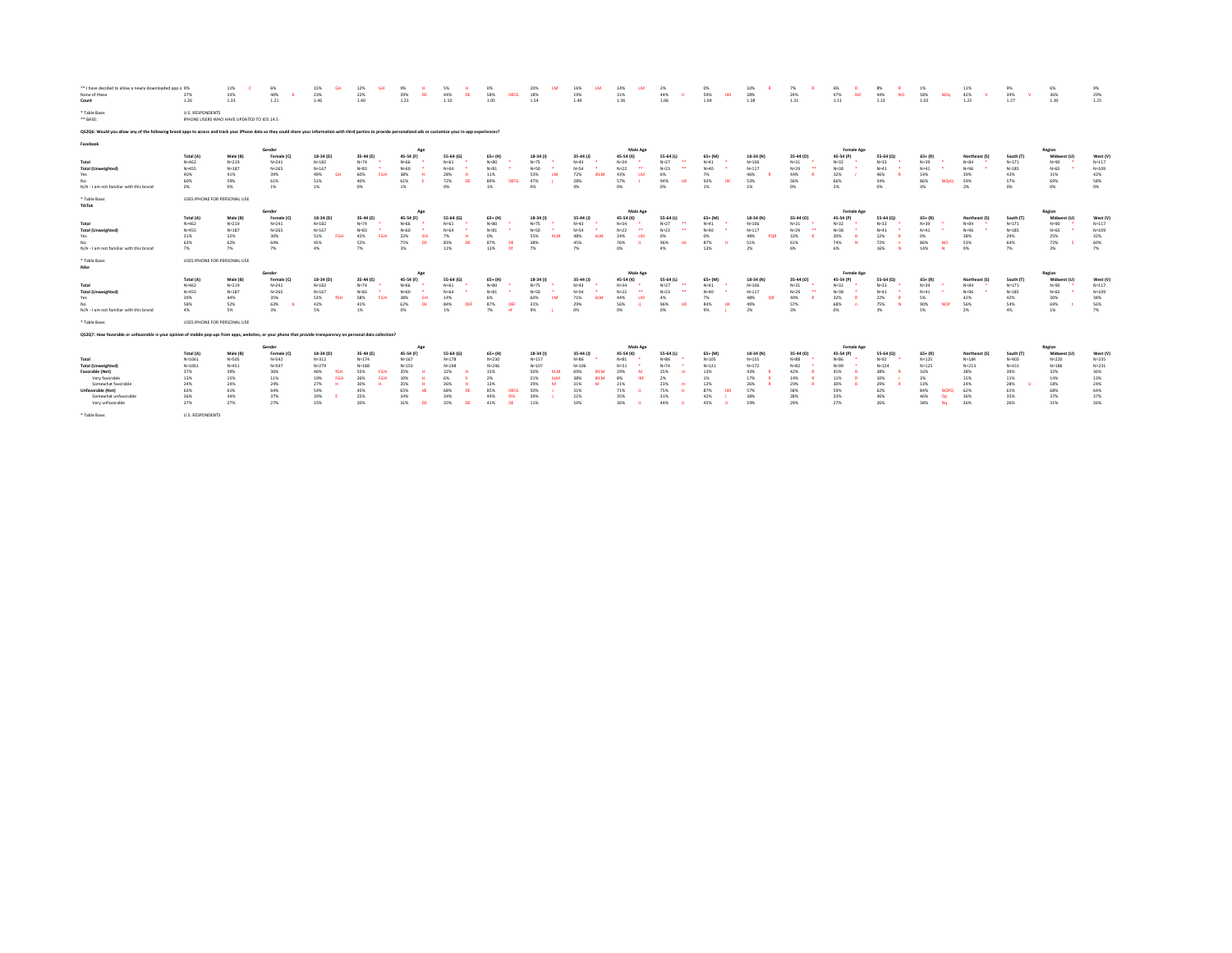| ** I have decided to allow a newly downloaded app o 9%<br>None of these<br>Count                                                                                                                                      | 37%<br>1.26                  | 11%<br>33%<br>1.33                        | 6%<br>40%<br>1.21   | 15%<br>23%<br>1.46     | 12%<br>22%<br>1.40 | 39%<br>1.23       | 5%<br>44%<br>1.10 | 0%<br>58%<br><b>DEFG</b><br>1.05 | 20%<br>18%<br>1.54 | 16%<br>19%<br>1.49 | 14%<br>31%<br>1.36             | 2%<br>44%<br>1.06                    | 0%<br>59%<br>TIKI<br>1.04 | 10%<br>28%<br>1.38 | 7%<br>24%<br>1.31 | 6%<br>47%<br>1.11 | 8%<br>44%<br><b>NO</b><br>1.13 | 1%<br>58%<br>1.05       | 11%<br>42%<br>NOq<br>1.23 | 9%<br>39%<br>1.27 | 6%<br>36%<br>1.30    | 9%<br>29%<br>1.25 |  |
|-----------------------------------------------------------------------------------------------------------------------------------------------------------------------------------------------------------------------|------------------------------|-------------------------------------------|---------------------|------------------------|--------------------|-------------------|-------------------|----------------------------------|--------------------|--------------------|--------------------------------|--------------------------------------|---------------------------|--------------------|-------------------|-------------------|--------------------------------|-------------------------|---------------------------|-------------------|----------------------|-------------------|--|
| * Table Base:<br>** BASE:                                                                                                                                                                                             | U.S. RESPONDENTS             | IPHONE USERS WHO HAVE UPDATED TO IOS 14.5 |                     |                        |                    |                   |                   |                                  |                    |                    |                                |                                      |                           |                    |                   |                   |                                |                         |                           |                   |                      |                   |  |
| Q52Q6: Would you allow any of the following brand apps to access and track your iPhone data so they could share your information with third parties to provide personalized ads or customize your in-app experiences? |                              |                                           |                     |                        |                    |                   |                   |                                  |                    |                    |                                |                                      |                           |                    |                   |                   |                                |                         |                           |                   |                      |                   |  |
| Facebook                                                                                                                                                                                                              |                              |                                           |                     |                        |                    |                   |                   |                                  |                    |                    |                                |                                      |                           |                    |                   |                   |                                |                         |                           |                   |                      |                   |  |
|                                                                                                                                                                                                                       | Total (A)                    | Male (B)                                  | Gender<br>Female (C | 18-34 (D)              | 35-44 (E)          | 45-54 (F)         | 55-64             | 65+ (H)                          | $18-34(1)$         | 35-44 (J)          | Male Age<br>45-54 (K)          | 55-64 (L)                            | 65+ (M)                   | 18-34 (N)          | 35-44 (0)         | <b>Female Age</b> | 55-64 (0)                      | $65 + (R)$              | Northeast                 | South (T)         | Region<br>Midwest (U | West (V)          |  |
| Total                                                                                                                                                                                                                 | $N = 462$                    | $N = 219$                                 | $N = 241$           | $N = 182$              | $N = 74$           | $N = 66$          | $N = 61$          | $N = 80$                         | $N = 75$           | $N=43$             | $N = 34$                       | $\cdots$<br>$N = 27$                 | $N=41$                    | $N = 106$          | $N = 31$          | $N = 32$          | $N=33$                         | $N = 39$                | $N = 84$                  | $N = 171$         | N=90                 | $N = 117$         |  |
| <b>Total (Unweighted)</b>                                                                                                                                                                                             | N=455                        | $N = 187$                                 | $N = 265$           | $N = 167$              | $N = 83$           | $N = 60$          | $N = 64$          | $N = 81$                         | $N=50$             | N=54               | $\mathbf{a}$<br>$N=22$         | $\bullet\bullet$<br>$N = 23$         | $N = 40$                  | $N = 117$          | $N=29$            | $N = 38$          | $N=41$                         | $N=41$                  | $N = 96$                  | $N = 185$         | N=65                 | $N = 109$         |  |
| Yes                                                                                                                                                                                                                   | 40%                          | 41%                                       | 39%                 | 49%<br>GH <sub>3</sub> | 60%                | 38%               | 28%               | 11%                              | 53%                | 72%                | 43%                            | 6%                                   | 7%                        | 46%                | 44%               | 32%               | 46%                            | 14%                     | 39%                       | 43%               | 31%                  | 42%               |  |
|                                                                                                                                                                                                                       | 60%                          | 59%                                       | 61%                 | 51%                    | 40%                | 61%               | 72%               | 89%<br><b>DEFG</b>               | 47%                | 28%                | 57%                            | 94%<br><b>TIK</b>                    | 92%<br>TIK                | 53%                | 56%               | 66%               | 54%                            | 86%                     | 59%<br><b>NOpO</b>        | 57%               | 69%                  | 58%               |  |
| N/A - I am not familiar with this brand                                                                                                                                                                               | 0%                           | 0%                                        | 1%                  | 1%                     | 0%                 | 1%                | n <sub>6</sub>    | 1%                               | n%                 | CPM                | n <sub>6</sub>                 | n%                                   | 1%                        | 1%                 | 0%                | 2%                | CPK.                           | n%                      | 2%                        | n%                | n%                   | 0%                |  |
| * Table Base:<br>TikTok                                                                                                                                                                                               | USES IPHONE FOR PERSONAL USE |                                           |                     |                        |                    |                   |                   |                                  |                    |                    |                                |                                      |                           |                    |                   |                   |                                |                         |                           |                   |                      |                   |  |
|                                                                                                                                                                                                                       |                              |                                           | Gender              |                        |                    | Ago               |                   |                                  |                    |                    | Male Age                       |                                      |                           |                    |                   | Female Age        |                                |                         |                           |                   | Region               |                   |  |
|                                                                                                                                                                                                                       | Total (A)                    | Male (B)                                  | Female (C           | 18-34 (D)              | 35-44 (E)          | 45-54 (F          | 55-64             | 65+ (H)                          | $18-34(1)$         | 35-44 (J)          | 45-54 (K)                      | 55-64 (L)                            | 65+1M                     | 18-34 (N)          | 35-44 (0)         |                   | 55-64 (0)                      | $65 + (R)$              | Northeast (S)             | South (T)         | Midwest (L           | West (V)          |  |
| Total                                                                                                                                                                                                                 | $N = 462$                    | $N = 219$                                 | $N = 241$           | $N = 182$              | $N = 74$           | $N = 66$          | $N = 61$          | $N=80$                           | $N = 75$           | $N=43$             | $N = 34$                       | $N = 27$<br>$\cdots$                 | $N=41$                    | $N = 106$          | $N = 31$          | $N = 32$          | $N=33$                         | $N = 39$                | $N = 84$                  | $N = 171$         | N=90                 | $N = 117$         |  |
| <b>Total (Unweighted)</b>                                                                                                                                                                                             | N=455                        | $N = 187$                                 | $N = 265$           | $N = 167$              | N=83               | $N = 60$          | $N = 64$          | $N = 81$                         | $N = 50$           | N=54               | $N=22$<br>$\ddot{\phantom{1}}$ | $\overline{\phantom{a}}$<br>$N = 23$ | $N = 40$                  | $N = 117$          | $N=29$            | $N = 38$          | $N=41$                         | $N=41$                  | $N = 96$                  | $N = 185$         | N=65                 | $N = 109$         |  |
| Yes.                                                                                                                                                                                                                  | 31%                          | 32%                                       | 30%                 | 51%<br><b>FGH</b>      | 42%                | 22%               | 7%                | n%                               | 55%                | 48%                | 24%                            | n%                                   | n%                        | 48%                | 32%               | 20%               | 12%                            | CON.                    | 38%                       | 29%               | 25%                  | 32%               |  |
| No.                                                                                                                                                                                                                   | 63%<br>7%                    | 62%<br>7%                                 | 64%<br>7%           | 45%<br>4%              | 52%<br>7%          | 75%<br>3%         | 83%<br>11%        | 87%<br>ns<br>13%<br>-né          | 38%<br>7%          | 45%<br>7%          | 76%<br>0%                      | 96%<br>m<br>4%                       | 87%<br>13%                | 51%<br>2%          | 61%<br>6%         | 74%<br>6%         | 72%<br>16%                     | 86%<br><b>NO</b><br>14% | 53%<br>9%                 | 64%<br>7%         | 72%<br>3%            | 60%<br>7%         |  |
| N/A - I am not familiar with this brand                                                                                                                                                                               |                              |                                           |                     |                        |                    |                   |                   |                                  |                    |                    |                                |                                      |                           |                    |                   |                   |                                |                         |                           |                   |                      |                   |  |
| * Table Base:                                                                                                                                                                                                         | USES IPHONE FOR PERSONAL USE |                                           |                     |                        |                    |                   |                   |                                  |                    |                    |                                |                                      |                           |                    |                   |                   |                                |                         |                           |                   |                      |                   |  |
| Nike                                                                                                                                                                                                                  |                              |                                           | Gender              |                        |                    |                   |                   |                                  |                    |                    | Male Age                       |                                      |                           |                    |                   | <b>Female Age</b> |                                |                         |                           |                   | Region               |                   |  |
|                                                                                                                                                                                                                       | Total (A)                    | Male (B)                                  | Female (C)          | 18-34 (D)              | 35-44 (E)          | 45-54 (F          | 55-64 (           | $65+ (H)$                        | $18-34(1)$         | 35-44 (J)          | 45-54 (K)                      | 55-64 (L)                            | $65 + (100)$              | 18-34 (N)          | 35-44 (0)         | 45-54 (P)         | 55-64 (0)                      | $65 + (R)$              | Northeast (S)             | South (T          | Midwest (U           | West (V)          |  |
| Total                                                                                                                                                                                                                 | $N = 462$                    | $N = 219$                                 | $N = 241$           | $N = 182$              | $N = 74$           | $N = 66$          | $N = 61$          | $N = 80$                         | $N = 75$           | $N=43$             | $N = 34$                       | $\bullet\bullet$<br>$N = 27$         | $N=41$                    | $N = 106$          | $N = 31$          | $N = 37$          | $N=33$                         | $N = 39$                | $N = 84$                  | $N = 171$         | N=90                 | $N = 117$         |  |
| <b>Total (Unweighted)</b>                                                                                                                                                                                             | N=455                        | $N = 187$                                 | $N = 265$           | $N = 167$              | $N = 83$           | $N = 60$          | N=64              | NaR1                             | N=50               | N=54               | $N = 22$                       |                                      | Na40                      | $N = 117$          | $N=29$            | Na25              | No41                           | No41                    | $N = 96$                  | $N = 185$         | N=65                 | $N = 109$         |  |
| Yes                                                                                                                                                                                                                   | 39%                          | 44%                                       | 35%                 | 53%<br><b>SGH</b>      | 58%<br>FGH         | 38%               | 14%               | 6%                               | 60%<br><b>LM</b>   | 71%                | 44%                            | 4%                                   | 7%                        | 48%<br>OR          | 40%               | 32%               | 22%                            | 5%                      | 42%                       | 42%               | 30%                  | 38%               |  |
|                                                                                                                                                                                                                       | 58%                          | 52%                                       | 63%                 | 42%                    | 41%                | 62%               | 84%<br>DEF        | 87%<br>DEE                       | 31%                | 29%                | 56%                            | 96%                                  | 84%<br>TIK                | 49%                | 57%               | 68%               | 75%                            | 90%                     | <b>NOP</b><br>56%         | 54%               | 69%                  | 56%               |  |
| N/A - I am not familiar with this brand                                                                                                                                                                               | 4%                           | 5%                                        | $3\%$               | 5%                     | $1\%$              | n%                | 1%                | 7%<br>. of                       | 9%                 | CPM                | n%                             | nw                                   | 9%                        | 2%                 | 3%                | n%                | 3%                             | 5%                      | 2%                        | 4%                | 1%                   | 7%                |  |
| * Table Base:                                                                                                                                                                                                         | USES IPHONE FOR PERSONAL USE |                                           |                     |                        |                    |                   |                   |                                  |                    |                    |                                |                                      |                           |                    |                   |                   |                                |                         |                           |                   |                      |                   |  |
| QS2Q7: How favorable or unfavorable is your opinion of mobile pop-ups from apps, websites, or your phone that provide transparency on personal data collection?                                                       |                              |                                           |                     |                        |                    |                   |                   |                                  |                    |                    |                                |                                      |                           |                    |                   |                   |                                |                         |                           |                   |                      |                   |  |
|                                                                                                                                                                                                                       |                              |                                           | Gender              |                        |                    | Ago               |                   |                                  |                    |                    | Male Age                       |                                      |                           |                    |                   | <b>Female Age</b> |                                |                         |                           |                   | Region               |                   |  |
|                                                                                                                                                                                                                       | Total (A)                    | Male (B)                                  | Female (C           | 18-34 (D)              | 35-44 (E)          | 45-54 (F)         | 55-64 (G          | $65+ (H)$                        | 18-34 (I)          | 35-44 (J)          | 45-54 (K)                      | 55-64 (L)                            | 65+ (M)                   | 18-34 (N)          | 35-44 (0)         |                   | 55-64 (0)                      | $65 + (R)$              | Northeast (S)             | South (T)         | Midwest (1           | West (V)          |  |
| Total                                                                                                                                                                                                                 | $N = 1061$                   | $N = 505$                                 | $N = 542$           | $N = 312$              | $N = 174$          | $N = 167$         | $N = 178$         | $N = 230$                        | $N = 157$          | $N = 86$           | $N = 81$                       | N=86                                 | $N = 105$                 | $N=155$            | $N = 88$          | Na26              | Nu:92                          | $N = 125$               | $N = 184$                 | $N = 403$         | $N = 220$            | $N = 255$         |  |
| <b>Total (Unweighted)</b>                                                                                                                                                                                             | $N = 1061$                   | $N = 451$                                 | $N = 597$           | $N = 279$              | $N = 188$          | $N = 150$         | $N = 198$         | $N = 246$                        | $N = 107$          | $N = 106$          | $N = 51$                       | $N = 74$                             | $N = 121$                 | $N = 172$          | $N = 82$          | $N = 99$          | $N = 124$                      | $N = 125$               | $N = 213$                 | $N = 431$         | $N = 186$            | $N = 231$         |  |
| Favorable (Net)                                                                                                                                                                                                       | 37%                          | 39%                                       | 36%                 | 46%                    | 55%                | 35%               | 32%               | 15%                              | 50%                | 69%                | 29%                            | 25%                                  | 13%                       | 43%                | 42%               | 41%               | 38%                            | 16%                     | 38%                       | 39%               | 32%                  | 36%               |  |
| Very favorable                                                                                                                                                                                                        | 13%                          | 15%                                       | 11%                 | 19%<br>EGE             | 26%                | 10%               | 26%               | 2%                               | 21%<br>M           | 381                |                                |                                      | 1%                        | 17%                | 14%               | 11%               | 10%                            | 3%                      | 15%                       | 11%               | 14%                  | 13%               |  |
| Somewhat favorable                                                                                                                                                                                                    | 24%                          | 24%                                       | 24%                 | 27%<br>54%             | 30%<br>45%         | 25%<br>65%        | 68%               | 13%<br>85%                       | 29%<br>50%         | 31%<br>31%         | 21%<br>71%                     | 23%<br>75%                           | 12%<br>87%                | 26%<br>57%         | 29%<br>58%        | 30%<br>59%        | 29%<br>62%                     | 13%<br>84%              | 24%<br>62%<br><b>NOPO</b> | 28%<br>61%        | 18%<br>68%           | 24%<br>64%        |  |
|                                                                                                                                                                                                                       |                              |                                           |                     |                        |                    |                   |                   |                                  |                    |                    |                                |                                      |                           |                    |                   |                   |                                |                         |                           |                   |                      |                   |  |
| Unfavorable (Net)                                                                                                                                                                                                     | 63%                          | 61%                                       | 64%                 |                        |                    |                   |                   |                                  |                    |                    |                                |                                      |                           |                    |                   |                   |                                |                         |                           |                   |                      |                   |  |
| Somewhat unfavorable                                                                                                                                                                                                  | 36%                          | 34%                                       | 37%                 | 39%                    | 25%                | 34%<br><b>IDE</b> | 34%               | 44%                              | 39%                | 21%                | 35%                            | 31%<br>44%                           | 42%                       | 38%                | 28%               | 33%               | 36%                            | 46%<br>Op<br>No         | 36%                       | 35%               | 37%                  | 37%               |  |
| Very unfavorable<br>* Table Base:                                                                                                                                                                                     | 27%<br>U.S. RESPONDENTS      | 27%                                       | 27%                 | 15%                    | 20%                | 31%               | 35%<br>DE         | 41%<br>DE                        | 11%                | 10%                | 36%                            |                                      | 45%                       | 19%                | 29%               | 27%               | 26%                            | 38%                     | 26%                       | 26%               | 31%                  | 26%               |  |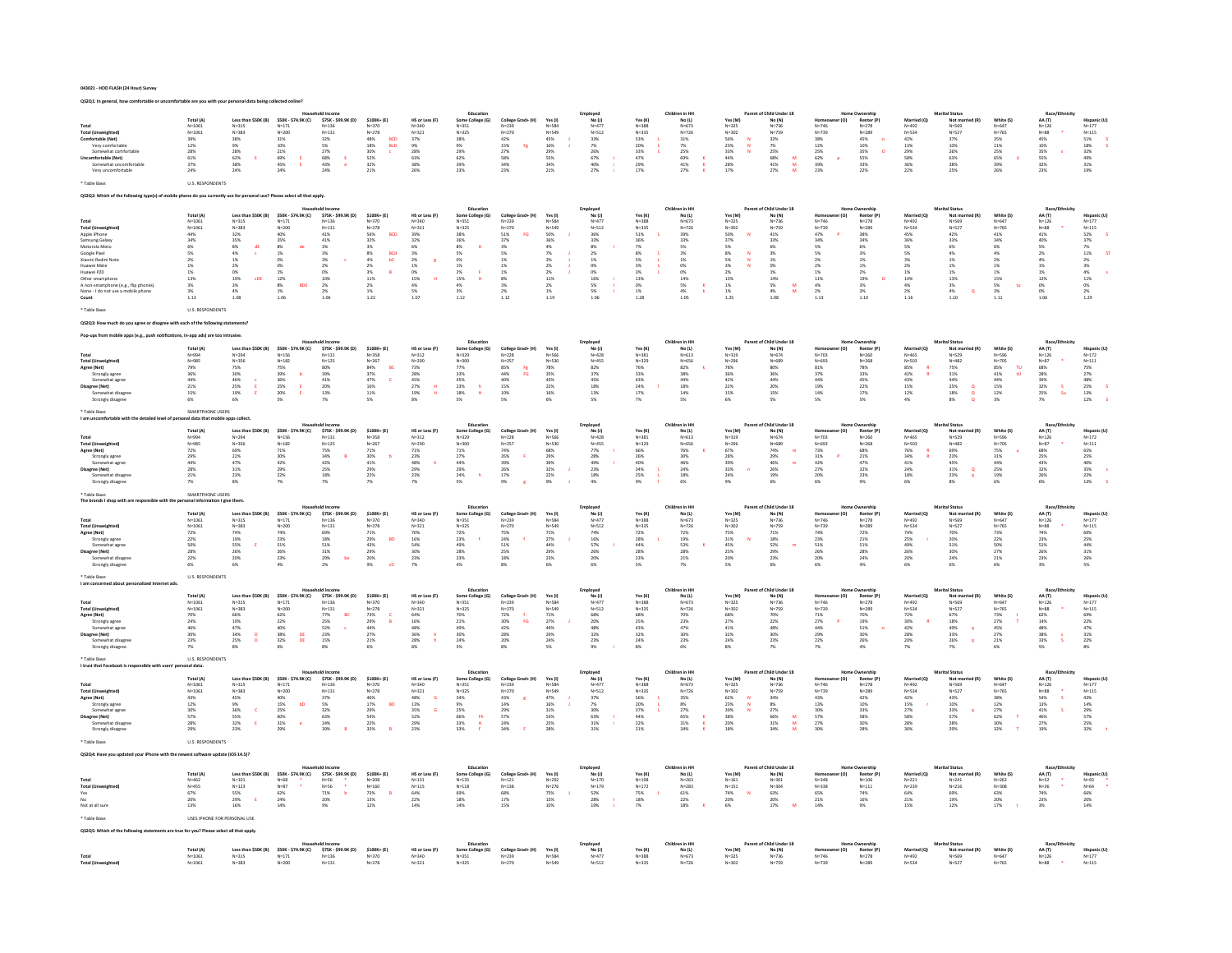# 043021 - HOD FLASH (24 Hour) Survey

QS2Q1: In general, how comfortable or uncomfortable are you with your personal data being collected online?

| <b>Total (Unweighted)</b><br>Comfortable (Net)<br>Very comfortable<br>Somewhat comfortable<br>mfortable (Net)<br>Somewhat uncomfortable<br>Very uncomfortable                                                                                                             | Total (A)<br>$N = 1061$<br>$N = 1061$<br>39%<br>12%<br>28%<br>61%<br>37%<br>24%                                                            | Less than \$50K (B)<br>$N = 315$<br>$N = 383$<br>38%<br>9%<br>28%<br>62%<br>- F<br>38%<br>24%                                                                                          | \$50K - \$74.9K (C)<br>$N = 171$<br>$N = 200$<br>$31\%$<br>10%<br>$21\%$<br>69%<br>45%<br>$\frac{E}{E}$<br>24%                                                                                        | \$75K - \$99.9K (D)<br>$N = 136$<br>$N = 131$<br>32%<br>5%<br>27%<br>68%<br>43%<br>24%                                                     | $5100K + (F)$<br>$N = 370$<br>$N = 278$<br>$48\%$<br><b>BCD</b><br>$\frac{18\%}{30\%}$<br><b>BcD</b><br>$\frac{52\%}{32\%}$<br>21%                                                                              | HS or Less (F)<br>$N = 340$<br>$N = 321$<br>37%<br>9%<br>28%<br>63%<br>38%<br>26%                                                                                     | Educatio<br>Some College (G)<br>$N = 351$<br>$N = 325$<br>38%<br>9%<br>29%<br>62%<br>39%<br>23%                                                                                        | College Grad+ (H)<br>$N = 239$<br>$N = 270$<br>42%<br>15%<br>Fs.<br>$27\%$<br>58%<br>34%<br>22%                                                        | Yes (I)<br>$N = 584$<br>$N = 549$<br>$45\%$<br>$\begin{array}{l} 16\% \\ 29\% \end{array}$<br>55%<br>34%<br>21%                                           | Employee<br>No (J)<br>$N = 477$<br>$N = 512$<br>$33\%$<br>7%<br>26%<br>$67\%$<br>$40\%$<br>27%                                                                | Yes (K)<br>$N = 388$<br>$N = 335$<br>53%<br>20%<br>33%<br>47%<br>29%<br>17%                                                                                                         | Children in HI<br>No (L)<br>$N = 673$<br>$N = 726$<br>$31\%$<br>7%<br>25%<br>$\frac{69\%}{41\%}$<br><b>x</b><br>$\mathbf{K}$<br>27% | Yes (M)<br>$N = 325$<br>$N = 302$<br>56%<br>23%<br>33%<br>N<br>44%<br>28%<br>17%                                     | f Child Under 18<br>No (N)<br>$N = 736$<br>$N = 759$<br>$32\%$<br>7%<br><b>25%</b><br>$\frac{68\%}{41\%}$<br>M<br>${\bf M}$<br>27%<br><b>Ad</b> | r (O)<br>$N = 746$<br>$N = 739$<br>38%<br>12%<br>25%<br>62%<br>39%<br>p<br>22%                                                                                                 | Home Ownership<br>Renter (P)<br>$N = 278$<br>$N = 289$<br>45%<br>$\bullet$<br>10%<br>35%<br>$\circ$<br>55%<br>33%<br>22% | Married (O)<br>$N = 492$<br>$N = 534$<br>42%<br>13%<br>29%<br>58%<br>36%<br>22%                                | Not ma<br>$N = 569$<br>$N = 527$<br>37%<br>10%<br>26%<br>63%<br>38%<br>25%                                                                       | White (S)<br>$N = 647$<br>$N = 765$<br>35%<br>11%<br><b>25%</b><br>65%<br>39%<br>26%                            | Race/E<br>AA (T)<br>$N = 126$<br>$N = 88$<br>45%<br>10%<br>$35\%$<br>55%<br>32%<br>23%                                                          | <b>Hispanic (U)</b><br>$N = 177$<br>$N = 115$<br>$51\%$<br>$\begin{array}{l} 18\% \\ 32\% \end{array}$<br>$\frac{49\%}{31\%}$<br>19%                                                                              |
|---------------------------------------------------------------------------------------------------------------------------------------------------------------------------------------------------------------------------------------------------------------------------|--------------------------------------------------------------------------------------------------------------------------------------------|----------------------------------------------------------------------------------------------------------------------------------------------------------------------------------------|-------------------------------------------------------------------------------------------------------------------------------------------------------------------------------------------------------|--------------------------------------------------------------------------------------------------------------------------------------------|-----------------------------------------------------------------------------------------------------------------------------------------------------------------------------------------------------------------|-----------------------------------------------------------------------------------------------------------------------------------------------------------------------|----------------------------------------------------------------------------------------------------------------------------------------------------------------------------------------|--------------------------------------------------------------------------------------------------------------------------------------------------------|-----------------------------------------------------------------------------------------------------------------------------------------------------------|---------------------------------------------------------------------------------------------------------------------------------------------------------------|-------------------------------------------------------------------------------------------------------------------------------------------------------------------------------------|-------------------------------------------------------------------------------------------------------------------------------------|----------------------------------------------------------------------------------------------------------------------|-------------------------------------------------------------------------------------------------------------------------------------------------|--------------------------------------------------------------------------------------------------------------------------------------------------------------------------------|--------------------------------------------------------------------------------------------------------------------------|----------------------------------------------------------------------------------------------------------------|--------------------------------------------------------------------------------------------------------------------------------------------------|-----------------------------------------------------------------------------------------------------------------|-------------------------------------------------------------------------------------------------------------------------------------------------|-------------------------------------------------------------------------------------------------------------------------------------------------------------------------------------------------------------------|
| Table Base                                                                                                                                                                                                                                                                | U.S. RESPONDENTS                                                                                                                           |                                                                                                                                                                                        |                                                                                                                                                                                                       |                                                                                                                                            |                                                                                                                                                                                                                 |                                                                                                                                                                       |                                                                                                                                                                                        |                                                                                                                                                        |                                                                                                                                                           |                                                                                                                                                               |                                                                                                                                                                                     |                                                                                                                                     |                                                                                                                      |                                                                                                                                                 |                                                                                                                                                                                |                                                                                                                          |                                                                                                                |                                                                                                                                                  |                                                                                                                 |                                                                                                                                                 |                                                                                                                                                                                                                   |
|                                                                                                                                                                                                                                                                           |                                                                                                                                            | one do you currently use for personal use? Please select all that apply                                                                                                                |                                                                                                                                                                                                       |                                                                                                                                            |                                                                                                                                                                                                                 |                                                                                                                                                                       | Education                                                                                                                                                                              |                                                                                                                                                        |                                                                                                                                                           |                                                                                                                                                               |                                                                                                                                                                                     | Children in HH                                                                                                                      |                                                                                                                      | Parent of Child Under 18                                                                                                                        |                                                                                                                                                                                | Home Ownershi                                                                                                            |                                                                                                                | Marital Status                                                                                                                                   |                                                                                                                 | Race/Ft                                                                                                                                         |                                                                                                                                                                                                                   |
| <b>Total (Unweighted</b><br>Apple iPhone<br>Samsung Galaxy<br>Motorola Moto<br>Google Pixel<br>.<br>Xianmi Redmi Not<br>Huawei Mate<br>Huawei P20<br>Other smartphon<br>A non-smartphone (e.g., flip phones)<br>None - I do not use a mobile phone<br>Count<br>Table Base | Total (A)<br>$N = 1061$<br>$N = 1061$<br>44%<br>34%<br>6%<br>5%<br>2%<br>1%<br>$1\%$<br>13%<br>3%<br>3%<br>1.13<br><b>U.S. RESPONDENTS</b> | Less than \$50K (B)<br>$N = 315$<br>$N = 383$<br>32%<br>35%<br>$\begin{array}{l} 8\% \\ 4\% \end{array}$<br>dE<br>$\epsilon$<br>$1\%$<br>2%<br>$0\%$<br>19%<br>cDE<br>3%<br>4%<br>1.08 | \$50K - \$74.9K (C)<br>$N = 171$<br>$N = 200$<br>40%<br>35%<br>$_{1\%}^{\text{8\%}}$<br>de<br>$\frac{0\%}{0\%}$<br>$\begin{array}{l} 1\% \\ 12\% \end{array}$<br>$_{1\%}^{8\%}$<br><b>BDE</b><br>1.06 | \$75K - \$99.9K (D)<br>$N = 1.36$<br>$N = 131$<br>41%<br>$41\%$<br>$\frac{3\%}{3\%}$<br>3%<br>2%<br>O%<br>10%<br>$\frac{2\%}{2\%}$<br>1.06 | $$100K+ (E)$<br>$N = 370$<br>$N = 278$<br>56%<br><b>BCD</b><br>$32\%$<br>$\begin{array}{l} 3\% \\ 8\% \\ 4\% \\ 2\% \end{array}$<br>BCd<br>ЬC<br>3%<br>11%<br>$\begin{array}{l} 2\% \\ 1\% \end{array}$<br>1.22 | HS or Less (F)<br>$N = 340$<br>$N = 321$<br>39%<br>32%<br>$\frac{6\%}{3\%}$<br>$\begin{array}{l} 2\% \\ 1\% \end{array}$<br>$0\%$<br>15%<br>$\frac{4\%}{5\%}$<br>1.07 | Some College (G)<br>$N = 351$<br>$N = 325$<br>38%<br>36%<br>$\begin{array}{l} 8\% \\ 5\% \\ 0\% \\ 1\% \end{array}$<br>$\frac{2\%}{15\%}$<br>$\mathbf{r}$<br>$\frac{4\%}{3\%}$<br>1.12 | College Grad+ (H)<br>$N = 229$<br>$N = 270$<br>$\frac{51\%}{37\%}$<br><b>FG</b><br>$3\%$ 5%<br>$1\%$<br>1%<br>$1\%$<br>8%<br>$\frac{3\%}{2\%}$<br>1.12 | Yes(1)<br>N=584<br>$N = 549$<br>50%<br>36%<br>$\frac{4\%}{7\%}$<br>$\frac{3\%}{2\%}$<br>$2\%$<br>11%<br>$\begin{array}{l} 2\% \\ 1\% \end{array}$<br>1.19 | Employed<br>No (J)<br>$N = 477$<br>$N = 512$<br>36%<br>$33\%$<br>$\begin{array}{l} 8\% \\ 2\% \end{array}$<br>$1\%$<br>0%<br>$0\%$<br>16%<br>5%<br>5%<br>1.06 | Yes (K)<br>$N = 388$<br>$N = 335$<br>51%<br>36%<br>$\begin{array}{l} 7\% \\ 8\% \end{array}$<br>5%<br>3%<br>$\frac{3\%}{13\%}$<br>$\begin{array}{c} 0\% \\ 1\% \end{array}$<br>1.28 | No(L)<br>$N = 673$<br>$N = 726$<br>39%<br>33%<br>5%<br>3%<br>$1\%$<br>0%<br>$0\%$<br>14%<br>5%<br>4%<br>1.05                        | Yes (M)<br>$N = 325$<br>$N = 302$<br>50%<br>37%<br>5%<br>8%<br>5%<br>3%<br>2%<br>13%<br>$1\%$ 1%<br>1.25             | No (N)<br>$N = 736$<br>$N = 759$<br>41%<br>33%<br>6%<br>3%<br>$1\%$<br>0%<br>$1\%$<br>14%<br>5%<br>4%<br>$\frac{M}{M}$<br>1.08                  | r (O)<br>$N = 746$<br>$N = 739$<br>47%<br>34%<br>5%<br>$5\%$<br>$\begin{array}{l} 2\% \\ 2\% \end{array}$<br>$1\%$<br>11%<br>$\begin{array}{l} 4\% \\ 2\% \end{array}$<br>1.13 | Renter (P)<br>$N=278$<br>$N = 289$<br>38%<br>34%<br>6%<br>3%<br>$1\%$<br>1%<br>$2\%$<br>19%<br>3%<br>3%<br>1.10          | Married (Q)<br>$N = 492$<br>N=534<br>45%<br>36%<br>S%<br>5%<br>3%<br>$2\%$<br>$1\%$<br>14%<br>4%<br>2%<br>1.16 | Not mar<br>N=569<br>$N = 527$<br>42%<br>33%<br>6%<br>$4\%$<br>1%<br>1%<br>$1\%$<br>13%<br>$\frac{3\%}{4\%}$<br>$\alpha$<br>1.10                  | White (S)<br>N=647<br>$N = 765$<br>41%<br>34%<br>6%<br>4%<br>$2\%$<br>$1\%$<br>$1\%$<br>15%<br>5%<br>3%<br>1.11 | AA (T)<br>$N = 126$<br>$N = 88$<br>41%<br>40%<br>5%<br>2%<br>4%<br>1%<br>$1\%$<br>12%<br>$\frac{0\%}{0\%}$<br>1.06                              | Hispanic (U)<br>$N = 177$<br>$N = 115$<br>52%<br>37%<br>$\begin{array}{l} 7\% \\ 11\% \end{array}$<br>$\begin{array}{l} 2\% \\ 3\% \end{array}$<br>$\begin{array}{c} 4\% \\ 11\% \end{array}$<br>$0\%$ 2%<br>1.29 |
|                                                                                                                                                                                                                                                                           |                                                                                                                                            |                                                                                                                                                                                        |                                                                                                                                                                                                       |                                                                                                                                            |                                                                                                                                                                                                                 |                                                                                                                                                                       |                                                                                                                                                                                        |                                                                                                                                                        |                                                                                                                                                           |                                                                                                                                                               |                                                                                                                                                                                     |                                                                                                                                     |                                                                                                                      |                                                                                                                                                 |                                                                                                                                                                                |                                                                                                                          |                                                                                                                |                                                                                                                                                  |                                                                                                                 |                                                                                                                                                 |                                                                                                                                                                                                                   |
| <b>Total (Unweight</b><br>Agree (Net)<br>Strongly agree<br>Somewhat agree<br><b>Disagree (Net)</b><br>Somewhat disagree<br>Strongly disagree                                                                                                                              | Total (A)<br>N=994<br>N=985<br>79%<br>36%<br>44%<br>21%<br>15%<br>6%                                                                       | Less than \$50K (B)<br>$N = 294$<br>N=356<br>75%<br>30%<br>46%<br>25%<br>19%<br>6%                                                                                                     | \$50K - \$74.9K (C)<br>$N = 156$<br>$N = 182$<br>75%<br>39%<br>36%<br>25%<br>20%<br>$\frac{1}{2}$<br>5%                                                                                               | \$75K - \$99.9K (D)<br>$N = 131$<br>$N = 125$<br>80%<br>39%<br>41%<br>20%<br>13%<br>7%                                                     | $5100K + (F)$<br>$N = 358$<br>$N = 267$<br><b>BC</b><br>84%<br>$37\%$<br>$47\%$<br>$\epsilon$<br>$\frac{16\%}{11\%}$<br>5%                                                                                      | HS or Less (F)<br>$N = 312$<br>$N = 290$<br>73%<br>28%<br>45%<br>$\frac{27\%}{19\%}$<br>$\frac{H}{H}$<br>$8\%$                                                        | Education<br>Some College (G)<br>$N = 329$<br>$N = 300$<br>77%<br>33%<br>45%<br>$\frac{23\%}{18\%}$<br>$\frac{\mathsf{h}}{\mathsf{H}}$<br>$5\%$                                        | College Grad+ (H)<br>$N = 228$<br>$N = 257$<br>85%<br><b>Fg</b><br>$\begin{array}{l} 44\% \\ 40\% \end{array}$<br>FG<br>$15%$<br>$10%$<br>5%           | Yes (I)<br>$N = 566$<br>$N = 530$<br>78%<br>35%<br>43%<br>$\begin{array}{l} 22\% \\ 16\% \end{array}$<br>6%                                               | Employee<br>No (J)<br>$N = 428$<br>$N = 455$<br>82%<br>37%<br>45%<br>$\frac{18\%}{13\%}$<br>5%                                                                | Yes(K)<br>$N = 381$<br>$N = 329$<br>76%<br>33%<br>43%<br>$\frac{24\%}{17\%}$<br>7%                                                                                                  | Children in HI-<br>No (L)<br>$N = 613$<br>$N = 656$<br>82%<br>$38\%$<br>44%<br>$\frac{18\%}{14\%}$<br>5%                            | Yes (M)<br>$N = 319$<br>$N = 296$<br>78%<br>36%<br>42%<br>22%<br>15%<br>6%                                           | Parent of Child Under 18<br>No (N)<br>$N = 674$<br>$N = 689$<br>80%<br>36%<br>44%<br>20%<br>15%<br>5%                                           | $N = 703$<br>$N = 693$<br>81%<br>37%<br>44%<br>19%<br>14%<br>5%                                                                                                                | Home Ownershir<br>Renter (P<br>$N = 260$<br>$N = 268$<br>78%<br>33%<br>45%<br>$\frac{22\%}{17\%}$<br>5%                  | Married (O)<br>$N = 465$<br>N=503<br>85%<br>$42\%$<br>43%<br>15%<br>12%<br>4%                                  | <b>Marital Status</b><br>Not ma<br>$N = 529$<br>$N = 482$<br>75%<br>$31\%$<br>44%<br>$\frac{25\%}{18\%}$<br>$\alpha$<br>$8\%$<br>$\alpha$        | White (S)<br>N=596<br>$N = 705$<br>TU.<br>85%<br>41%<br>tU<br>44%<br>$\frac{15\%}{12\%}$<br>3%                  | Race/Et<br>AA (T)<br>$N = 126$<br>$N = 87$<br>68%<br>$28\%$<br>39%<br>$\frac{32\%}{25\%}$<br>$\frac{\mathsf{S}}{\mathsf{S}\mathsf{u}}$<br>$7\%$ | <b>Hispanic (U</b><br>$N = 172$<br>$N = 111$<br>75%<br>27%<br>48%<br>$\frac{25\%}{13\%}$<br>12%                                                                                                                   |
| I am uncomfortable with the detailed level of                                                                                                                                                                                                                             | SMARTPHONE USERS<br>sonal data that mobile apps collect.                                                                                   |                                                                                                                                                                                        |                                                                                                                                                                                                       |                                                                                                                                            |                                                                                                                                                                                                                 |                                                                                                                                                                       | Educatio                                                                                                                                                                               |                                                                                                                                                        |                                                                                                                                                           | Employee                                                                                                                                                      |                                                                                                                                                                                     | Children in HF                                                                                                                      |                                                                                                                      | of Child Under 18                                                                                                                               |                                                                                                                                                                                |                                                                                                                          |                                                                                                                | <b>Marital Status</b>                                                                                                                            |                                                                                                                 |                                                                                                                                                 |                                                                                                                                                                                                                   |
| <b>Total (Unweighted)</b><br>Agree (Net)<br>Strongly agree<br>Somewhat agree<br><b>Disagree (Net)</b><br>Somewhat disagre<br>Strongly disagree                                                                                                                            | Total (A)<br>N=994<br>$N = 985$<br>$72\%$<br>29%<br>44%<br>28%<br>21%<br>7%                                                                | Less than \$50K (B)<br>N=294<br>$N = 356$<br>69%<br>22%<br>47%<br>31%<br>23%<br>8%                                                                                                     | \$50K - \$74.9K (C)<br>$N = 156$<br>$N = 182$<br>$71\%$<br>30%<br>42%<br>29%<br>22%<br>7%                                                                                                             | \$75K - \$99.9K (D)<br>$N = 131$<br>$N=125$<br>75%<br>34%<br>42%<br>25%<br>18%<br>7%                                                       | \$100K+ (E)<br>$N = 358$<br>$N = 267$<br>$71\%$<br>30%<br>$41\%$<br>29%<br>$22\%$<br>7%                                                                                                                         | HS or Less (F)<br>$N = 312$<br>$N = 290$<br>$71\%$<br>23%<br>48%<br>29%<br>23%<br>7%                                                                                  | Some College (G)<br>$N = 325$<br>$N = 300$<br>$71\%$<br>27%<br>44%<br>29%<br>$24\%$<br>5%                                                                                              | College Grad+ (H)<br>$N = 228$<br>$N = 257$<br>$74\%$<br>35%<br>39%<br>26%<br>$17\%$<br>9%                                                             | Yes (I)<br>$N = 566$<br>$N = 530$<br>68%<br>29%<br>39%<br>32%<br>$22\%$<br>9%                                                                             | No(1)<br>$N = 428$<br>$N = 455$<br>$77\%$<br>28%<br>$49\%$<br>23%<br>$18\%$<br>4%                                                                             | Yes (K)<br>$N = 381$<br>$N = 329$<br>66%<br>26%<br>40%<br>34%<br>25%<br>9%                                                                                                          | No (L)<br>$N = 613$<br>N=656<br>76%<br>30%<br>46%<br>24%<br>$18\%$<br>6%                                                            | Yes (M)<br>$N = 319$<br>$N = 296$<br>67%<br>28%<br>39%<br>33%<br>24%<br>9%                                           | No (N)<br>$N = 674$<br>$N = 689$<br>$74\%$<br>29%<br>46%<br>26%<br>$19\%$<br>6%                                                                 | Home<br>r (O)<br>$N = 703$<br>$N = 693$<br>$73%$<br>$31%$<br>42%<br>27%<br>20%<br>6%                                                                                           | Renter (P)<br>$N = 260$<br>$N = 268$<br>68%<br>21%<br>47%<br>32%<br>23%<br>9%                                            | Married (O)<br>$N = 465$<br>$N = 503$<br>$76\%$<br>34%<br>41%<br>24%<br>18%<br>6%                              | Not married (R)<br>N=529<br>$N = 482$<br>69%<br>23%<br>45%<br>$\alpha$<br>31%<br><b>23%</b><br><b>q</b><br>$8\%$                                 | White (S)<br>N=596<br>$N = 705$<br>75%<br>31%<br>44%<br>25%<br>19%<br>6%                                        | AA (T)<br>$N = 126$<br>$N = 87$<br>68%<br>25%<br>43%<br>32%<br>26%<br>6%                                                                        | Hispanic (U)<br>$N = 172$<br>$N = 111$<br>$65\%$<br>25%<br>40%<br>35%<br>22%<br>13%                                                                                                                               |
| Table Base                                                                                                                                                                                                                                                                | SMARTPHONE USERS                                                                                                                           | n I give then                                                                                                                                                                          |                                                                                                                                                                                                       |                                                                                                                                            |                                                                                                                                                                                                                 |                                                                                                                                                                       |                                                                                                                                                                                        |                                                                                                                                                        |                                                                                                                                                           |                                                                                                                                                               |                                                                                                                                                                                     |                                                                                                                                     |                                                                                                                      |                                                                                                                                                 |                                                                                                                                                                                |                                                                                                                          |                                                                                                                |                                                                                                                                                  |                                                                                                                 |                                                                                                                                                 |                                                                                                                                                                                                                   |
| Total<br><b>Total (Unweighted)</b><br>Agree (Net)<br>Strongly agree<br>Somewhat agree<br>Disagree (Net)<br>Somewhat disagree<br>Strongly disagree                                                                                                                         | Total (A)<br>$N = 1061$<br>$N = 1061$<br>72%<br>22%<br>50%<br>28%<br>22%<br>6%                                                             | Less than \$50K (B)<br>$N = 315$<br>$N = 383$<br>74%<br>19%<br>55%<br>26%<br>20%                                                                                                       | \$50K - \$74.9K (C)<br>$N = 171$<br>$N = 200$<br>74%<br>23%<br>$\frac{51\%}{26\%}$<br>23%                                                                                                             | <b>Household Income</b><br>\$75K - \$99.9K (D)<br>$N = 136$<br>$N = 131$<br>69%<br>18%<br>$\frac{51\%}{31\%}$<br>29%<br>be<br>2%           | $$100K + (E)$<br>$N = 370$<br>$N = 278$<br>71%<br>29%<br><b>BD</b><br>$\frac{43\%}{29\%}$<br>20%<br>$\epsilon$                                                                                                  | HS or Less (F)<br>$N = 340$<br>$N = 321$<br>70%<br>$16\%$<br>54%<br>30%<br>23%<br>$7\%$                                                                               | Education<br>Some College (G)<br>$N = 351$<br>$N = 325$<br>72%<br>23%<br>49%<br>28%<br>23%<br>4%                                                                                       | College Grad+ (H)<br>$N = 239$<br>$N = 270$<br>75%<br>$24\%$<br>$\frac{51\%}{25\%}$<br>18%                                                             | Yes(1)<br>$N = 584$<br>$N = 549$<br>71%<br>$27\%$<br>44%<br>29%<br>23%<br>6%                                                                              | Employed<br>No (1)<br>$N = 477$<br>$N = 512$<br>74%<br>16%<br>57%<br>26%<br>20%<br>6%                                                                         | Yes (K)<br>$N = 388$<br>$N = 335$<br>$\begin{array}{l} 72\% \\ 28\% \end{array}$<br>$\frac{44\%}{28\%}$<br>23%<br>5%                                                                | Children in HF<br>No (L)<br>$N = 673$<br>$N = 726$<br>72%<br>19%<br>53%<br>28%<br>21%                                               | Yes (M)<br>$N = 325$<br>$N = 302$<br>75%<br>31%<br>45%<br>25%<br>20%<br>5%                                           | Parent of Child Under 18<br>No (N)<br>$N = 736$<br>N=759<br>71%<br>$18\%$<br>52%<br>29%<br>23%                                                  | $N = 746$<br>$N = 739$<br>74%<br>23%<br>$\frac{51\%}{26\%}$<br>20%<br>6%                                                                                                       | <b>Home Ownership</b><br>Renter (P)<br>$N = 278$<br>N=289<br>72%<br>$21\%$<br>$\frac{51\%}{28\%}$<br>24%<br>4%           | Married (Q)<br>$N = 492$<br>N=534<br>74%<br>25%<br>49%<br>26%<br>20%<br>6%                                     | <b>Marital Status</b><br>Not may<br>N=569<br>$N = 527$<br>70%<br>20%<br>51%<br>30%<br>24%                                                        | White (S)<br>$N = 647$<br>$N = 765$<br>73%<br>$22\%$<br>50%<br>27%<br>21%<br>6%                                 | Race/Ethnicity<br>AA (T)<br>$N = 126$<br>$_{\mathsf{N=SS}}$<br>74%<br>23%<br>$\frac{51\%}{26\%}$<br>23%<br>$3\%$                                | Hispanic (L<br>$N = 177$<br>$N=115$<br>69%<br>25%<br>$\frac{44\%}{31\%}$<br>26%                                                                                                                                   |
| <b>Table Base</b><br>I am concerned                                                                                                                                                                                                                                       | <b>U.S. RESPONDENTS</b>                                                                                                                    |                                                                                                                                                                                        |                                                                                                                                                                                                       |                                                                                                                                            |                                                                                                                                                                                                                 |                                                                                                                                                                       |                                                                                                                                                                                        |                                                                                                                                                        |                                                                                                                                                           |                                                                                                                                                               |                                                                                                                                                                                     |                                                                                                                                     |                                                                                                                      |                                                                                                                                                 |                                                                                                                                                                                |                                                                                                                          |                                                                                                                |                                                                                                                                                  |                                                                                                                 |                                                                                                                                                 |                                                                                                                                                                                                                   |
| <b>Total (Unweighted)</b><br>Agree (Net)<br>Strongly agree<br>Somewhat agree<br>Disagree (Net)<br>Somewhat disagree<br>Strongly disagree                                                                                                                                  | Total (A)<br>$N = 1061$<br>$N = 1061$<br>70%<br>24%<br>46%<br>30%<br>23%<br>7%                                                             | Less than \$50K (B)<br>$N = 315$<br>$N = 383$<br>66%<br>19%<br>47%<br>34%<br>25%<br>$\overset{\mathsf{D}}{\mathsf{D}}$                                                                 | \$50K - \$74.9K (C)<br>$N = 171$<br>$N = 200$<br>$62\%$<br>22%<br>$40\%$<br>38%<br>32%<br>DE<br>DE<br>6%                                                                                              | \$75K - \$99.9K (D)<br>$N = 136$<br>$N = 131$<br>$77\%$<br>BC<br>25%<br>$52\%$<br>$\begin{array}{l} 23\% \\ 15\% \end{array}$<br>8%        | $5100K + (F)$<br>$N = 370$<br>$N = 278$<br>$73\%$<br>$\frac{29\%}{44\%}$<br>B<br>27%<br>21%<br>6%                                                                                                               | HS or Less (F)<br>$N = 340$<br>$N = 321$<br>$64\%$<br>16%<br>48%<br>36%<br>28%<br>$\mathbf{h}$<br>$\mathbf{h}$<br>8%                                                  | Education<br>Some College (G)<br>$N = 351$<br>$N = 325$<br>70%<br>21%<br>49%<br>30%<br>24%<br>5%                                                                                       | College Grad+ (H)<br>$N = 239$<br>$N = 270$<br>$72\%$<br>30%<br>FG<br>$42\%$<br>$\begin{array}{l} 28\% \\ 20\% \end{array}$<br>$8\%$                   | Yes (I)<br>$N = 584$<br>$N = 549$<br>$71\%$<br>27%<br>$44\%$<br>29%<br>24%<br>5%                                                                          | Employee<br>$No$ $(1)$<br>$N = 47$<br>$N = 512$<br>$68\%$<br>20%<br>$48\%$<br>32%<br>23%<br>9%                                                                | Yes (K)<br>$N = 388$<br>$N = 335$<br>68%<br>25%<br>43%<br>$\frac{32\%}{24\%}$<br>8%                                                                                                 | Children in HI-<br>No (L)<br>$N = 673$<br>$N = 726$<br>70%<br>23%<br>$47\%$<br>20%<br>23%<br>6%                                     | Yes (M)<br>$N = 325$<br>$N = 302$<br>68%<br>27%<br>$41\%$<br>32%<br>24%<br>8%                                        | Parent of Child Under 18<br>No (N)<br>$N = 736$<br>$N = 759$<br>70%<br>22%<br>48%<br>30%<br>23%<br>7%                                           | (0)<br>$N = 746$<br>$N = 739$<br>$71\%$<br>27%<br>44%<br>29%<br>22%<br>7%                                                                                                      | Home Ownership<br>Renter (P)<br>$N = 278$<br>$N = 289$<br>70%<br>19%<br>$51\%$<br>30%<br>26%<br>4%                       | Married (O)<br>$N = 492$<br>$N = 534$<br>$72\%$<br>30%<br>42%<br>28%<br>20%<br>206                             | <b>Marital Status</b><br>Not married (R)<br>$N = 569$<br>$N = 527$<br>$67\%$<br>18%<br>$49\%$<br>$\mathbf{q}$<br>33%<br>26%<br>$\mathbf q$<br>78 | White (S)<br>$N = 647$<br>$N = 765$<br>73%<br>27%<br>45%<br>$\begin{array}{l} 27\% \\ 21\% \end{array}$<br>6%   | Race/Ethnicity<br>AA (T)<br>$N = 126$<br>$N = 88$<br>$62\%$<br>14%<br>$48\%$<br>38%<br>33%<br>$\frac{3}{5}$<br>5%                               | <b>Hispanic (U)</b><br>$N = 177$<br>$N = 115$<br>69%<br>22%<br>47%<br>$\frac{31\%}{22\%}$                                                                                                                         |
| Table Base<br>trust that Fac                                                                                                                                                                                                                                              | <b>U.S. RESPONDENTS</b>                                                                                                                    |                                                                                                                                                                                        |                                                                                                                                                                                                       |                                                                                                                                            |                                                                                                                                                                                                                 |                                                                                                                                                                       | Education                                                                                                                                                                              |                                                                                                                                                        |                                                                                                                                                           | Employed                                                                                                                                                      |                                                                                                                                                                                     | Children in HH                                                                                                                      |                                                                                                                      | Parent of Child Under 18                                                                                                                        |                                                                                                                                                                                | Home Ownershi                                                                                                            |                                                                                                                | Marital Status                                                                                                                                   |                                                                                                                 | <b>Race/Ethnicit</b>                                                                                                                            |                                                                                                                                                                                                                   |
| Total<br><b>Total (Unweighted)</b><br>Agree (Net)<br>Strongly agree<br>Somewhat agree<br><b>Disagree (Net)</b><br>Somewhat disagre<br>Strongly disagree                                                                                                                   | Total (A)<br>$N = 1061$<br>$N = 1061$<br>43%<br>12%<br>30%<br>$57\%$<br>28%<br>29%                                                         | Less than \$50K (B)<br>$N = 315$<br>$N = 383$<br>$45\%$<br>9%<br>36%<br>$\mathbf{c}$<br>55%<br>32%<br>- P<br>23%                                                                       | \$50K - \$74.9K (C)<br>$N=171$<br>$N = 200$<br>$\frac{40\%}{15\%}$<br>bD<br>25%<br>60%<br>31%<br><b>A</b><br>29%                                                                                      | \$75K - \$99.9K (D)<br>$N = 136$<br>$N = 131$<br>$37%$<br>$5%$<br>32%<br>63%<br>24%<br>39%                                                 | $$100K+ (E)$<br>$N = 370$<br>$N = 278$<br>$\begin{array}{l} 46\% \\ 17\% \end{array}$<br><b>BD</b><br>29%<br>$54\%$<br>22%<br>32%                                                                               | HS or Less (F)<br>$N = 340$<br>$N = 321$<br>48%<br>13%<br>35%<br>52%<br>Ġ<br>G<br>29%<br>23%                                                                          | Some College (G)<br>$N = 351$<br>$N = 325$<br>$34\%$<br>9%<br>25%<br>66%<br>$\ensuremath{\mathsf{F}}\xspace\ensuremath{\mathsf{h}}\xspace$<br>33%<br>33%<br>H                          | College Grad+ (H)<br>$N = 235$<br>$N = 270$<br>$^{43\%}_{14\%}$<br>29%<br>57%<br>24%<br>34%                                                            | Yes(1)<br>$N = 584$<br>$N = 549$<br>$47\%$<br>16%<br>31%<br>$53\%$<br>25%<br>28%                                                                          | No(1)<br>$N = 477$<br>$N = 512$<br>$37\%$<br>7%<br>30%<br>63%<br>31%<br>31%                                                                                   | Yes (K)<br>$N = 388$<br>$N = 335$<br>56%<br>20%<br>37%<br>44%<br>$\frac{22\%}{21\%}$                                                                                                | No(L)<br>$N = 673$<br>$N = 726$<br>$35\%$<br>$8\%$<br>27%<br>65%<br>$\mathbf{K}$<br>31%<br>34%                                      | Yes (M)<br>$N = 325$<br>$N = 302$<br>$62%$<br>$23%$<br>$39%$<br>$38%$<br>$\begin{array}{l} 20\% \\ 18\% \end{array}$ | No (N)<br>N=736<br>N=759<br>$34\%$<br>$8\%$<br>27%<br>66%<br>$\mathbf{M}$<br>$31\%$<br><b>M</b><br>34%                                          | (O)<br>$N = 746$<br>$N = 739$<br>$43\%$<br>13%<br>30%<br>57%<br>27%<br>30%                                                                                                     | Renter (P)<br>$N = 278$<br>$N = 289$<br>42%<br>10%<br>33%<br>58%<br>30%<br>28%                                           | Married (O)<br>$N = 492$<br>N=534<br>42%<br>15%<br>27%<br>58%<br>28%<br>30%                                    | Not mar<br>$N = 569$<br>$N = 527$<br>$43\%$<br>10%<br>33%<br>57%<br>28%<br>29%                                                                   | White (S)<br>$N = 647$<br>$N = 765$<br>38%<br>12%<br>$\frac{27\%}{62\%}$<br>30%<br>32%                          | AA (T)<br>$N = 126$<br>$N=88$<br>$54\%$<br>s<br>13%<br>$\frac{41\%}{46\%}$<br><b>s</b><br>27%<br>19%                                            | Hispanic (U<br>$N = 177$<br>$N = 115$<br>43%<br>14%<br>29%<br>57%<br>25%<br>32%                                                                                                                                   |
| <b>Table Base</b>                                                                                                                                                                                                                                                         | <b>U.S. RESPONDENTS</b>                                                                                                                    |                                                                                                                                                                                        |                                                                                                                                                                                                       |                                                                                                                                            |                                                                                                                                                                                                                 |                                                                                                                                                                       |                                                                                                                                                                                        |                                                                                                                                                        |                                                                                                                                                           |                                                                                                                                                               |                                                                                                                                                                                     |                                                                                                                                     |                                                                                                                      |                                                                                                                                                 |                                                                                                                                                                                |                                                                                                                          |                                                                                                                |                                                                                                                                                  |                                                                                                                 |                                                                                                                                                 |                                                                                                                                                                                                                   |
|                                                                                                                                                                                                                                                                           | ewest software update (iOS 14.5)?                                                                                                          |                                                                                                                                                                                        |                                                                                                                                                                                                       |                                                                                                                                            |                                                                                                                                                                                                                 |                                                                                                                                                                       | Education                                                                                                                                                                              |                                                                                                                                                        |                                                                                                                                                           |                                                                                                                                                               |                                                                                                                                                                                     |                                                                                                                                     |                                                                                                                      | Parent of Child Under 18                                                                                                                        |                                                                                                                                                                                | Home Ownership                                                                                                           |                                                                                                                |                                                                                                                                                  |                                                                                                                 |                                                                                                                                                 |                                                                                                                                                                                                                   |
| Total (Un<br>Yes<br>Not at all sure                                                                                                                                                                                                                                       | Total (A)<br>$N = 462$<br>$N = 455$<br>67%<br>20%<br>13%<br>USES IPHONE FOR PERSONAL USE                                                   | Less than \$50K (B)<br>$N = 101$<br>$N = 123$<br>55%<br>29%<br>16%                                                                                                                     | \$50K - \$74.9K (C)<br>$N = 68$<br>$N=87$<br>62%<br><b>24%</b><br>14%                                                                                                                                 | $$75K \cdot $99.9K (D)$<br>$N=56$<br>N=56<br>71%<br>$\overline{b}$<br><b>20%</b><br>9%                                                     | $5100K + (F)$<br>$N = 208$<br>$N = 160$<br>$\,$ 8<br>73%<br>$15\%$<br>12%                                                                                                                                       | HS or Less (F)<br>$N = 131$<br>$N = 115$<br>64%<br>22%<br>14%                                                                                                         | Some College (G)<br>$N = 135$<br>$N = 118$<br>69%<br>$18\%$<br>14%                                                                                                                     | College Grad+ (H)<br>$N = 121$<br>$N = 138$<br>68%<br>$17\%$<br>15%                                                                                    | Yes (I)<br>$N = 292$<br>$N = 276$<br>75%<br>$15\%$<br>10%                                                                                                 | Employee<br>$No (1)$<br>$N=170$<br>$N = 179$<br>52%<br>$28\%$<br>19%                                                                                          | Yes(K)<br>$N = 198$<br>$N = 172$<br>75%<br>$18\%$<br>7%                                                                                                                             | Children in HF<br>$No (L)$<br>$N=263$<br>$N = 283$<br>61%<br>22%<br>18%                                                             | Yes (M)<br>$N = 161$<br>$N = 151$<br>N<br>74%<br>20%<br>6%                                                           | $No(N)$<br>$N=301$<br>$N = 304$<br>63%<br>$\frac{20\%}{17\%}$<br>M                                                                              | (O)<br>$N = 348$<br>$N = 338$<br>65%<br>$21\%$<br>14%                                                                                                                          | Renter (P)<br>$N = 106$<br>$\mathsf{N}{=}111$<br>74%<br>$16\%$<br>9%                                                     | Married (O)<br>$N = 221$<br>$N = 239$<br>64%<br>$21\%$<br>15%                                                  | <b>Marital Status</b><br>Not ma<br>$N = 241$<br>$N = 216$<br>69%<br>19%<br>12%                                                                   | White (S)<br>$N = 263$<br>$N = 308$<br>63%<br>20%<br>17%                                                        | Race/Et<br>AA $(T)$<br>N=52<br>$N = 36$<br>74%<br>23%<br>3%                                                                                     | $N = 93$<br>$N = 64$<br>66%<br>20%<br>14%                                                                                                                                                                         |
|                                                                                                                                                                                                                                                                           | nts are true for you? Please select all that apply                                                                                         |                                                                                                                                                                                        |                                                                                                                                                                                                       |                                                                                                                                            |                                                                                                                                                                                                                 |                                                                                                                                                                       |                                                                                                                                                                                        |                                                                                                                                                        |                                                                                                                                                           |                                                                                                                                                               |                                                                                                                                                                                     |                                                                                                                                     |                                                                                                                      |                                                                                                                                                 |                                                                                                                                                                                |                                                                                                                          |                                                                                                                |                                                                                                                                                  |                                                                                                                 |                                                                                                                                                 |                                                                                                                                                                                                                   |
|                                                                                                                                                                                                                                                                           | Total (A)                                                                                                                                  | Less than \$50K (B)                                                                                                                                                                    | \$50K - \$74.9K (C)                                                                                                                                                                                   | <b>Household Income</b><br>\$75K - \$99.9K (D)                                                                                             | $$100K+ (E)$                                                                                                                                                                                                    | HS or Less (F)                                                                                                                                                        | Education<br>Some College (G)                                                                                                                                                          | College Grad+ (H)                                                                                                                                      | Yes (I)                                                                                                                                                   | Employed<br>No(1)                                                                                                                                             | Yes $(K)$                                                                                                                                                                           | Children in HH<br>No $(L)$                                                                                                          | Yes (M)                                                                                                              | Parent of Child Under 18<br>$\mathsf{No}\left(\mathsf{N}\right)$                                                                                | r (O)                                                                                                                                                                          | Home Ownership<br>Renter (P)                                                                                             | Married (Q)                                                                                                    | <b>Marital Status</b><br>Not mar                                                                                                                 | White (S)                                                                                                       | Race/Ethnicity<br>AA $(T)$                                                                                                                      | Hispanic (U)                                                                                                                                                                                                      |
| Total                                                                                                                                                                                                                                                                     | $N = 1061$<br>$N = 1061$                                                                                                                   | $N = 315$<br>$N = 383$                                                                                                                                                                 | $N = 171$<br>$N = 200$                                                                                                                                                                                | $N = 136$<br>$N = 131$                                                                                                                     | $N = 370$<br>$N = 278$                                                                                                                                                                                          | $N = 340$<br>$N = 321$                                                                                                                                                | $N = 351$<br>$N = 325$                                                                                                                                                                 | $N = 239$<br>$N = 270$                                                                                                                                 | $N = 584$<br>$N = 549$                                                                                                                                    | $N = 477$<br>$N = 512$                                                                                                                                        | $N = 388$<br>$N = 335$                                                                                                                                                              | $N = 673$<br>$N = 726$                                                                                                              | $N = 325$<br>$N = 302$                                                                                               | $N = 736$<br>$N=759$                                                                                                                            | $N = 746$<br>$N = 739$                                                                                                                                                         | $N = 278$<br>$N = 289$                                                                                                   | $N = 492$<br>N=534                                                                                             | $N = 569$<br>$N=527$                                                                                                                             | $N = 647$<br>$N = 765$                                                                                          | $N = 126$<br>$N=88$<br>$\mathbf{r}$                                                                                                             | $N = 177$<br>$N = 115$                                                                                                                                                                                            |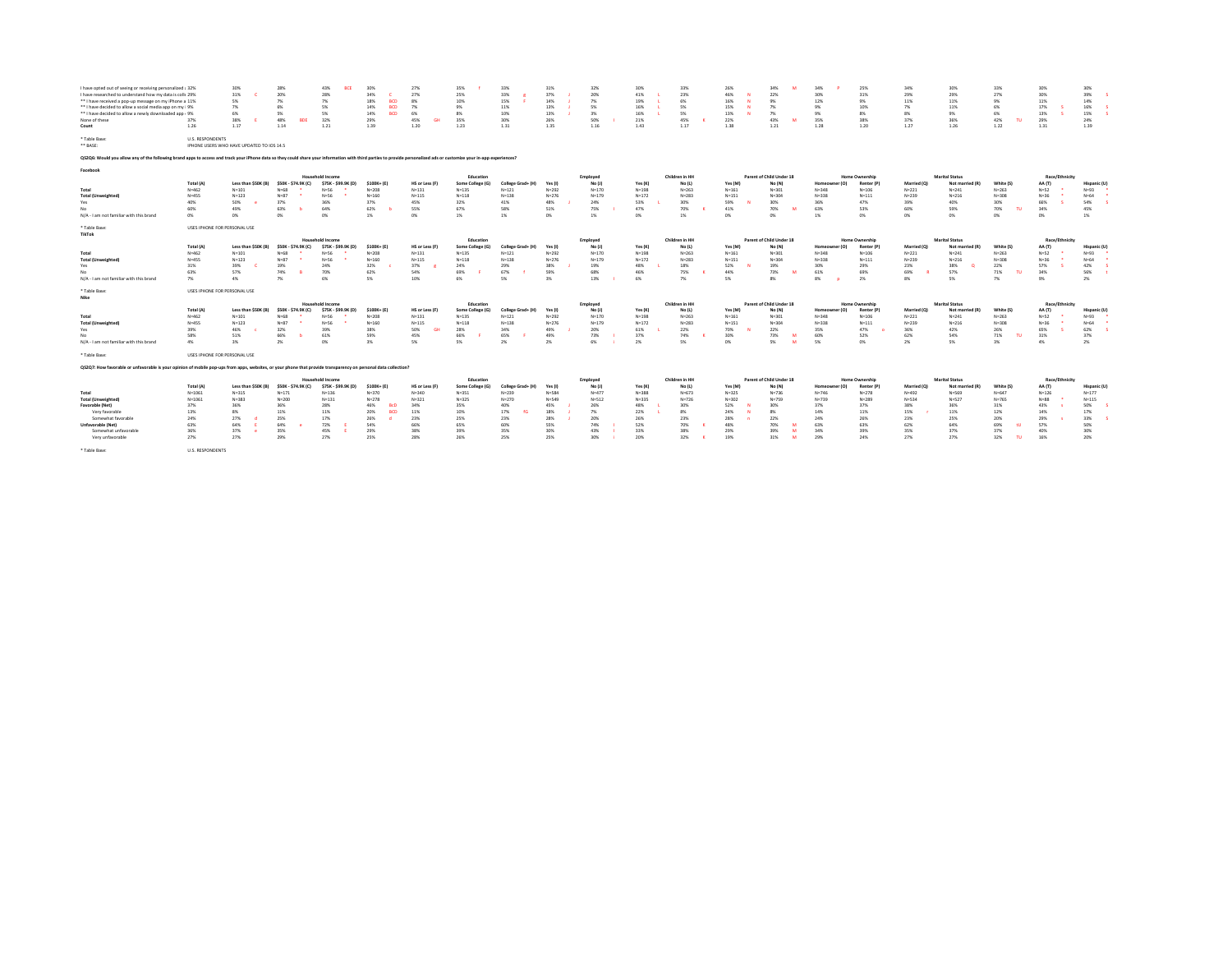| I have opted out of seeing or receiving personalized : 32%<br>I have researched to understand how my data is colk 29%<br>** I have received a pop-up message on my iPhone a 11%<br>** I have decided to allow a social media app on my i 9%<br>** I have decided to allow a newly downloaded app : 9%<br>None of these<br>Count<br>* Table Base:<br>** BASE: | 37%<br>1.26<br><b>U.S. RESPONDENTS</b> | 30%<br>31%<br>5%<br>7%<br>6%<br>38%<br>1.17<br>IPHONE USERS WHO HAVE UPDATED TO IOS 14.5 | 28%<br>20%<br>7%<br>6%<br>5%<br>48%<br><b>BDE</b><br>1.14 | 43%<br><b>RCF</b><br>28%<br>7%<br>5%<br>5%<br>32%<br>1.21 | 30%<br>34%<br>18%<br><b>BCD</b><br>14%<br><b>BCD</b><br>14%<br>RCD<br>29%<br>1.39 | 27%<br>27%<br>8%<br>7%<br>6%<br>45%<br>GН<br>1.20 | 35%<br>25%<br>10%<br>9%<br>8%<br>35%<br>1.23 | 33%<br>33%<br>15%<br>11%<br>10%<br>30%<br>1.31 | 31%<br>37%<br>14%<br>13%<br>13%<br>26%<br>1.35 | 32%<br>20%<br>7%<br>S%<br>3%<br>50%<br>1.16 | 30%<br>41%<br>19%<br>16%<br>16%<br>21%<br>1.43 | 33%<br>23%<br>6%<br>5%<br>5%<br>45%<br>1.17 | 26%<br>46%<br>16%<br>15%<br>13%<br>22%<br>1.38 | 34%<br>22%<br>9%<br>7%<br>7%<br>43%<br>1.21 | 34%<br>30%<br>12%<br>9%<br>9%<br>35%<br>1.28 | 25%<br>31%<br>9%<br>10%<br>8%<br>38%<br>1.20 | 34%<br>29%<br>11%<br>7%<br>8%<br>37%<br>1.27 | 30%<br>29%<br>11%<br>11%<br>9%<br>36%<br>1.26 | 33%<br>27%<br>9%<br>6%<br>6%<br>42%<br>TU.<br>1.22 | 30%<br>30%<br>11%<br>17%<br>13%<br>29%<br>1.31 | 30%<br>39%<br>14%<br>16%<br>15%<br>24%<br>1.39 |
|--------------------------------------------------------------------------------------------------------------------------------------------------------------------------------------------------------------------------------------------------------------------------------------------------------------------------------------------------------------|----------------------------------------|------------------------------------------------------------------------------------------|-----------------------------------------------------------|-----------------------------------------------------------|-----------------------------------------------------------------------------------|---------------------------------------------------|----------------------------------------------|------------------------------------------------|------------------------------------------------|---------------------------------------------|------------------------------------------------|---------------------------------------------|------------------------------------------------|---------------------------------------------|----------------------------------------------|----------------------------------------------|----------------------------------------------|-----------------------------------------------|----------------------------------------------------|------------------------------------------------|------------------------------------------------|
| Q\$2Q6: Would you allow any of the following brand apps to access and track your iPhone data so they could share your information with third parties to provide personalized ads or customize your in app experiences?                                                                                                                                       |                                        |                                                                                          |                                                           |                                                           |                                                                                   |                                                   |                                              |                                                |                                                |                                             |                                                |                                             |                                                |                                             |                                              |                                              |                                              |                                               |                                                    |                                                |                                                |
| Facebook                                                                                                                                                                                                                                                                                                                                                     |                                        |                                                                                          |                                                           |                                                           |                                                                                   |                                                   |                                              |                                                |                                                |                                             |                                                |                                             |                                                |                                             |                                              |                                              |                                              |                                               |                                                    |                                                |                                                |
|                                                                                                                                                                                                                                                                                                                                                              | Total (A)                              | Less than \$50K (B)                                                                      | \$50K - \$74.9K (C)                                       | <b>Household Income</b><br>\$75K - \$99.9K (D)            | \$100K+ (E)                                                                       | HS or Less (F)                                    | Education<br>Some College (G)                | College Grad+ (H)                              | Yes (I)                                        | Employed<br>No (J)                          | Yes(K)                                         | Children in HH<br>No (L)                    | Yes (M)                                        | Parent of Child Under 18<br>No (N)          | Homeowner (O)                                | <b>Home Ownership</b><br>Renter (P)          | Married (O)                                  | <b>Marital Status</b><br>Not married (R)      | White (S)                                          | Race/Ethnicity<br>AA (T)                       | Hispanic (U)                                   |
| Total                                                                                                                                                                                                                                                                                                                                                        | $N = 462$                              | $N = 101$                                                                                | $N = 68$                                                  | $N=56$                                                    | $N = 208$                                                                         | $N = 131$                                         | $N = 135$                                    | $N = 121$                                      | $N = 292$                                      | $N = 170$                                   | $N = 198$                                      | $N = 263$                                   | $N = 161$                                      | $N = 301$                                   | $N = 348$                                    | $N = 106$                                    | $N = 221$                                    | $N = 241$                                     | $N = 263$                                          | $N = 52$                                       | $N = 93$                                       |
| <b>Total (Unweighted)</b>                                                                                                                                                                                                                                                                                                                                    | $N = 455$                              | $N = 123$                                                                                | $N=87$                                                    | $N = 56$                                                  | $N = 160$                                                                         | $N = 115$                                         | $N = 118$                                    | $N = 138$                                      | $N = 276$                                      | $N = 179$                                   | $N = 172$                                      | $N = 283$                                   | $N = 151$                                      | $N = 304$                                   | $N = 338$                                    | $N = 111$                                    | $N = 239$                                    | $N = 216$                                     | $N = 308$                                          | $N = 36$                                       | $N = 64$                                       |
| Yes                                                                                                                                                                                                                                                                                                                                                          | 40%                                    | 50%                                                                                      | 37%                                                       | 36%                                                       | 37%                                                                               | 45%                                               | 32%                                          | 41%                                            | 48%                                            | 24%                                         | 53%                                            | 30%                                         | 59%                                            | 30%                                         | 36%                                          | 47%                                          | 39%                                          | 40%                                           | 30%                                                | 66%                                            | 54%                                            |
| No                                                                                                                                                                                                                                                                                                                                                           | 60%                                    | 49%                                                                                      | 63%                                                       | 64%                                                       | 62%                                                                               | 55%                                               | 67%                                          | 58%                                            | 51%                                            | 75%                                         | 47%                                            | 70%                                         | 41%                                            | 70%                                         | 63%                                          | 53%                                          | 60%                                          | 59%                                           | 70%<br><b>TU</b>                                   | 34%                                            | 45%                                            |
| N/A - I am not familiar with this brand                                                                                                                                                                                                                                                                                                                      | 0%                                     | O <sub>2</sub>                                                                           | 0%                                                        | 0%                                                        | 1%                                                                                | n%                                                | 1%                                           | 1%                                             | 0%                                             | 1%                                          | n%                                             | 1%                                          | n <sub>N</sub>                                 | ms                                          | 1%                                           | 0%                                           | 0%                                           | ON.                                           | ms                                                 | 0%                                             | 1%                                             |
| * Table Base:<br>TikTok                                                                                                                                                                                                                                                                                                                                      | USES IPHONE FOR PERSONAL USE           |                                                                                          |                                                           |                                                           |                                                                                   |                                                   |                                              |                                                |                                                |                                             |                                                |                                             |                                                |                                             |                                              |                                              |                                              |                                               |                                                    |                                                |                                                |
|                                                                                                                                                                                                                                                                                                                                                              |                                        |                                                                                          |                                                           | <b>Household Income</b>                                   |                                                                                   |                                                   | Education                                    |                                                |                                                | Employed                                    |                                                | Children in HH                              |                                                | Parent of Child Under 18                    |                                              | Home Ownership                               |                                              | <b>Marital Status</b>                         |                                                    | Race/Ethnicity                                 |                                                |
|                                                                                                                                                                                                                                                                                                                                                              | Total (A)                              | Less than \$50K (B)                                                                      | \$50K - \$74.9K (C)                                       | \$75K - \$99.9K (D)                                       | \$100K+ (E)                                                                       | HS or Less (F)                                    | Some College (G)                             | College Grad+ (H)                              | Yes (I)                                        | No (J)                                      | Yes(K)                                         | No (L)                                      | Yes (M)                                        | No (N)                                      | Homeowner (O)                                | Renter (P)                                   | Married (O)                                  | Not married (R)                               | White (                                            | AA (T)                                         | Hispanic (U)                                   |
| Total                                                                                                                                                                                                                                                                                                                                                        | $N = 462$                              | $N = 101$                                                                                | $N = 68$                                                  | $N=56$                                                    | $N = 208$                                                                         | $N = 131$                                         | $N = 135$                                    | $N = 121$                                      | $N = 292$                                      | $N = 170$                                   | $N = 198$                                      | $N = 263$                                   | $N = 161$                                      | $N = 301$                                   | $N = 348$                                    | $N = 106$                                    | $N = 221$                                    | $N = 241$                                     | $N = 263$                                          | $N = 52$                                       | $N = 93$                                       |
| <b>Total (Unweighted)</b>                                                                                                                                                                                                                                                                                                                                    | $N = 455$                              | $N = 123$                                                                                | $N=87$                                                    | $N=56$                                                    | $N = 160$                                                                         | $N=115$                                           | $N = 118$                                    | $N = 138$                                      | $N = 276$                                      | $N = 179$                                   | $N = 172$                                      | $N = 283$                                   | $N = 151$                                      | $N = 304$                                   | $N = 338$                                    | $N = 111$                                    | $N = 239$                                    | $N = 216$                                     | $N = 308$                                          | $N = 36$                                       | $N = 64$                                       |
| Yes                                                                                                                                                                                                                                                                                                                                                          | 31%                                    | 39%                                                                                      | 19%                                                       | 24%                                                       | 32%                                                                               | 37%                                               | 24%                                          | 29%                                            | 38%                                            | 19%                                         | 48%                                            | 18%                                         | 52%                                            | 19%                                         | 30%                                          | 29%                                          | 23%                                          | 38%                                           | 22%                                                | 57%                                            | 42%                                            |
| No                                                                                                                                                                                                                                                                                                                                                           | 63%                                    | 57%                                                                                      | 74%                                                       | 70%                                                       | 62%                                                                               | 54%                                               | 69%                                          | 67%                                            | 59%                                            | 68%                                         | 46%                                            | 75%                                         | 44%                                            | 73%                                         | 61%                                          | 69%                                          | 69%                                          | 57%                                           | 71%                                                | 34%                                            | 56%                                            |
| N/A - I am not familiar with this brand                                                                                                                                                                                                                                                                                                                      | 7%                                     | 4%                                                                                       | 7%                                                        | 6%                                                        | 5%                                                                                | 10%                                               | 6%                                           | 5%                                             | 3%                                             | 13%                                         | 6%                                             | 7%                                          | 5%                                             | 8%                                          | 8%                                           | 2%                                           | 8%                                           | 5%                                            | 7%                                                 | 9%                                             | 2%                                             |
| * Table Base:                                                                                                                                                                                                                                                                                                                                                | USES IPHONE FOR PERSONAL USE           |                                                                                          |                                                           |                                                           |                                                                                   |                                                   |                                              |                                                |                                                |                                             |                                                |                                             |                                                |                                             |                                              |                                              |                                              |                                               |                                                    |                                                |                                                |
| Nike                                                                                                                                                                                                                                                                                                                                                         |                                        |                                                                                          |                                                           |                                                           |                                                                                   |                                                   |                                              |                                                |                                                |                                             |                                                |                                             |                                                |                                             |                                              |                                              |                                              |                                               |                                                    |                                                |                                                |
|                                                                                                                                                                                                                                                                                                                                                              |                                        |                                                                                          |                                                           | Household Income                                          |                                                                                   |                                                   | Education                                    |                                                |                                                | Employed                                    |                                                | Children in HH                              |                                                | Parent of Child Under 18                    |                                              | <b>Home Ownership</b>                        |                                              | <b>Marital Status</b>                         |                                                    | Race/Ethnicity                                 |                                                |
|                                                                                                                                                                                                                                                                                                                                                              | Total (A)<br>$N = 462$                 | Less than \$50K (B)                                                                      | \$50K - \$74.9K (C)                                       | \$75K - \$99.9K (D)                                       | \$100K+ (E)                                                                       | HS or Less (F)                                    | Some College (G)<br>$N = 125$                | College Grad+ (H)                              | Yes (I)                                        | No (J)<br>$N = 170$                         | Yes (K)                                        | No (L)<br>$N=263$                           | Yes (M)                                        | No (N)                                      | Homeowner (O)<br>$N = 348$                   | Renter (P)                                   | Married (O)                                  | Not married (R)                               | White (S                                           | AA (T)<br>$N = 52$                             | Hispanic (U)                                   |
| Total                                                                                                                                                                                                                                                                                                                                                        |                                        | $N = 101$                                                                                | $N = 68$                                                  | $N=56$                                                    | $N = 208$                                                                         | $N = 131$                                         |                                              | $N = 121$                                      | $N = 292$                                      |                                             | $N = 198$                                      |                                             | $N = 161$                                      | $N = 301$                                   |                                              | $N = 106$                                    | $N = 221$                                    | $N = 241$                                     | $N = 263$                                          |                                                | $N = 93$                                       |
| <b>Total (Unweighted)</b>                                                                                                                                                                                                                                                                                                                                    | N=455                                  | $N = 123$                                                                                | $N=87$                                                    | $N=56$                                                    | $N = 160$                                                                         | $N = 115$<br><b>GH</b>                            | $N = 118$                                    | $N = 138$                                      | $N = 276$                                      | $N = 179$                                   | $N = 172$                                      | $N = 283$                                   | $N = 151$                                      | $N = 304$                                   | $N = 338$                                    | $N = 111$                                    | $N = 239$                                    | $N = 216$                                     | $N = 308$                                          | $N = 36$                                       | $N = 64$                                       |
| Yes                                                                                                                                                                                                                                                                                                                                                          | 39%                                    | 46%                                                                                      | 32%                                                       | 39%                                                       | 38%                                                                               | 50%                                               | 28%                                          | 34%                                            | 49%                                            | 20%                                         | 61%                                            | 22%                                         | 70%                                            | 22%                                         | 35%                                          | 47%                                          | 36%                                          | 42%                                           | 26%                                                | 65%                                            | 62%                                            |
| N/A - I am not familiar with this brand                                                                                                                                                                                                                                                                                                                      | 58%<br>4%                              | 51%<br>2 <sub>N</sub>                                                                    | 66%<br>2%                                                 | 61%<br>ms                                                 | 59%<br>3%                                                                         | 45%<br>5%                                         | 66%<br>5%                                    | 65%                                            | 49%                                            | 73%<br>6%                                   | 37%<br>2%                                      | 74%<br>S%                                   | 30%<br>n%                                      | 73%<br>w<br>5%<br>M                         | 60%<br>5%                                    | 52%<br>0%                                    | 62%                                          | 54%<br>5%                                     | 71%<br>TH.                                         | 31%                                            | 37%                                            |
|                                                                                                                                                                                                                                                                                                                                                              |                                        |                                                                                          |                                                           |                                                           |                                                                                   |                                                   |                                              | 2%                                             | 2%                                             |                                             |                                                |                                             |                                                |                                             |                                              |                                              | 2%                                           |                                               | 3%                                                 | 4%                                             | 2%                                             |
| * Table Base:                                                                                                                                                                                                                                                                                                                                                | USES IPHONE FOR PERSONAL USE           |                                                                                          |                                                           |                                                           |                                                                                   |                                                   |                                              |                                                |                                                |                                             |                                                |                                             |                                                |                                             |                                              |                                              |                                              |                                               |                                                    |                                                |                                                |
| Q52Q7: How favorable or unfavorable is your opinion of mobile pop-ups from apps, websites, or your phone that provide transparency on personal data collection?                                                                                                                                                                                              |                                        |                                                                                          |                                                           |                                                           |                                                                                   |                                                   |                                              |                                                |                                                |                                             |                                                |                                             |                                                |                                             |                                              |                                              |                                              |                                               |                                                    |                                                |                                                |
|                                                                                                                                                                                                                                                                                                                                                              |                                        |                                                                                          |                                                           | <b>Household Income</b>                                   |                                                                                   |                                                   | Education                                    |                                                |                                                | Employed                                    |                                                | Children in HH                              |                                                | Parent of Child Under 18                    |                                              | Home Ownership                               |                                              | <b>Marital Status</b>                         |                                                    | Race/Ethnicity                                 |                                                |
|                                                                                                                                                                                                                                                                                                                                                              | Total (A)                              | Less than \$50K (B)                                                                      | \$50K - \$74.9K (C)                                       | \$75K - \$99.9K (D)                                       | \$100K+ (E)                                                                       | HS or Less (F)                                    | Some College (G)                             | College Grad+ (H)                              | Yes (I)                                        | No (J)                                      | Yes (K)                                        | No (L)                                      | Yes (M)                                        | No (N)                                      | Homeowner (O)                                | Renter (P)                                   | Married (O)                                  | Not married (R)                               | White (S)                                          | AA (T)                                         | Hispanic (U)                                   |
| Total                                                                                                                                                                                                                                                                                                                                                        | $N = 1061$                             | $N = 315$                                                                                | $N = 171$                                                 | $N = 136$                                                 | $N = 370$                                                                         | $N = 340$                                         | $N = 351$                                    | $N = 239$                                      | $N = 584$                                      | $N = 477$                                   | $N = 388$                                      | $N = 673$                                   | $N = 325$                                      | $N = 736$                                   | $N = 746$                                    | $N = 278$                                    | $N = 492$                                    | $N = 569$                                     | $N = 647$                                          | $N = 126$                                      | $N = 177$                                      |
| <b>Total (Unweighted)</b>                                                                                                                                                                                                                                                                                                                                    | $N = 1061$                             | $N = 383$                                                                                | $N = 200$                                                 | $N = 131$                                                 | $N = 278$                                                                         | $N = 321$                                         | $N = 325$                                    | $N = 270$                                      | $N = 549$                                      | $N = 512$                                   | $N = 335$                                      | $N = 726$                                   | $N = 302$                                      | $N = 759$                                   | $N = 739$                                    | $N = 289$                                    | $N = 534$                                    | $N = 527$                                     | $N = 765$                                          | $N = 88$                                       | $N = 115$                                      |
| Favorable (Net)                                                                                                                                                                                                                                                                                                                                              | 37%                                    | 36%                                                                                      | 36%                                                       | 28%                                                       | 46%<br><b>BrD</b>                                                                 | 34%                                               | 35%                                          | 40%                                            | 45%                                            | 26%                                         | 48%                                            | 30%                                         | 52%                                            | 30%                                         | 37%                                          | 37%                                          | 38%                                          | 36%                                           | 31%                                                | 43%                                            | 50%                                            |
| Very favorable                                                                                                                                                                                                                                                                                                                                               | 13%                                    | 8%                                                                                       | 11%                                                       | 11%                                                       | 20%<br><b>BCD</b>                                                                 | 11%                                               | 10%                                          | 17%                                            | 18%                                            | 7%                                          | 22%                                            | $8\%$                                       | 24%                                            | 8%                                          | 14%                                          | 11%                                          | 15%                                          | 11%                                           | 12%                                                | 14%                                            | 17%                                            |
| Somewhat favorable                                                                                                                                                                                                                                                                                                                                           | 24%                                    | 27%                                                                                      | 25%                                                       | 17%                                                       | 26%                                                                               | 23%                                               | 25%                                          | 23%                                            | 28%                                            | 20%                                         | 26%                                            | 23%                                         | 28%                                            | 22%                                         | 24%                                          | 26%                                          | 23%                                          | 25%                                           | 20%                                                | 29%                                            | 33%                                            |
| Unfavorable (Net)                                                                                                                                                                                                                                                                                                                                            | 63%                                    | 64%                                                                                      | 64%                                                       | 72%                                                       | 54%                                                                               | 66%                                               | 65%                                          | 60%                                            | 55%                                            | 74%                                         | 52%                                            | 70%                                         | 48%                                            | 70%                                         | 63%                                          | 63%                                          | 62%                                          | 64%                                           | 69%<br>$^{\rm H}$                                  | 57%                                            | 50%                                            |
| Somewhat unfavorable                                                                                                                                                                                                                                                                                                                                         | 36%                                    | 37%                                                                                      | 35%                                                       | 45%                                                       | 29%                                                                               | 38%                                               | 39%                                          | 35%                                            | 30%                                            | 43%                                         | 33%                                            | 38%                                         | 29%                                            | 39%                                         | 34%                                          | 39%                                          | 35%                                          | 37%                                           | 37%                                                | 40%                                            | 30%                                            |
| Very unfavorable                                                                                                                                                                                                                                                                                                                                             | 27%                                    | 27%                                                                                      | 29%                                                       | 27%                                                       | 25%                                                                               | 28%                                               | 26%                                          | 25%                                            | 25%                                            | 30%                                         | 20%                                            | 32%                                         | 19%                                            | 31%<br>w                                    | 29%                                          | 24%                                          | 27%                                          | 27%                                           | 32%                                                | 16%                                            | 20%                                            |
| * Table Base:                                                                                                                                                                                                                                                                                                                                                | <b>U.S. RESPONDENTS</b>                |                                                                                          |                                                           |                                                           |                                                                                   |                                                   |                                              |                                                |                                                |                                             |                                                |                                             |                                                |                                             |                                              |                                              |                                              |                                               |                                                    |                                                |                                                |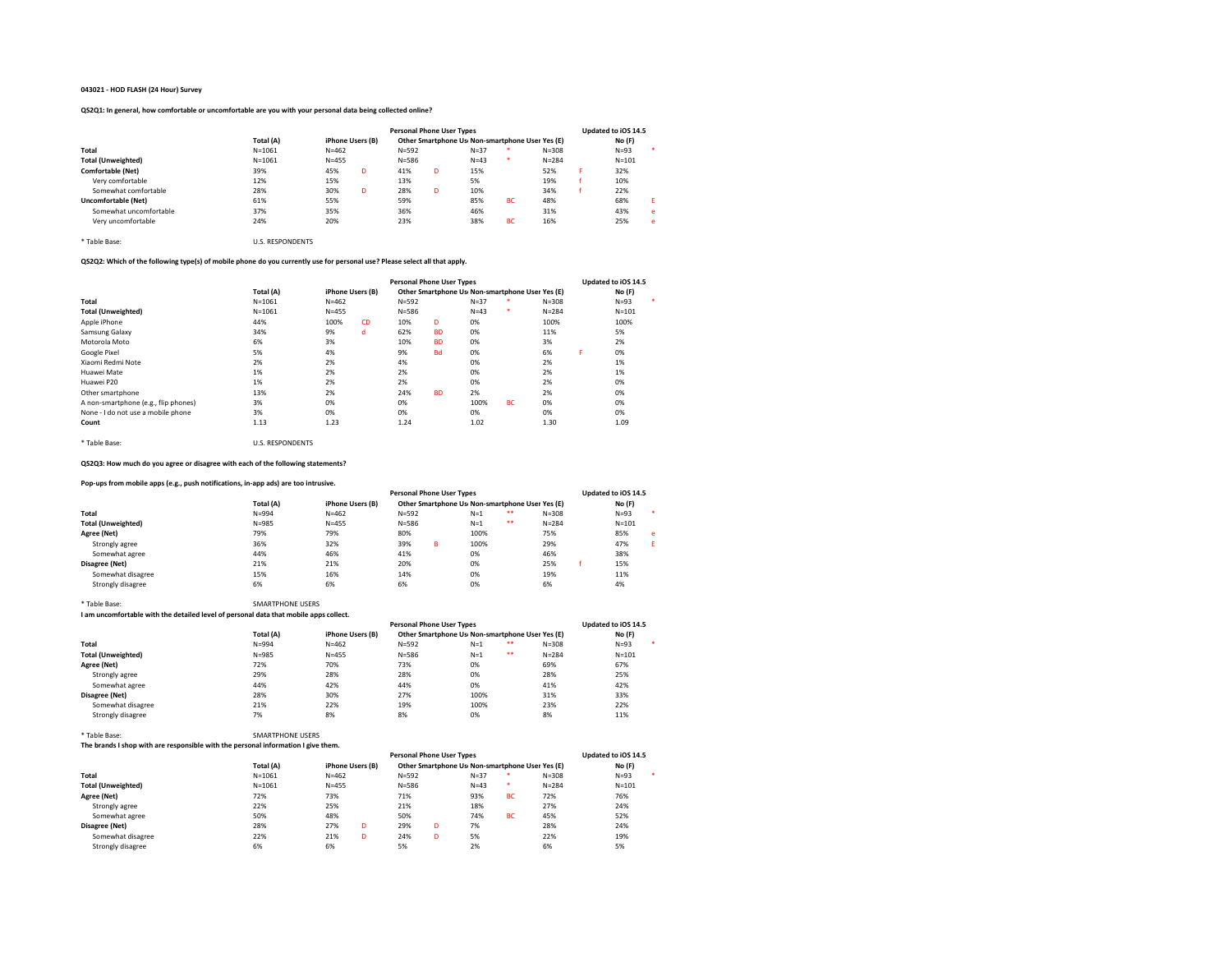# 043021 - HOD FLASH (24 Hour) Survey

# QS2Q1: In general, how comfortable or uncomfortable are you with your personal data being collected online?

|                           |            |                  |   | <b>Personal Phone User Types</b> |    |                                                 |           |           |   | Updated to iOS 14.5 |   |
|---------------------------|------------|------------------|---|----------------------------------|----|-------------------------------------------------|-----------|-----------|---|---------------------|---|
|                           | Total (A)  | iPhone Users (B) |   |                                  |    | Other Smartphone Us Non-smartphone User Yes (E) |           |           |   | No (F)              |   |
| Total                     | $N = 1061$ | $N = 462$        |   | $N = 592$                        |    | $N = 37$                                        |           | $N = 308$ |   | $N = 93$            |   |
| <b>Total (Unweighted)</b> | $N = 1061$ | $N = 455$        |   | $N = 586$                        |    | $N = 43$                                        | *         | $N = 284$ |   | $N = 101$           |   |
| <b>Comfortable (Net)</b>  | 39%        | 45%              | D | 41%                              | D. | 15%                                             |           | 52%       | я | 32%                 |   |
| Very comfortable          | 12%        | 15%              |   | 13%                              |    | 5%                                              |           | 19%       |   | 10%                 |   |
| Somewhat comfortable      | 28%        | 30%              | D | 28%                              | D. | 10%                                             |           | 34%       |   | 22%                 |   |
| Uncomfortable (Net)       | 61%        | 55%              |   | 59%                              |    | 85%                                             | BC        | 48%       |   | 68%                 | F |
| Somewhat uncomfortable    | 37%        | 35%              |   | 36%                              |    | 46%                                             |           | 31%       |   | 43%                 | e |
| Very uncomfortable        | 24%        | 20%              |   | 23%                              |    | 38%                                             | <b>BC</b> | 16%       |   | 25%                 | e |

\* Table Base: U.S. RESPONDENTS

# QS2Q2: Which of the following type(s) of mobile phone do you currently use for personal use? Please select all that apply.

|                                      |            |                  |           | <b>Personal Phone User Types</b> |           |                                                 |           |           |   | Updated to iOS 14.5 |         |
|--------------------------------------|------------|------------------|-----------|----------------------------------|-----------|-------------------------------------------------|-----------|-----------|---|---------------------|---------|
|                                      | Total (A)  | iPhone Users (B) |           |                                  |           | Other Smartphone Us Non-smartphone User Yes (E) |           |           |   | No (F)              |         |
| Total                                | $N = 1061$ | $N = 462$        |           | $N = 592$                        |           | $N=37$                                          |           | $N = 308$ |   | $N = 93$            | $\cdot$ |
| <b>Total (Unweighted)</b>            | $N = 1061$ | $N = 455$        |           | $N = 586$                        |           | $N=43$                                          | ٠         | $N = 284$ |   | $N = 101$           |         |
| Apple iPhone                         | 44%        | 100%             | <b>CD</b> | 10%                              | D         | 0%                                              |           | 100%      |   | 100%                |         |
| Samsung Galaxy                       | 34%        | 9%               | d         | 62%                              | <b>BD</b> | 0%                                              |           | 11%       |   | 5%                  |         |
| Motorola Moto                        | 6%         | 3%               |           | 10%                              | <b>BD</b> | 0%                                              |           | 3%        |   | 2%                  |         |
| Google Pixel                         | 5%         | 4%               |           | 9%                               | <b>Bd</b> | 0%                                              |           | 6%        | F | 0%                  |         |
| Xiaomi Redmi Note                    | 2%         | 2%               |           | 4%                               |           | 0%                                              |           | 2%        |   | 1%                  |         |
| Huawei Mate                          | 1%         | 2%               |           | 2%                               |           | 0%                                              |           | 2%        |   | 1%                  |         |
| Huawei P20                           | 1%         | 2%               |           | 2%                               |           | 0%                                              |           | 2%        |   | 0%                  |         |
| Other smartphone                     | 13%        | 2%               |           | 24%                              | <b>BD</b> | 2%                                              |           | 2%        |   | 0%                  |         |
| A non-smartphone (e.g., flip phones) | 3%         | 0%               |           | 0%                               |           | 100%                                            | <b>BC</b> | 0%        |   | 0%                  |         |
| None - I do not use a mobile phone   | 3%         | 0%               |           | 0%                               |           | 0%                                              |           | 0%        |   | 0%                  |         |
| Count                                | 1.13       | 1.23             |           | 1.24                             |           | 1.02                                            |           | 1.30      |   | 1.09                |         |
|                                      |            |                  |           |                                  |           |                                                 |           |           |   |                     |         |

QS2Q3: How much do you agree or disagree with each of the following statements?

# Pop-ups from mobile apps (e.g., push notifications, in-app ads) are too intrusive.

\* Table Base: U.S. RESPONDENTS

| r op-ups mom mobile apps (e.g., push notifications, in-app aus) are too mu usive. |           |                  |                                  |   |                                                 |    |           |                     |   |  |
|-----------------------------------------------------------------------------------|-----------|------------------|----------------------------------|---|-------------------------------------------------|----|-----------|---------------------|---|--|
|                                                                                   |           |                  | <b>Personal Phone User Types</b> |   |                                                 |    |           | Updated to iOS 14.5 |   |  |
|                                                                                   | Total (A) | iPhone Users (B) |                                  |   | Other Smartphone Us Non-smartphone User Yes (E) |    |           | No(F)               |   |  |
| Total                                                                             | $N = 994$ | $N = 462$        | $N = 592$                        |   | $N=1$                                           | ** | $N = 308$ | $N = 93$            |   |  |
| <b>Total (Unweighted)</b>                                                         | $N = 985$ | $N = 455$        | $N = 586$                        |   | $N=1$                                           | ** | $N = 284$ | $N = 101$           |   |  |
| Agree (Net)                                                                       | 79%       | 79%              | 80%                              |   | 100%                                            |    | 75%       | 85%                 | e |  |
| Strongly agree                                                                    | 36%       | 32%              | 39%                              | R | 100%                                            |    | 29%       | 47%                 |   |  |
| Somewhat agree                                                                    | 44%       | 46%              | 41%                              |   | 0%                                              |    | 46%       | 38%                 |   |  |
| Disagree (Net)                                                                    | 21%       | 21%              | 20%                              |   | 0%                                              |    | 25%       | 15%                 |   |  |
| Somewhat disagree                                                                 | 15%       | 16%              | 14%                              |   | 0%                                              |    | 19%       | 11%                 |   |  |
| Strongly disagree                                                                 | 6%        | 6%               | 6%                               |   | 0%                                              |    | 6%        | 4%                  |   |  |

# \* Table Base: SMARTPHONE USERS I am uncomfortable with the detailed level of personal data that mobile apps collect.

|                           |           |                  | <b>Personal Phone User Types</b> |                                                 |           | Updated to iOS 14.5 |
|---------------------------|-----------|------------------|----------------------------------|-------------------------------------------------|-----------|---------------------|
|                           | Total (A) | iPhone Users (B) |                                  | Other Smartphone Us Non-smartphone User Yes (E) |           | No (F)              |
| Total                     | $N = 994$ | $N = 462$        | $N = 592$                        | **<br>$N=1$                                     | $N = 308$ | $N=93$              |
| <b>Total (Unweighted)</b> | $N = 985$ | $N = 455$        | $N = 586$                        | **<br>$N=1$                                     | $N = 284$ | $N = 101$           |
| Agree (Net)               | 72%       | 70%              | 73%                              | 0%                                              | 69%       | 67%                 |
| Strongly agree            | 29%       | 28%              | 28%                              | 0%                                              | 28%       | 25%                 |
| Somewhat agree            | 44%       | 42%              | 44%                              | 0%                                              | 41%       | 42%                 |
| Disagree (Net)            | 28%       | 30%              | 27%                              | 100%                                            | 31%       | 33%                 |
| Somewhat disagree         | 21%       | 22%              | 19%                              | 100%                                            | 23%       | 22%                 |
| Strongly disagree         | 7%        | 8%               | 8%                               | 0%                                              | 8%        | 11%                 |

# \* Table Base: SMARTPHONE USERS

The brands I shop with are responsible with the personal information I give them.

| The brands I shop with are responsible with the personal information Feive them. |            |           |                  |                                  |   |                                                 |           |           |                     |  |
|----------------------------------------------------------------------------------|------------|-----------|------------------|----------------------------------|---|-------------------------------------------------|-----------|-----------|---------------------|--|
|                                                                                  |            |           |                  | <b>Personal Phone User Types</b> |   |                                                 |           |           | Updated to iOS 14.5 |  |
|                                                                                  | Total (A)  |           | iPhone Users (B) |                                  |   | Other Smartphone Us Non-smartphone User Yes (E) |           |           | No (F)              |  |
| Total                                                                            | $N = 1061$ | $N = 462$ |                  | $N = 592$                        |   | $N = 37$                                        |           | $N = 308$ | $N = 93$            |  |
| <b>Total (Unweighted)</b>                                                        | $N = 1061$ | $N = 455$ |                  | $N = 586$                        |   | $N = 43$                                        | ×         | $N = 284$ | $N = 101$           |  |
| Agree (Net)                                                                      | 72%        | 73%       |                  | 71%                              |   | 93%                                             | <b>BC</b> | 72%       | 76%                 |  |
| Strongly agree                                                                   | 22%        | 25%       |                  | 21%                              |   | 18%                                             |           | 27%       | 24%                 |  |
| Somewhat agree                                                                   | 50%        | 48%       |                  | 50%                              |   | 74%                                             | <b>BC</b> | 45%       | 52%                 |  |
| Disagree (Net)                                                                   | 28%        | 27%       | D                | 29%                              | D | 7%                                              |           | 28%       | 24%                 |  |
| Somewhat disagree                                                                | 22%        | 21%       | D.               | 24%                              | D | 5%                                              |           | 22%       | 19%                 |  |
| Strongly disagree                                                                | 6%         | 6%        |                  | 5%                               |   | 2%                                              |           | 6%        | 5%                  |  |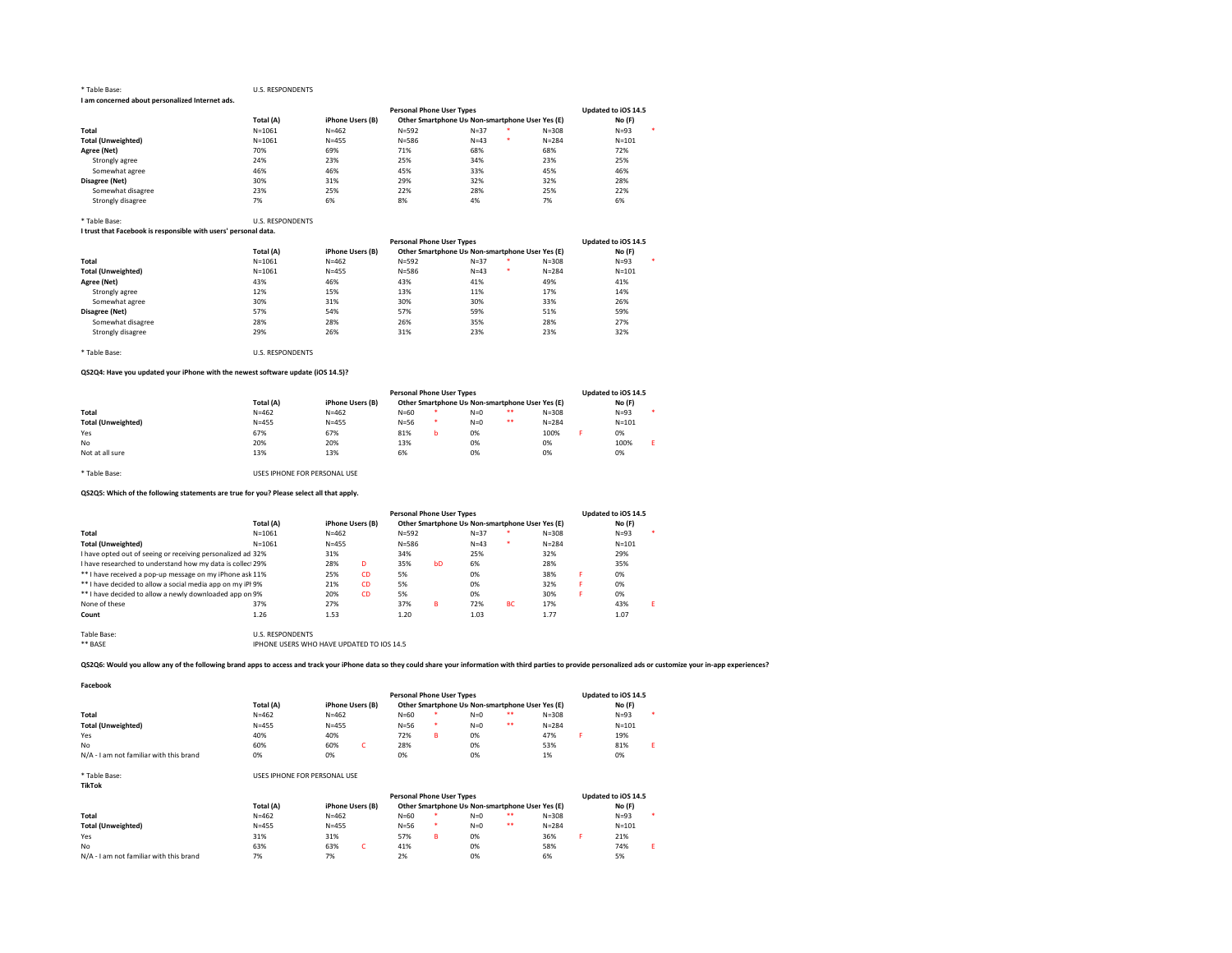#### \* Table Base: U.S. RESPONDENTS I am concerned about personalized Internet ads.

|                           |            |                  | <b>Personal Phone User Types</b> |                                                 |           | Updated to iOS 14.5 |
|---------------------------|------------|------------------|----------------------------------|-------------------------------------------------|-----------|---------------------|
|                           | Total (A)  | iPhone Users (B) |                                  | Other Smartphone Us Non-smartphone User Yes (E) |           | No (F)              |
| Total                     | $N = 1061$ | $N = 462$        | $N = 592$                        | $N = 37$                                        | $N = 308$ | ٠<br>$N = 93$       |
| <b>Total (Unweighted)</b> | $N = 1061$ | $N = 455$        | $N = 586$                        | $N = 43$                                        | $N = 284$ | $N = 101$           |
| Agree (Net)               | 70%        | 69%              | 71%                              | 68%                                             | 68%       | 72%                 |
| Strongly agree            | 24%        | 23%              | 25%                              | 34%                                             | 23%       | 25%                 |
| Somewhat agree            | 46%        | 46%              | 45%                              | 33%                                             | 45%       | 46%                 |
| Disagree (Net)            | 30%        | 31%              | 29%                              | 32%                                             | 32%       | 28%                 |
| Somewhat disagree         | 23%        | 25%              | 22%                              | 28%                                             | 25%       | 22%                 |
| Strongly disagree         | 7%         | 6%               | 8%                               | 4%                                              | 7%        | 6%                  |

#### \* Table Base: U.S. RESPONDENTS

I trust that Facebook is responsible with users' personal data.

|                           |            |                  | <b>Personal Phone User Types</b> |                                                 |           | Updated to iOS 14.5 |
|---------------------------|------------|------------------|----------------------------------|-------------------------------------------------|-----------|---------------------|
|                           | Total (A)  | iPhone Users (B) |                                  | Other Smartphone Us Non-smartphone User Yes (E) |           | No (F)              |
| Total                     | $N = 1061$ | $N = 462$        | $N = 592$                        | *<br>$N = 37$                                   | $N = 308$ | $N = 93$            |
| <b>Total (Unweighted)</b> | $N = 1061$ | $N = 455$        | $N = 586$                        | ٠<br>$N = 43$                                   | $N = 284$ | $N = 101$           |
| Agree (Net)               | 43%        | 46%              | 43%                              | 41%                                             | 49%       | 41%                 |
| Strongly agree            | 12%        | 15%              | 13%                              | 11%                                             | 17%       | 14%                 |
| Somewhat agree            | 30%        | 31%              | 30%                              | 30%                                             | 33%       | 26%                 |
| Disagree (Net)            | 57%        | 54%              | 57%                              | 59%                                             | 51%       | 59%                 |
| Somewhat disagree         | 28%        | 28%              | 26%                              | 35%                                             | 28%       | 27%                 |
| Strongly disagree         | 29%        | 26%              | 31%                              | 23%                                             | 23%       | 32%                 |

\* Table Base: U.S. RESPONDENTS

# QS2Q4: Have you updated your iPhone with the newest software update (iOS 14.5)?

|                           |           | <b>Personal Phone User Types</b> |                                                 | Updated to iOS 14.5 |       |    |           |  |           |  |
|---------------------------|-----------|----------------------------------|-------------------------------------------------|---------------------|-------|----|-----------|--|-----------|--|
|                           | Total (A) | iPhone Users (B)                 | Other Smartphone Us Non-smartphone User Yes (E) |                     |       |    |           |  | No (F)    |  |
| Total                     | $N = 462$ | $N = 462$                        | $N = 60$                                        |                     | $N=0$ | ** | $N = 308$ |  | $N = 93$  |  |
| <b>Total (Unweighted)</b> | $N = 455$ | $N = 455$                        | $N = 56$                                        | ×                   | $N=0$ | ** | $N = 284$ |  | $N = 101$ |  |
| Yes                       | 67%       | 67%                              | 81%                                             |                     | 0%    |    | 100%      |  | 0%        |  |
| No                        | 20%       | 20%                              | 13%                                             |                     | 0%    |    | 0%        |  | 100%      |  |
| Not at all sure           | 13%       | 13%                              | 6%                                              |                     | 0%    |    | 0%        |  | 0%        |  |

\* Table Base: USES IPHONE FOR PERSONAL USE

# QS2Q5: Which of the following statements are true for you? Please select all that apply.

|                                                             |                         | <b>Personal Phone User Types</b> |           |                                                 |    |        |           |           |   | Updated to iOS 14.5 |   |  |  |
|-------------------------------------------------------------|-------------------------|----------------------------------|-----------|-------------------------------------------------|----|--------|-----------|-----------|---|---------------------|---|--|--|
|                                                             | Total (A)               | iPhone Users (B)                 |           | Other Smartphone Us Non-smartphone User Yes (E) |    |        |           |           |   | No(F)               |   |  |  |
| Total                                                       | $N = 1061$              | $N = 462$                        |           | $N = 592$                                       |    | $N=37$ | ×         | $N = 308$ |   | $N=93$              |   |  |  |
| <b>Total (Unweighted)</b>                                   | $N = 1061$              | $N = 455$                        |           | $N = 586$                                       |    | $N=43$ | ٠         | $N = 284$ |   | $N = 101$           |   |  |  |
| I have opted out of seeing or receiving personalized ad 32% |                         | 31%                              |           | 34%                                             |    | 25%    |           | 32%       |   | 29%                 |   |  |  |
| I have researched to understand how my data is collec 29%   |                         | 28%                              | D         | 35%                                             | hD | 6%     |           | 28%       |   | 35%                 |   |  |  |
| ** I have received a pop-up message on my iPhone ask 11%    |                         | 25%                              | <b>CD</b> | 5%                                              |    | 0%     |           | 38%       | я | 0%                  |   |  |  |
| ** I have decided to allow a social media app on my iPI 9%  |                         | 21%                              | <b>CD</b> | 5%                                              |    | 0%     |           | 32%       |   | 0%                  |   |  |  |
| ** I have decided to allow a newly downloaded app on 9%     |                         | 20%                              | <b>CD</b> | 5%                                              |    | 0%     |           | 30%       |   | 0%                  |   |  |  |
| None of these                                               | 37%                     | 27%                              |           | 37%                                             | R  | 72%    | <b>BC</b> | 17%       |   | 43%                 | F |  |  |
| Count                                                       | 1.26                    | 1.53                             |           | 1.20                                            |    | 1.03   |           | 1.77      |   | 1.07                |   |  |  |
| Table Base:                                                 | <b>U.S. RESPONDENTS</b> |                                  |           |                                                 |    |        |           |           |   |                     |   |  |  |

\*\* BASE IPHONE USERS WHO HAVE UPDATED TO IOS 14.5

# QS2Q6: Would you allow any of the following brand apps to access and track your iPhone data so they could share your information with third parties to provide personalized ads or customize your in-app experiences?

Facebook

|                                         |           | <b>Personal Phone User Types</b> | Updated to iOS 14.5                             |             |           |           |         |
|-----------------------------------------|-----------|----------------------------------|-------------------------------------------------|-------------|-----------|-----------|---------|
|                                         | Total (A) | iPhone Users (B)                 | Other Smartphone Us Non-smartphone User Yes (E) |             | No (F)    |           |         |
| Total                                   | $N = 462$ | $N = 462$                        | $N = 60$                                        | **<br>$N=0$ | $N = 308$ | $N = 93$  | $\cdot$ |
| <b>Total (Unweighted)</b>               | $N = 455$ | $N = 455$                        | $N = 56$<br>*                                   | **<br>$N=0$ | $N = 284$ | $N = 101$ |         |
| Yes                                     | 40%       | 40%                              | 72%<br>R                                        | 0%          | 47%       | 19%       |         |
| No                                      | 60%       | 60%                              | 28%                                             | 0%          | 53%       | 81%       |         |
| N/A - I am not familiar with this brand | 0%        | 0%                               | 0%                                              | 0%          | 1%        | 0%        |         |

| * Table Base:<br><b>TikTok</b>          | USES IPHONE FOR PERSONAL USE |                                  |     |                                                 |   |       |    |           |  |           |  |  |
|-----------------------------------------|------------------------------|----------------------------------|-----|-------------------------------------------------|---|-------|----|-----------|--|-----------|--|--|
|                                         |                              | <b>Personal Phone User Types</b> |     |                                                 |   |       |    |           |  |           |  |  |
|                                         | Total (A)                    | iPhone Users (B)                 |     | Other Smartphone Us Non-smartphone User Yes (E) |   |       |    |           |  | No (F)    |  |  |
| Total                                   | $N = 462$                    | $N = 462$                        |     | $N = 60$                                        |   | $N=0$ | ** | $N = 308$ |  | $N = 93$  |  |  |
| <b>Total (Unweighted)</b>               | $N = 455$                    | $N = 455$                        |     | $N=56$                                          |   | $N=0$ | ** | $N = 284$ |  | $N = 101$ |  |  |
| Yes                                     | 31%                          | 31%                              |     | 57%                                             | в | 0%    |    | 36%       |  | 21%       |  |  |
| No                                      | 63%                          | 63%                              | -C. | 41%                                             |   | 0%    |    | 58%       |  | 74%       |  |  |
| N/A - I am not familiar with this brand | 7%                           | 7%                               |     | 2%                                              |   | 0%    |    | 6%        |  | 5%        |  |  |